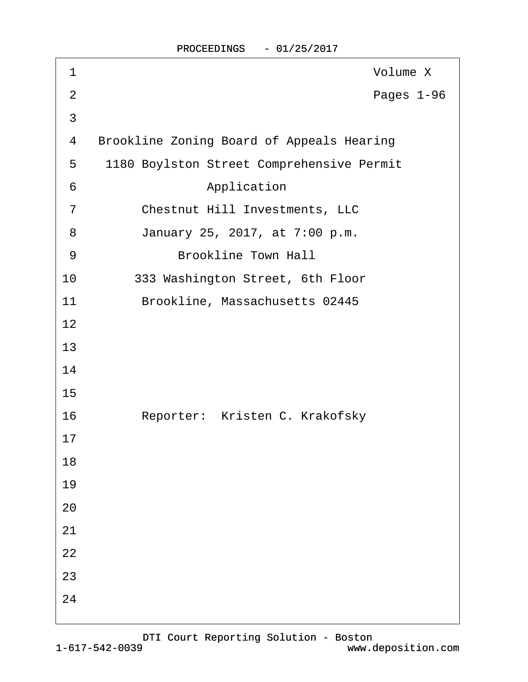| 1              | Volume X                                         |
|----------------|--------------------------------------------------|
| $\overline{2}$ | Pages 1-96                                       |
| $\mathfrak{S}$ |                                                  |
| 4              | <b>Brookline Zoning Board of Appeals Hearing</b> |
| 5              | 1180 Boylston Street Comprehensive Permit        |
| 6              | Application                                      |
| $\overline{7}$ | <b>Chestnut Hill Investments, LLC</b>            |
| 8              | January 25, 2017, at 7:00 p.m.                   |
| 9              | <b>Brookline Town Hall</b>                       |
| 10             | 333 Washington Street, 6th Floor                 |
| 11             | Brookline, Massachusetts 02445                   |
| 12             |                                                  |
| 13             |                                                  |
| 14             |                                                  |
| 15             |                                                  |
| 16             | Reporter: Kristen C. Krakofsky                   |
| 17             |                                                  |
| 18             |                                                  |
| 19             |                                                  |
| 20             |                                                  |
| 21             |                                                  |
| 22             |                                                  |
| 23             |                                                  |
| 24             |                                                  |
|                |                                                  |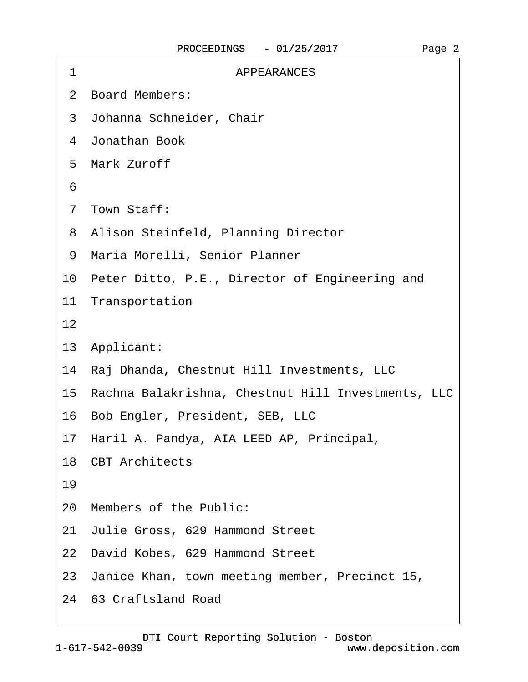| <b>APPEARANCES</b><br>1                               |
|-------------------------------------------------------|
| 2 Board Members:                                      |
| 3 Johanna Schneider, Chair                            |
| 4 Jonathan Book                                       |
| 5 Mark Zuroff                                         |
| 6                                                     |
| 7 Town Staff:                                         |
| 8 Alison Steinfeld, Planning Director                 |
| 9 Maria Morelli, Senior Planner                       |
| 10 Peter Ditto, P.E., Director of Engineering and     |
| 11 Transportation                                     |
| 12                                                    |
| 13 Applicant:                                         |
| 14 Raj Dhanda, Chestnut Hill Investments, LLC         |
| 15 Rachna Balakrishna, Chestnut Hill Investments, LLC |
| 16 Bob Engler, President, SEB, LLC                    |
| 17 Haril A. Pandya, AIA LEED AP, Principal,           |
| 18 CBT Architects                                     |
| 19                                                    |
| 20 Members of the Public:                             |
| 21 Julie Gross, 629 Hammond Street                    |
| 22 David Kobes, 629 Hammond Street                    |
| 23 Janice Khan, town meeting member, Precinct 15,     |
| 24 63 Craftsland Road                                 |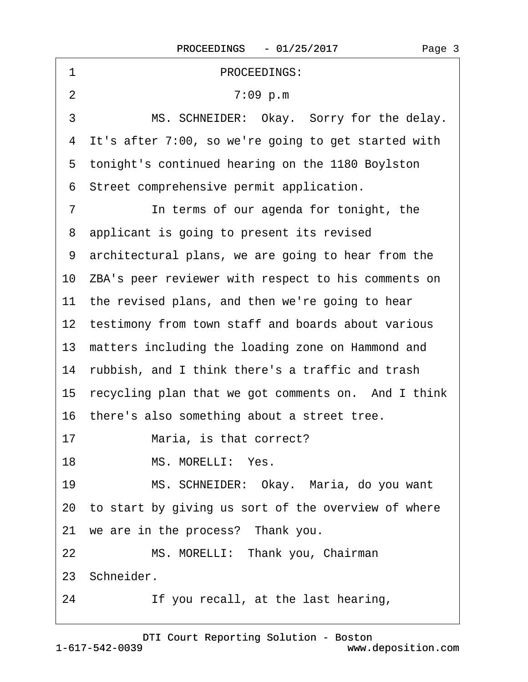| PROCEEDINGS:<br>1                                         |
|-----------------------------------------------------------|
| $\overline{2}$<br>7:09 p.m                                |
| 3<br>MS. SCHNEIDER: Okay. Sorry for the delay.            |
| 4 It's after 7:00, so we're going to get started with     |
| 5 tonight's continued hearing on the 1180 Boylston        |
| 6 Street comprehensive permit application.                |
| $\overline{7}$<br>In terms of our agenda for tonight, the |
| 8 applicant is going to present its revised               |
| 9 architectural plans, we are going to hear from the      |
| 10 ZBA's peer reviewer with respect to his comments on    |
| 11 the revised plans, and then we're going to hear        |
| 12 testimony from town staff and boards about various     |
| 13 matters including the loading zone on Hammond and      |
| 14 rubbish, and I think there's a traffic and trash       |
| 15 recycling plan that we got comments on. And I think    |
| 16 there's also something about a street tree.            |
| Maria, is that correct?<br>17                             |
| MS. MORELLI: Yes.<br>18                                   |
| MS. SCHNEIDER: Okay. Maria, do you want<br>19             |
| 20 to start by giving us sort of the overview of where    |
| 21 we are in the process? Thank you.                      |
| 22<br>MS. MORELLI: Thank you, Chairman                    |
| 23 Schneider.                                             |
| 24<br>If you recall, at the last hearing,                 |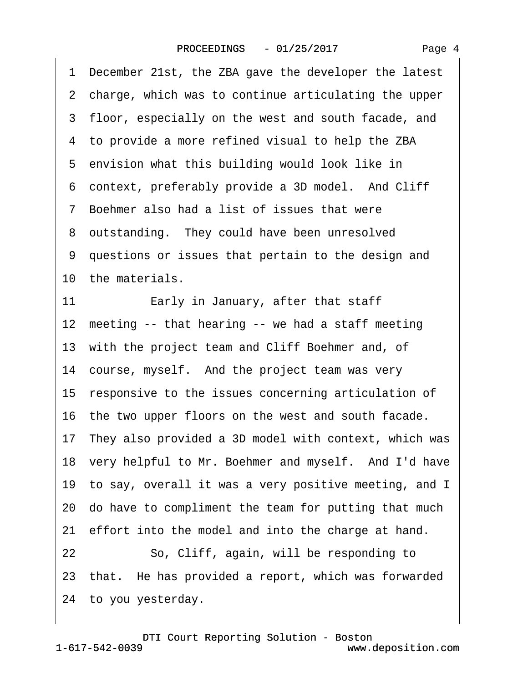·1· December 21st, the ZBA gave the developer the latest 2 charge, which was to continue articulating the upper 3 floor, especially on the west and south facade, and 4 to provide a more refined visual to help the ZBA 5 envision what this building would look like in 6 context, preferably provide a 3D model. And Cliff ·7· Boehmer also had a list of issues that were 8 outstanding. They could have been unresolved ·9· questions or issues that pertain to the design and 10 the materials. 11 **Early in January, after that staff** 12 meeting -- that hearing -- we had a staff meeting 13 with the project team and Cliff Boehmer and, of 14 course, myself. And the project team was very 15 responsive to the issues concerning articulation of 16· the two upper floors on the west and south facade. 17· They also provided a 3D model with context, which was 18 very helpful to Mr. Boehmer and myself. And I'd have 19 to say, overall it was a very positive meeting, and I 20· do have to compliment the team for putting that much 21 effort into the model and into the charge at hand. 22 So, Cliff, again, will be responding to 23 that. He has provided a report, which was forwarded 24· to you yesterday.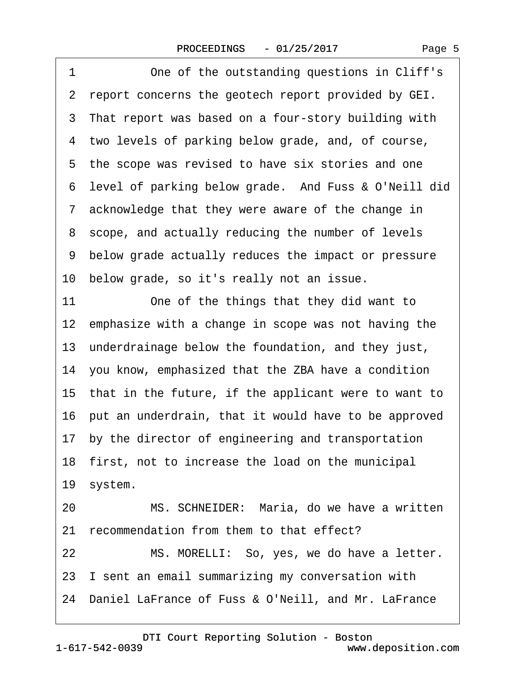1 One of the outstanding questions in Cliff's 2 report concerns the geotech report provided by GEI. 3 That report was based on a four-story building with 4 two levels of parking below grade, and, of course, 5 the scope was revised to have six stories and one 6 level of parking below grade. And Fuss & O'Neill did ·7· acknowledge that they were aware of the change in 8 scope, and actually reducing the number of levels ·9· below grade actually reduces the impact or pressure 10 below grade, so it's really not an issue. 11 One of the things that they did want to 12 emphasize with a change in scope was not having the 13 underdrainage below the foundation, and they just, 14· you know, emphasized that the ZBA have a condition 15 that in the future, if the applicant were to want to 16 put an underdrain, that it would have to be approved 17· by the director of engineering and transportation 18 first, not to increase the load on the municipal 19 system. 20 MS. SCHNEIDER: Maria, do we have a written 21 recommendation from them to that effect? 22 MS. MORELLI: So, yes, we do have a letter. 23 I sent an email summarizing my conversation with 24· Daniel LaFrance of Fuss & O'Neill, and Mr. LaFrance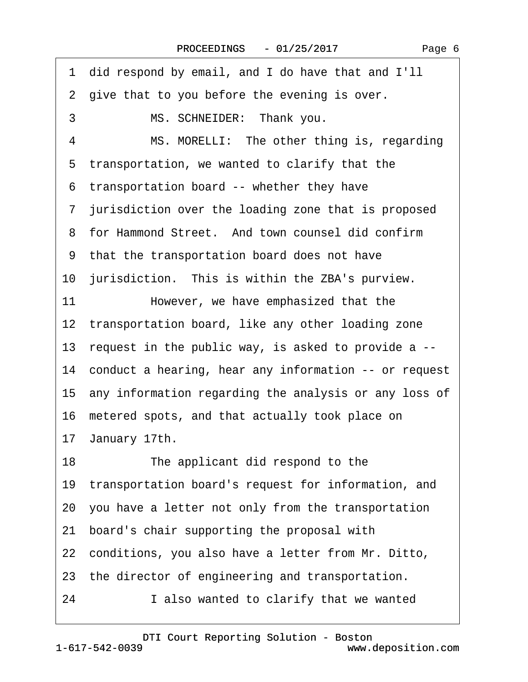·1· did respond by email, and I do have that and I'll 2 give that to you before the evening is over. 3 MS. SCHNEIDER: Thank you. 4 MS. MORELLI: The other thing is, regarding 5 transportation, we wanted to clarify that the ·6· transportation board -- whether they have 7 jurisdiction over the loading zone that is proposed 8 for Hammond Street. And town counsel did confirm ·9· that the transportation board does not have 10 jurisdiction. This is within the ZBA's purview. 11 However, we have emphasized that the 12 transportation board, like any other loading zone 13 request in the public way, is asked to provide a --14 conduct a hearing, hear any information -- or request 15· any information regarding the analysis or any loss of 16· metered spots, and that actually took place on 17 January 17th. 18 The applicant did respond to the 19 transportation board's request for information, and 20· you have a letter not only from the transportation 21· board's chair supporting the proposal with 22· conditions, you also have a letter from Mr. Ditto, 23 the director of engineering and transportation. 24 I also wanted to clarify that we wanted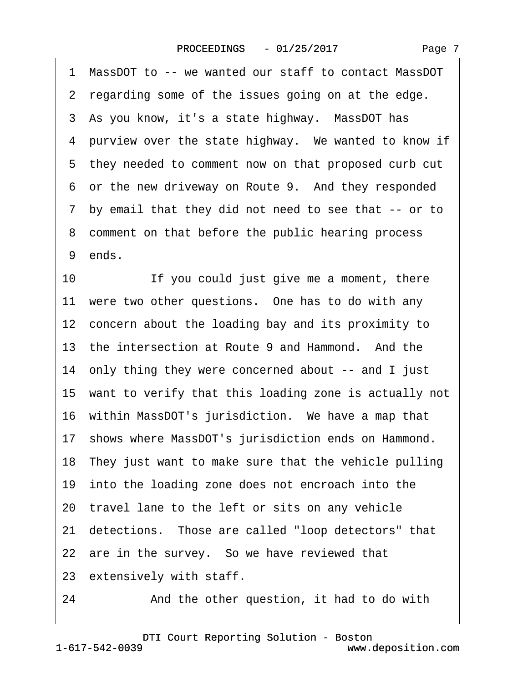| 1<br>MassDOT to -- we wanted our staff to contact MassDOT |
|-----------------------------------------------------------|
| 2 regarding some of the issues going on at the edge.      |
| 3 As you know, it's a state highway. MassDOT has          |
| 4 purview over the state highway. We wanted to know if    |
| 5 they needed to comment now on that proposed curb cut    |
| 6 or the new driveway on Route 9. And they responded      |
| 7 by email that they did not need to see that -- or to    |
| 8 comment on that before the public hearing process       |
| 9 ends.                                                   |
| If you could just give me a moment, there<br>10           |
| 11 were two other questions. One has to do with any       |
| 12 concern about the loading bay and its proximity to     |
| 13 the intersection at Route 9 and Hammond. And the       |
| 14 only thing they were concerned about -- and I just     |
| 15 want to verify that this loading zone is actually not  |
| 16 within MassDOT's jurisdiction. We have a map that      |
| 17 shows where MassDOT's jurisdiction ends on Hammond.    |
| 18 They just want to make sure that the vehicle pulling   |
| 19 into the loading zone does not encroach into the       |
| 20 travel lane to the left or sits on any vehicle         |
| 21 detections. Those are called "loop detectors" that     |
| 22 are in the survey. So we have reviewed that            |
| 23 extensively with staff.                                |
| and the company of the first state of                     |

24 • And the other question, it had to do with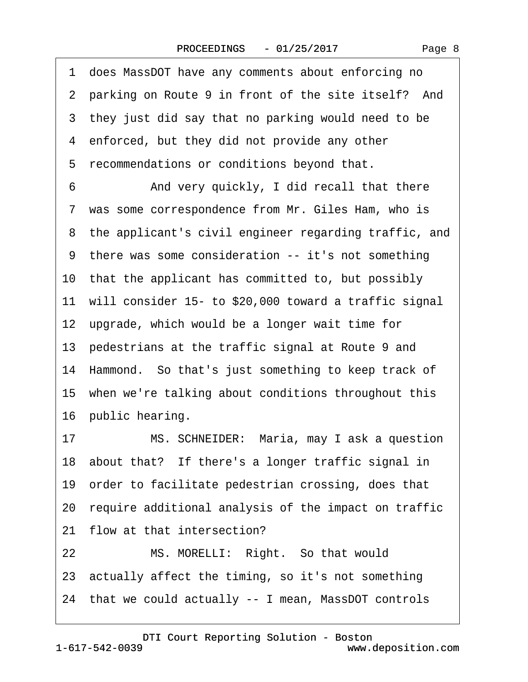| 1 does MassDOT have any comments about enforcing no      |
|----------------------------------------------------------|
| 2 parking on Route 9 in front of the site itself? And    |
| 3 they just did say that no parking would need to be     |
| 4 enforced, but they did not provide any other           |
| recommendations or conditions beyond that.<br>5          |
| And very quickly, I did recall that there<br>6           |
| 7 was some correspondence from Mr. Giles Ham, who is     |
| 8 the applicant's civil engineer regarding traffic, and  |
| 9 there was some consideration -- it's not something     |
| 10 that the applicant has committed to, but possibly     |
| 11 will consider 15- to \$20,000 toward a traffic signal |
| 12 upgrade, which would be a longer wait time for        |
| 13 pedestrians at the traffic signal at Route 9 and      |
| 14 Hammond. So that's just something to keep track of    |
| 15 when we're talking about conditions throughout this   |
| 16 public hearing.                                       |
| MS. SCHNEIDER: Maria, may I ask a question<br>17         |
| 18 about that? If there's a longer traffic signal in     |
| 19 order to facilitate pedestrian crossing, does that    |
| 20 require additional analysis of the impact on traffic  |
| flow at that intersection?<br>21                         |
| MS. MORELLI: Right. So that would<br>22                  |
| 23 actually affect the timing, so it's not something     |
| 24 that we could actually -- I mean, MassDOT controls    |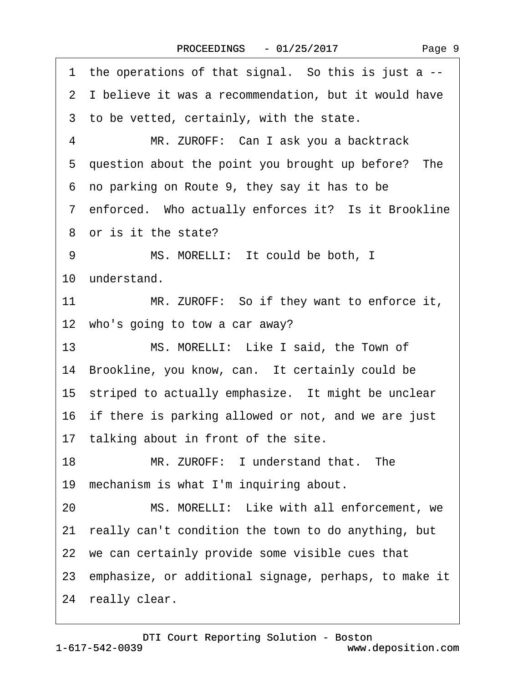1 the operations of that signal. So this is just a --2 I believe it was a recommendation, but it would have 3 to be vetted, certainly, with the state. 4 MR. ZUROFF: Can I ask you a backtrack 5 question about the point you brought up before? The ·6· no parking on Route 9, they say it has to be 7 enforced. Who actually enforces it? Is it Brookline ·8· or is it the state? 9 MS. MORELLI: It could be both, I 10 understand. 11 MR. ZUROFF: So if they want to enforce it, 12 who's going to tow a car away? 13 MS. MORELLI: Like I said, the Town of 14 Brookline, you know, can. It certainly could be 15 striped to actually emphasize. It might be unclear 16 if there is parking allowed or not, and we are just 17 talking about in front of the site. 18 MR. ZUROFF: I understand that. The 19· mechanism is what I'm inquiring about. 20 MS. MORELLI: Like with all enforcement, we 21· really can't condition the town to do anything, but 22 we can certainly provide some visible cues that 23· emphasize, or additional signage, perhaps, to make it 24 really clear.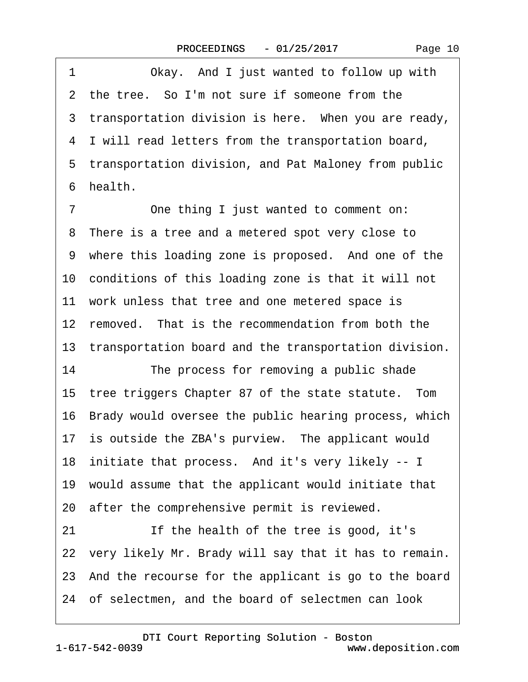| Page 10 |  |
|---------|--|
|---------|--|

| 1              | Okay. And I just wanted to follow up with                |
|----------------|----------------------------------------------------------|
|                | 2 the tree. So I'm not sure if someone from the          |
|                | 3 transportation division is here. When you are ready,   |
|                | 4 I will read letters from the transportation board,     |
|                | 5 transportation division, and Pat Maloney from public   |
|                | 6 health.                                                |
| $\overline{7}$ | One thing I just wanted to comment on:                   |
|                | 8 There is a tree and a metered spot very close to       |
|                | 9 where this loading zone is proposed. And one of the    |
|                | 10 conditions of this loading zone is that it will not   |
|                | 11 work unless that tree and one metered space is        |
|                | 12 removed. That is the recommendation from both the     |
|                | 13 transportation board and the transportation division. |
| 14             | The process for removing a public shade                  |
|                | 15 tree triggers Chapter 87 of the state statute. Tom    |
|                | 16 Brady would oversee the public hearing process, which |
|                | 17 is outside the ZBA's purview. The applicant would     |
|                | 18 initiate that process. And it's very likely -- I      |
|                | 19 would assume that the applicant would initiate that   |
|                | 20 after the comprehensive permit is reviewed.           |
| 21             | If the health of the tree is good, it's                  |
|                | 22 very likely Mr. Brady will say that it has to remain. |
|                | 23 And the recourse for the applicant is go to the board |
|                | 24 of selectmen, and the board of selectmen can look     |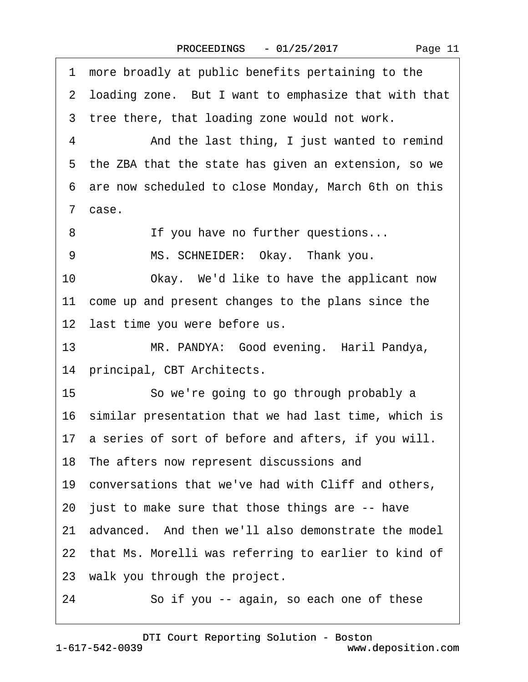1 more broadly at public benefits pertaining to the 2 loading zone. But I want to emphasize that with that 3 tree there, that loading zone would not work. 4 • • And the last thing, I just wanted to remind 5 the ZBA that the state has given an extension, so we ·6· are now scheduled to close Monday, March 6th on this ·7· case. 8 If you have no further questions... 9 MS. SCHNEIDER: Okay. Thank you. 10 Okay. We'd like to have the applicant now 11 come up and present changes to the plans since the 12 last time you were before us. 13 MR. PANDYA: Good evening. Haril Pandya, 14 principal, CBT Architects. 15 So we're going to go through probably a 16 similar presentation that we had last time, which is 17 a series of sort of before and afters, if you will. 18· The afters now represent discussions and 19· conversations that we've had with Cliff and others, 20 just to make sure that those things are -- have 21 advanced. And then we'll also demonstrate the model 22 that Ms. Morelli was referring to earlier to kind of 23 walk you through the project. 24 So if you -- again, so each one of these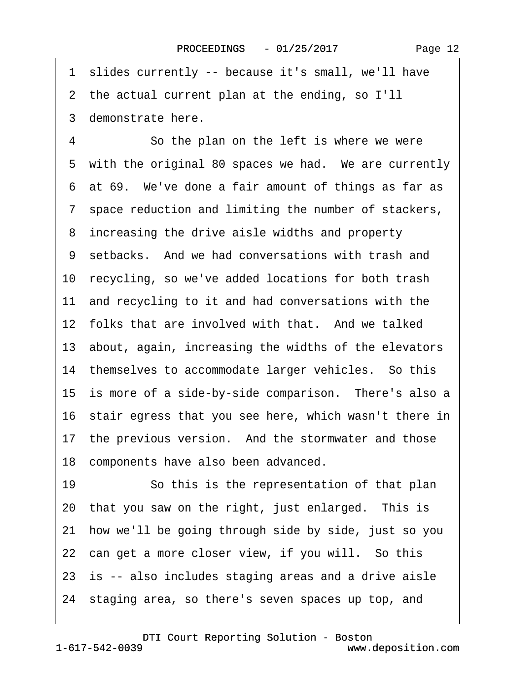·1· slides currently -- because it's small, we'll have

2 the actual current plan at the ending, so I'll

·3· demonstrate here.

4 So the plan on the left is where we were 5 with the original 80 spaces we had. We are currently ·6· at 69.· We've done a fair amount of things as far as 7 space reduction and limiting the number of stackers, 8 increasing the drive aisle widths and property 9 setbacks. And we had conversations with trash and 10 recycling, so we've added locations for both trash 11 and recycling to it and had conversations with the 12 folks that are involved with that. And we talked 13 about, again, increasing the widths of the elevators 14 themselves to accommodate larger vehicles. So this 15 is more of a side-by-side comparison. There's also a 16· stair egress that you see here, which wasn't there in 17 the previous version. And the stormwater and those 18 components have also been advanced.

19 • So this is the representation of that plan 20 that you saw on the right, just enlarged. This is 21· how we'll be going through side by side, just so you 22 can get a more closer view, if you will. So this 23 is -- also includes staging areas and a drive aisle 24· staging area, so there's seven spaces up top, and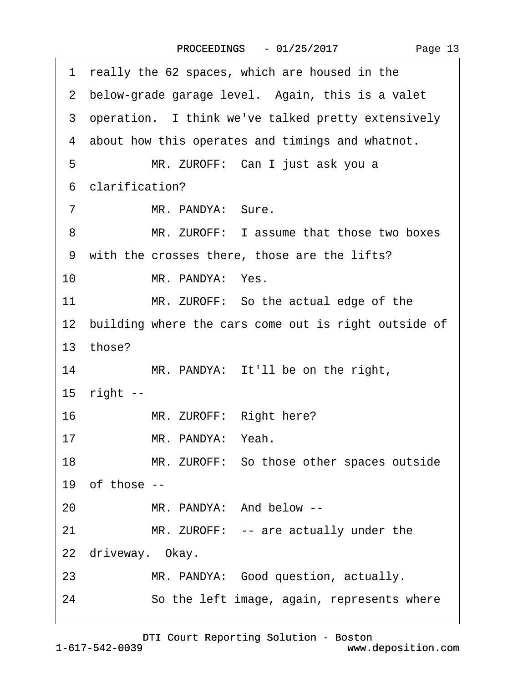| 1 really the 62 spaces, which are housed in the         |
|---------------------------------------------------------|
| 2 below-grade garage level. Again, this is a valet      |
| 3 operation. I think we've talked pretty extensively    |
| 4 about how this operates and timings and whatnot.      |
| 5<br>MR. ZUROFF: Can I just ask you a                   |
| 6 clarification?                                        |
| MR. PANDYA: Sure.<br>$\overline{7}$                     |
| MR. ZUROFF: I assume that those two boxes<br>8          |
| 9 with the crosses there, those are the lifts?          |
| $10-10$<br>MR. PANDYA: Yes.                             |
| MR. ZUROFF: So the actual edge of the<br>11             |
| 12 building where the cars come out is right outside of |
| 13 those?                                               |
| MR. PANDYA: It'll be on the right,<br>14                |
| 15 right --                                             |
| MR. ZUROFF: Right here?<br>16                           |
| MR. PANDYA: Yeah.<br>17                                 |
| 18<br>MR. ZUROFF: So those other spaces outside         |
| 19 of those $-$                                         |
| MR. PANDYA: And below --<br>20                          |
| MR. ZUROFF: -- are actually under the<br>21             |
| 22 driveway. Okay.                                      |
| MR. PANDYA: Good question, actually.<br>23              |
| So the left image, again, represents where<br>24        |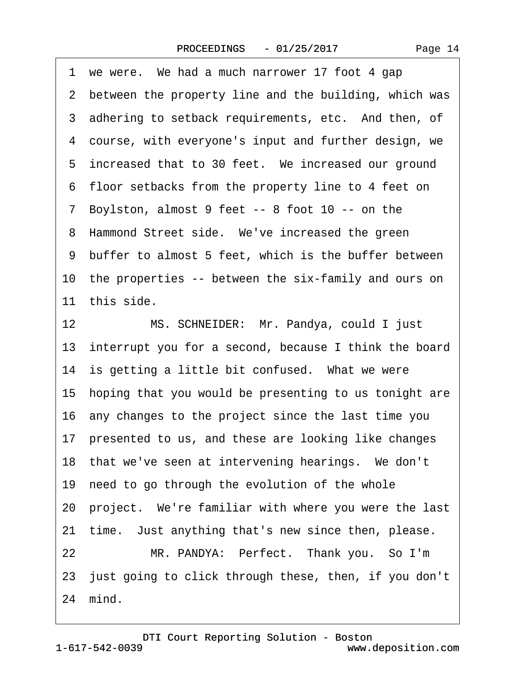1 we were. We had a much narrower 17 foot 4 gap 2 between the property line and the building, which was 3 adhering to setback requirements, etc. And then, of 4 course, with everyone's input and further design, we 5 increased that to 30 feet. We increased our ground ·6· floor setbacks from the property line to 4 feet on 7 Boylston, almost 9 feet -- 8 foot 10 -- on the 8 Hammond Street side. We've increased the green ·9· buffer to almost 5 feet, which is the buffer between 10 the properties -- between the six-family and ours on 11 this side. 12 MS. SCHNEIDER: Mr. Pandya, could I just 13 interrupt you for a second, because I think the board 14 is getting a little bit confused. What we were 15· hoping that you would be presenting to us tonight are 16· any changes to the project since the last time you 17 presented to us, and these are looking like changes 18 that we've seen at intervening hearings. We don't 19 need to go through the evolution of the whole

20· project.· We're familiar with where you were the last

21 time. Just anything that's new since then, please.

22 MR. PANDYA: Perfect. Thank you. So I'm 23 just going to click through these, then, if you don't 24 mind.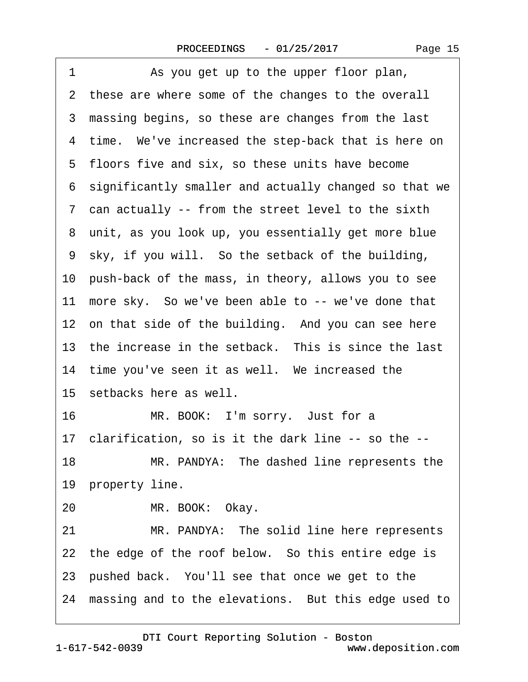1 As you get up to the upper floor plan, 2 these are where some of the changes to the overall 3 massing begins, so these are changes from the last 4 time. We've increased the step-back that is here on 5 floors five and six, so these units have become ·6· significantly smaller and actually changed so that we ·7· can actually -- from the street level to the sixth 8 unit, as you look up, you essentially get more blue ·9· sky, if you will.· So the setback of the building, 10· push-back of the mass, in theory, allows you to see 11 more sky. So we've been able to -- we've done that 12 on that side of the building. And you can see here 13 the increase in the setback. This is since the last 14 time you've seen it as well. We increased the 15 setbacks here as well. 16 MR. BOOK: I'm sorry. Just for a 17· clarification, so is it the dark line -- so the -- 18 MR. PANDYA: The dashed line represents the 19 property line. 20 MR. BOOK: Okay. 21 MR. PANDYA: The solid line here represents 22 the edge of the roof below. So this entire edge is 23· pushed back.· You'll see that once we get to the 24 massing and to the elevations. But this edge used to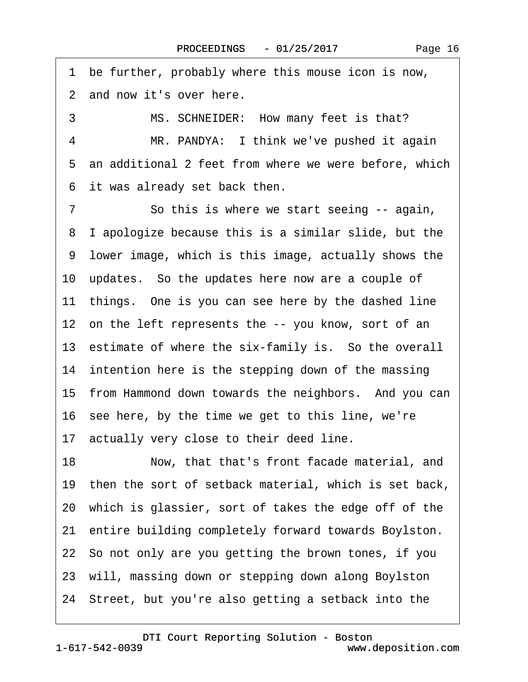Page 16

1 be further, probably where this mouse icon is now, 2 and now it's over here.

3 MS. SCHNEIDER: How many feet is that?

4 MR. PANDYA: I think we've pushed it again 5 an additional 2 feet from where we were before, which 6 it was already set back then.

7 So this is where we start seeing -- again, ·8· I apologize because this is a similar slide, but the ·9· lower image, which is this image, actually shows the 10· updates.· So the updates here now are a couple of 11 things. One is you can see here by the dashed line 12 on the left represents the -- you know, sort of an 13 estimate of where the six-family is. So the overall 14 intention here is the stepping down of the massing 15 from Hammond down towards the neighbors. And you can 16 see here, by the time we get to this line, we're 17 actually very close to their deed line. 18 Now, that that's front facade material, and 19 then the sort of setback material, which is set back, 20· which is glassier, sort of takes the edge off of the 21 entire building completely forward towards Boylston. 22· So not only are you getting the brown tones, if you 23· will, massing down or stepping down along Boylston 24· Street, but you're also getting a setback into the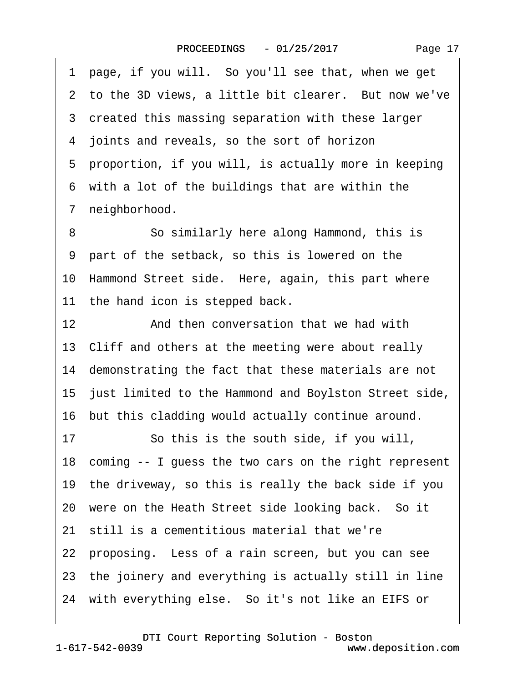| 1 page, if you will. So you'll see that, when we get     |
|----------------------------------------------------------|
| 2 to the 3D views, a little bit clearer. But now we've   |
| 3 created this massing separation with these larger      |
| 4 joints and reveals, so the sort of horizon             |
| 5 proportion, if you will, is actually more in keeping   |
| 6 with a lot of the buildings that are within the        |
| 7 neighborhood.                                          |
| So similarly here along Hammond, this is<br>8            |
| 9 part of the setback, so this is lowered on the         |
| 10 Hammond Street side. Here, again, this part where     |
| 11 the hand icon is stepped back.                        |
| 12<br>And then conversation that we had with             |
| 13 Cliff and others at the meeting were about really     |
| 14 demonstrating the fact that these materials are not   |
| 15 just limited to the Hammond and Boylston Street side, |
| 16 but this cladding would actually continue around.     |
| So this is the south side, if you will,<br>17            |
| 18 coming -- I guess the two cars on the right represent |
| 19 the driveway, so this is really the back side if you  |
| 20 were on the Heath Street side looking back. So it     |
| 21 still is a cementitious material that we're           |
| 22 proposing. Less of a rain screen, but you can see     |
| 23 the joinery and everything is actually still in line  |
| 24 with everything else. So it's not like an EIFS or     |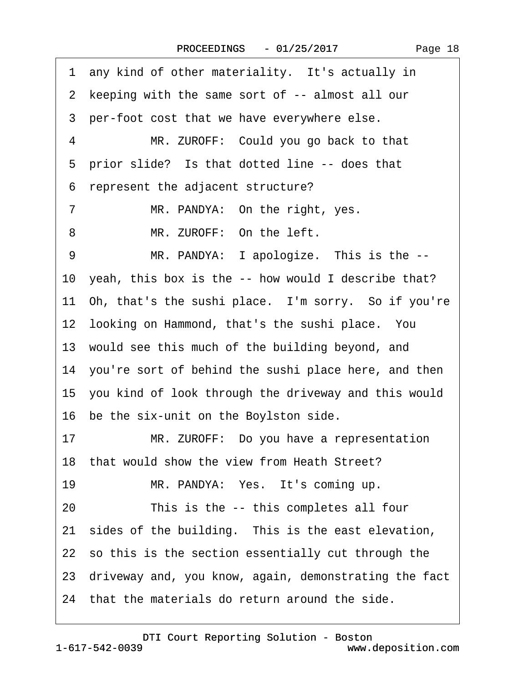1 any kind of other materiality. It's actually in 2 keeping with the same sort of -- almost all our 3 per-foot cost that we have everywhere else. 4 MR. ZUROFF: Could you go back to that 5 prior slide? Is that dotted line -- does that ·6· represent the adjacent structure? 7 MR. PANDYA: On the right, yes. 8 MR. ZUROFF: On the left. 9 MR. PANDYA: I apologize. This is the --10 yeah, this box is the -- how would I describe that? 11 Oh, that's the sushi place. I'm sorry. So if you're 12 looking on Hammond, that's the sushi place. You 13 would see this much of the building beyond, and 14 you're sort of behind the sushi place here, and then 15· you kind of look through the driveway and this would 16 be the six-unit on the Boylston side. 17 MR. ZUROFF: Do you have a representation 18 that would show the view from Heath Street? 19 MR. PANDYA: Yes. It's coming up. 20 This is the -- this completes all four 21 sides of the building. This is the east elevation, 22 so this is the section essentially cut through the 23· driveway and, you know, again, demonstrating the fact 24 that the materials do return around the side.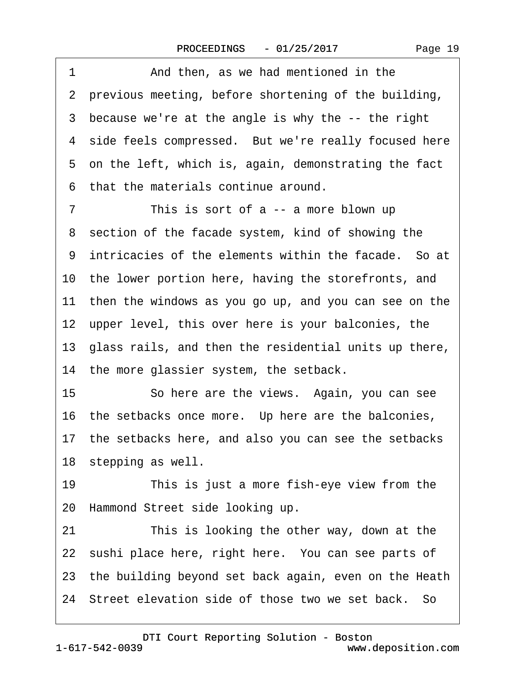| 1              | And then, as we had mentioned in the                     |
|----------------|----------------------------------------------------------|
|                | 2 previous meeting, before shortening of the building,   |
|                | 3 because we're at the angle is why the -- the right     |
|                | 4 side feels compressed. But we're really focused here   |
|                | 5 on the left, which is, again, demonstrating the fact   |
| 6              | that the materials continue around.                      |
| $\overline{7}$ | This is sort of a -- a more blown up                     |
|                | 8 section of the facade system, kind of showing the      |
|                | 9 intricacies of the elements within the facade. So at   |
|                | 10 the lower portion here, having the storefronts, and   |
|                | 11 then the windows as you go up, and you can see on the |
|                | 12 upper level, this over here is your balconies, the    |
|                | 13 glass rails, and then the residential units up there, |
|                | 14 the more glassier system, the setback.                |
| 15             | So here are the views. Again, you can see                |
|                | 16 the setbacks once more. Up here are the balconies,    |
|                | 17 the setbacks here, and also you can see the setbacks  |
|                | 18 stepping as well.                                     |
| 19             | This is just a more fish-eye view from the               |
|                | 20 Hammond Street side looking up.                       |
| 21             | This is looking the other way, down at the               |
|                | 22 sushi place here, right here. You can see parts of    |
|                | 23 the building beyond set back again, even on the Heath |
|                | 24 Street elevation side of those two we set back. So    |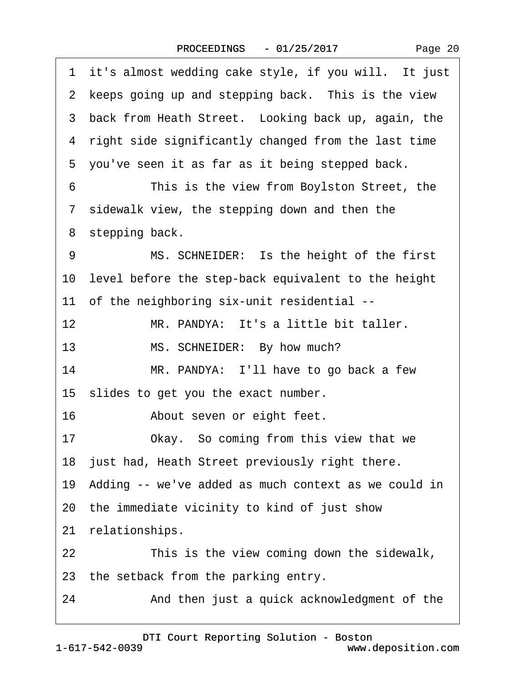| 1 it's almost wedding cake style, if you will. It just  |
|---------------------------------------------------------|
| 2 keeps going up and stepping back. This is the view    |
| 3 back from Heath Street. Looking back up, again, the   |
| 4 right side significantly changed from the last time   |
| 5 you've seen it as far as it being stepped back.       |
| This is the view from Boylston Street, the<br>6         |
| 7 sidewalk view, the stepping down and then the         |
| 8 stepping back.                                        |
| MS. SCHNEIDER: Is the height of the first<br>9          |
| 10 level before the step-back equivalent to the height  |
| 11 of the neighboring six-unit residential --           |
| 12<br>MR. PANDYA: It's a little bit taller.             |
| 13<br>MS. SCHNEIDER: By how much?                       |
| 14<br>MR. PANDYA: I'll have to go back a few            |
| 15 slides to get you the exact number.                  |
| 16<br>About seven or eight feet.                        |
| Okay. So coming from this view that we<br>17            |
| 18 just had, Heath Street previously right there.       |
| 19 Adding -- we've added as much context as we could in |
| 20 the immediate vicinity to kind of just show          |
| relationships.<br>21                                    |
| This is the view coming down the sidewalk,<br>22        |
| 23 the setback from the parking entry.                  |
| 24<br>And then just a quick acknowledgment of the       |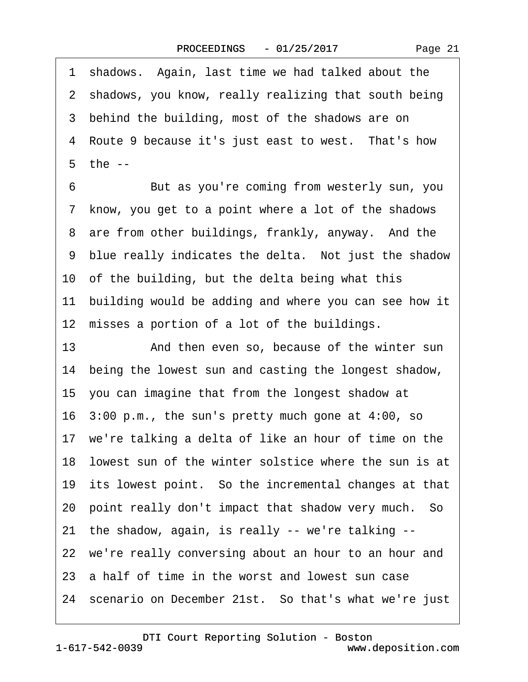Page 21

·1· shadows.· Again, last time we had talked about the 2 shadows, you know, really realizing that south being 3 behind the building, most of the shadows are on 4 Route 9 because it's just east to west. That's how ·5· the --

6 **But as you're coming from westerly sun, you** ·7· know, you get to a point where a lot of the shadows 8 are from other buildings, frankly, anyway. And the 9 blue really indicates the delta. Not just the shadow 10 of the building, but the delta being what this 11 building would be adding and where you can see how it 12 misses a portion of a lot of the buildings.

13 • **And then even so, because of the winter sun** 14 being the lowest sun and casting the longest shadow, 15· you can imagine that from the longest shadow at 16· 3:00 p.m., the sun's pretty much gone at 4:00, so 17 we're talking a delta of like an hour of time on the 18 lowest sun of the winter solstice where the sun is at 19 its lowest point. So the incremental changes at that 20· point really don't impact that shadow very much.· So 21· the shadow, again, is really -- we're talking -- 22 we're really conversing about an hour to an hour and 23· a half of time in the worst and lowest sun case 24 scenario on December 21st. So that's what we're just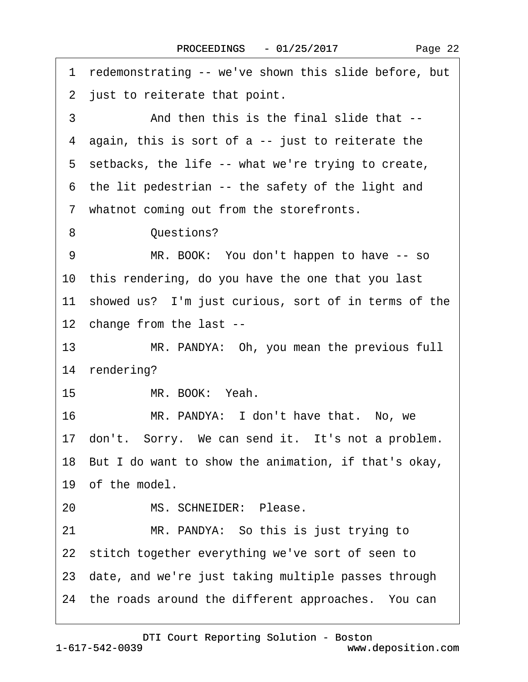| 1 redemonstrating -- we've shown this slide before, but |
|---------------------------------------------------------|
| 2 just to reiterate that point.                         |
| And then this is the final slide that --<br>3           |
| 4 again, this is sort of a -- just to reiterate the     |
| 5 setbacks, the life -- what we're trying to create,    |
| 6 the lit pedestrian -- the safety of the light and     |
| 7 whatnot coming out from the storefronts.              |
| Questions?<br>8                                         |
| 9<br>MR. BOOK: You don't happen to have -- so           |
| 10 this rendering, do you have the one that you last    |
| 11 showed us? I'm just curious, sort of in terms of the |
| 12 change from the last --                              |
| 13<br>MR. PANDYA: Oh, you mean the previous full        |
| 14 rendering?                                           |
| 15 <sub>15</sub><br>MR. BOOK: Yeah.                     |
| 16<br>MR. PANDYA: I don't have that. No, we             |
| 17 don't. Sorry. We can send it. It's not a problem.    |
| 18 But I do want to show the animation, if that's okay, |
| 19 of the model.                                        |
| MS. SCHNEIDER: Please.<br>20                            |
| 21<br>MR. PANDYA: So this is just trying to             |
| 22 stitch together everything we've sort of seen to     |
| 23 date, and we're just taking multiple passes through  |
| 24 the roads around the different approaches. You can   |

 $\sqrt{ }$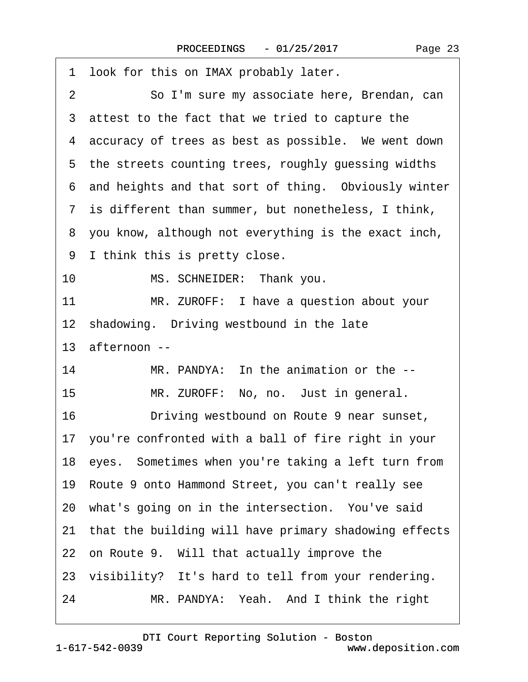| 1 look for this on IMAX probably later.                  |
|----------------------------------------------------------|
| So I'm sure my associate here, Brendan, can<br>2         |
| 3 attest to the fact that we tried to capture the        |
| 4 accuracy of trees as best as possible. We went down    |
| 5 the streets counting trees, roughly guessing widths    |
| 6 and heights and that sort of thing. Obviously winter   |
| 7 is different than summer, but nonetheless, I think,    |
| 8 you know, although not everything is the exact inch,   |
| 9 I think this is pretty close.                          |
| 10<br>MS. SCHNEIDER: Thank you.                          |
| 11<br>MR. ZUROFF: I have a question about your           |
| 12 shadowing. Driving westbound in the late              |
| 13 afternoon --                                          |
| MR. PANDYA: In the animation or the --<br>14             |
| 15<br>MR. ZUROFF: No, no. Just in general.               |
| 16<br>Driving westbound on Route 9 near sunset,          |
| 17 you're confronted with a ball of fire right in your   |
| 18 eyes. Sometimes when you're taking a left turn from   |
| 19 Route 9 onto Hammond Street, you can't really see     |
| 20 what's going on in the intersection. You've said      |
| 21 that the building will have primary shadowing effects |
| 22 on Route 9. Will that actually improve the            |
| 23 visibility? It's hard to tell from your rendering.    |
| 24<br>MR. PANDYA: Yeah. And I think the right            |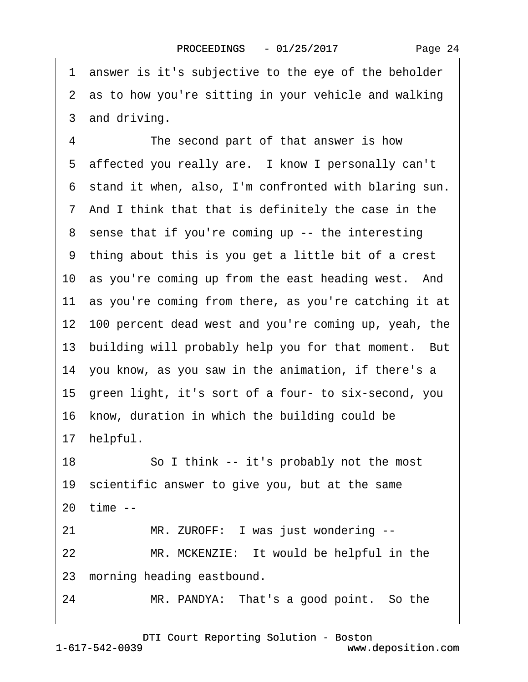·1· answer is it's subjective to the eye of the beholder 2 as to how you're sitting in your vehicle and walking 3 and driving. 4 The second part of that answer is how 5 affected you really are. I know I personally can't ·6· stand it when, also, I'm confronted with blaring sun. ·7· And I think that that is definitely the case in the 8 sense that if you're coming up -- the interesting ·9· thing about this is you get a little bit of a crest 10 as you're coming up from the east heading west. And 11 as you're coming from there, as you're catching it at 12· 100 percent dead west and you're coming up, yeah, the 13 building will probably help you for that moment. But 14· you know, as you saw in the animation, if there's a 15 green light, it's sort of a four- to six-second, you 16 know, duration in which the building could be 17· helpful. 18 So I think -- it's probably not the most 19 scientific answer to give you, but at the same 20· time -- 21 MR. ZUROFF: I was just wondering --22 MR. MCKENZIE: It would be helpful in the 23 morning heading eastbound. 24 MR. PANDYA: That's a good point. So the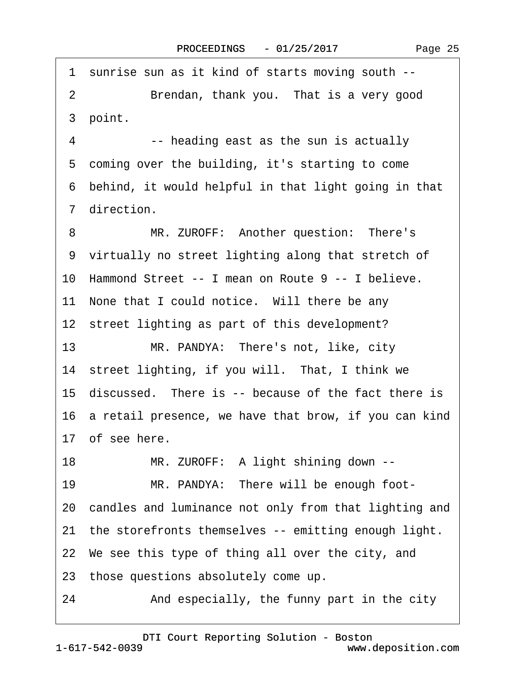·1· sunrise sun as it kind of starts moving south -- 2 Brendan, thank you. That is a very good 3 point. 4 -- heading east as the sun is actually 5 coming over the building, it's starting to come ·6· behind, it would helpful in that light going in that 7 direction. 8 MR. ZUROFF: Another question: There's ·9· virtually no street lighting along that stretch of 10 Hammond Street -- I mean on Route 9 -- I believe. 11 None that I could notice. Will there be any 12 street lighting as part of this development? 13 MR. PANDYA: There's not, like, city 14 street lighting, if you will. That, I think we 15 discussed. There is -- because of the fact there is 16 a retail presence, we have that brow, if you can kind 17 of see here. 18 MR. ZUROFF: A light shining down --19 MR. PANDYA: There will be enough foot-20 candles and luminance not only from that lighting and 21 the storefronts themselves -- emitting enough light. 22 We see this type of thing all over the city, and 23· those questions absolutely come up. 24 • And especially, the funny part in the city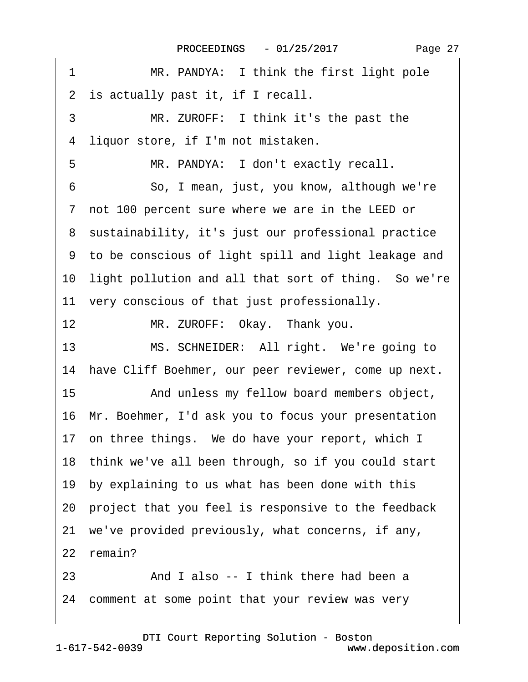| 1<br>MR. PANDYA: I think the first light pole           |
|---------------------------------------------------------|
| 2 is actually past it, if I recall.                     |
| 3<br>MR. ZUROFF: I think it's the past the              |
| liquor store, if I'm not mistaken.<br>4                 |
| MR. PANDYA: I don't exactly recall.<br>5                |
| So, I mean, just, you know, although we're<br>6         |
| 7 not 100 percent sure where we are in the LEED or      |
| 8 sustainability, it's just our professional practice   |
| 9 to be conscious of light spill and light leakage and  |
| 10 light pollution and all that sort of thing. So we're |
| 11 very conscious of that just professionally.          |
| 12<br>MR. ZUROFF: Okay. Thank you.                      |
| 13<br>MS. SCHNEIDER: All right. We're going to          |
| 14 have Cliff Boehmer, our peer reviewer, come up next. |
| 15<br>And unless my fellow board members object,        |
| 16 Mr. Boehmer, I'd ask you to focus your presentation  |
| 17 on three things. We do have your report, which I     |
| 18 think we've all been through, so if you could start  |
| 19 by explaining to us what has been done with this     |
| 20 project that you feel is responsive to the feedback  |
| 21 we've provided previously, what concerns, if any,    |
| 22 remain?                                              |
| And I also -- I think there had been a<br>23            |
| 24 comment at some point that your review was very      |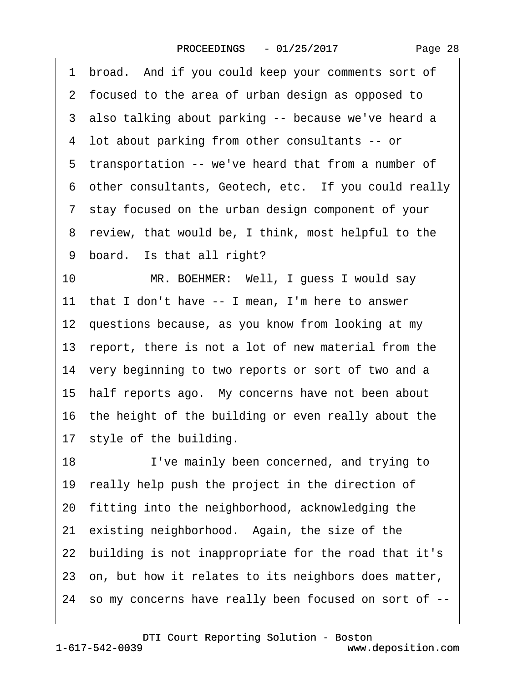Page 28

1 broad. And if you could keep your comments sort of ·2· focused to the area of urban design as opposed to 3 also talking about parking -- because we've heard a ·4· lot about parking from other consultants -- or 5 transportation -- we've heard that from a number of 6 other consultants, Geotech, etc. If you could really ·7· stay focused on the urban design component of your 8 review, that would be, I think, most helpful to the 9 board. Is that all right? 10 MR. BOEHMER: Well, I guess I would say 11 that I don't have -- I mean, I'm here to answer 12 questions because, as you know from looking at my 13 report, there is not a lot of new material from the 14 very beginning to two reports or sort of two and a 15 half reports ago. My concerns have not been about 16 the height of the building or even really about the 17 style of the building. 18 I've mainly been concerned, and trying to 19 really help push the project in the direction of 20· fitting into the neighborhood, acknowledging the 21 existing neighborhood. Again, the size of the 22· building is not inappropriate for the road that it's 23 on, but how it relates to its neighbors does matter, 24· so my concerns have really been focused on sort of --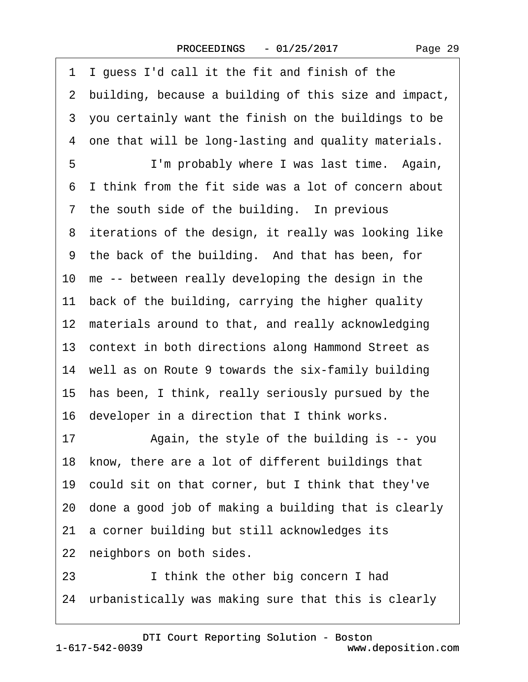·1· I guess I'd call it the fit and finish of the ·2· building, because a building of this size and impact, ·3· you certainly want the finish on the buildings to be 4 one that will be long-lasting and quality materials. 5 I'm probably where I was last time. Again, ·6· I think from the fit side was a lot of concern about 7 the south side of the building. In previous 8 iterations of the design, it really was looking like ·9· the back of the building.· And that has been, for 10 me -- between really developing the design in the 11 back of the building, carrying the higher quality 12 materials around to that, and really acknowledging 13 context in both directions along Hammond Street as 14 well as on Route 9 towards the six-family building 15· has been, I think, really seriously pursued by the 16 developer in a direction that I think works. 17 • Again, the style of the building is -- you 18 know, there are a lot of different buildings that 19· could sit on that corner, but I think that they've 20· done a good job of making a building that is clearly 21 a corner building but still acknowledges its 22 neighbors on both sides. 23 I think the other big concern I had

24 urbanistically was making sure that this is clearly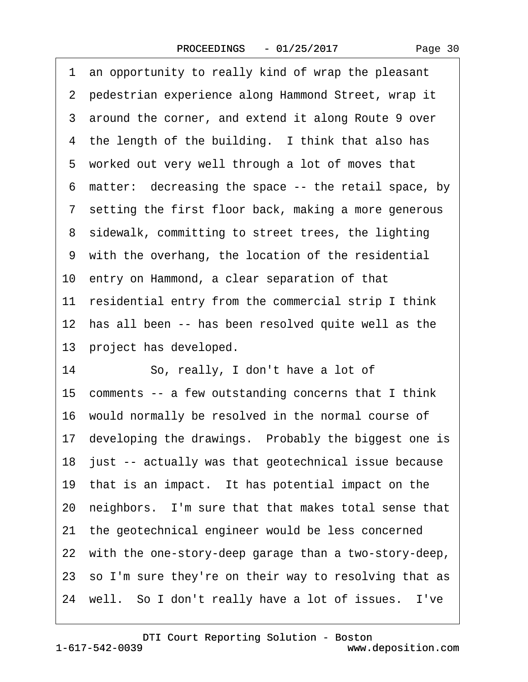·1· an opportunity to really kind of wrap the pleasant 2 pedestrian experience along Hammond Street, wrap it 3 around the corner, and extend it along Route 9 over 4 the length of the building. I think that also has 5 worked out very well through a lot of moves that ·6· matter:· decreasing the space -- the retail space, by 7 setting the first floor back, making a more generous 8 sidewalk, committing to street trees, the lighting ·9· with the overhang, the location of the residential 10 entry on Hammond, a clear separation of that 11 residential entry from the commercial strip I think 12 has all been -- has been resolved quite well as the 13 project has developed. 14 · So, really, I don't have a lot of 15 comments -- a few outstanding concerns that I think 16· would normally be resolved in the normal course of 17 developing the drawings. Probably the biggest one is 18 just -- actually was that geotechnical issue because 19 that is an impact. It has potential impact on the 20· neighbors.· I'm sure that that makes total sense that 21· the geotechnical engineer would be less concerned 22 with the one-story-deep garage than a two-story-deep, 23 so I'm sure they're on their way to resolving that as 24 well. So I don't really have a lot of issues. I've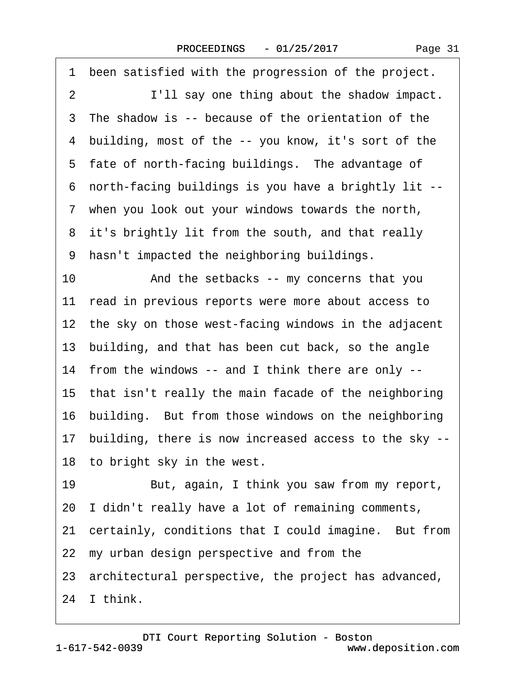| been satisfied with the progression of the project.<br>1 |
|----------------------------------------------------------|
| I'll say one thing about the shadow impact.<br>2         |
| The shadow is -- because of the orientation of the<br>3  |
| 4 building, most of the -- you know, it's sort of the    |
| 5 fate of north-facing buildings. The advantage of       |
| 6 north-facing buildings is you have a brightly lit --   |
| 7 when you look out your windows towards the north,      |
| 8 it's brightly lit from the south, and that really      |
| hasn't impacted the neighboring buildings.<br>9          |
| 10<br>And the setbacks -- my concerns that you           |
| 11 read in previous reports were more about access to    |
| 12 the sky on those west-facing windows in the adjacent  |
| 13 building, and that has been cut back, so the angle    |
| 14 from the windows -- and I think there are only --     |
| 15 that isn't really the main facade of the neighboring  |
| 16 building. But from those windows on the neighboring   |
| 17 building, there is now increased access to the sky -- |
| 18 to bright sky in the west.                            |
| 19<br>But, again, I think you saw from my report,        |
| 20 I didn't really have a lot of remaining comments,     |
| 21 certainly, conditions that I could imagine. But from  |
| 22 my urban design perspective and from the              |
| 23 architectural perspective, the project has advanced,  |
| 24 I think.                                              |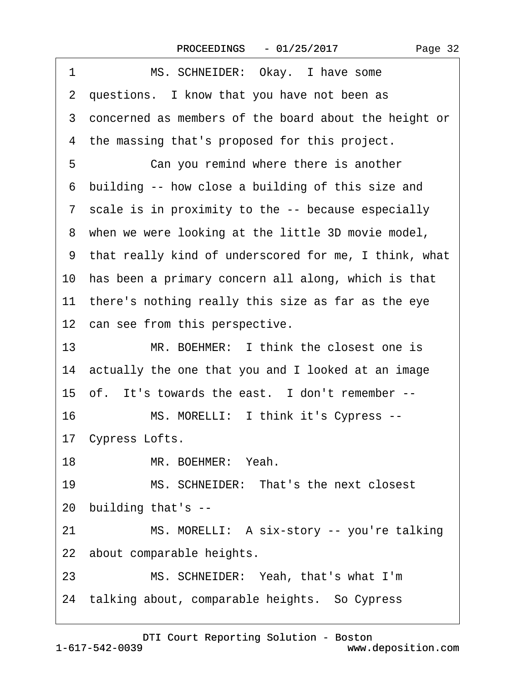| MS. SCHNEIDER: Okay. I have some<br>1                   |
|---------------------------------------------------------|
| 2 questions. I know that you have not been as           |
| 3 concerned as members of the board about the height or |
| 4 the massing that's proposed for this project.         |
| 5<br>Can you remind where there is another              |
| 6 building -- how close a building of this size and     |
| 7 scale is in proximity to the -- because especially    |
| 8 when we were looking at the little 3D movie model,    |
| 9 that really kind of underscored for me, I think, what |
| 10 has been a primary concern all along, which is that  |
| 11 there's nothing really this size as far as the eye   |
| 12 can see from this perspective.                       |
| MR. BOEHMER: I think the closest one is<br>13           |
| 14 actually the one that you and I looked at an image   |
| 15 of. It's towards the east. I don't remember --       |
| 16<br>MS. MORELLI: I think it's Cypress --              |
| 17 Cypress Lofts.                                       |
| MR. BOEHMER: Yeah.<br>18                                |
| 19<br>MS. SCHNEIDER: That's the next closest            |
| 20 building that's --                                   |
| 21<br>MS. MORELLI: A six-story -- you're talking        |
| 22 about comparable heights.                            |
| MS. SCHNEIDER: Yeah, that's what I'm<br>23              |
| 24 talking about, comparable heights. So Cypress        |
|                                                         |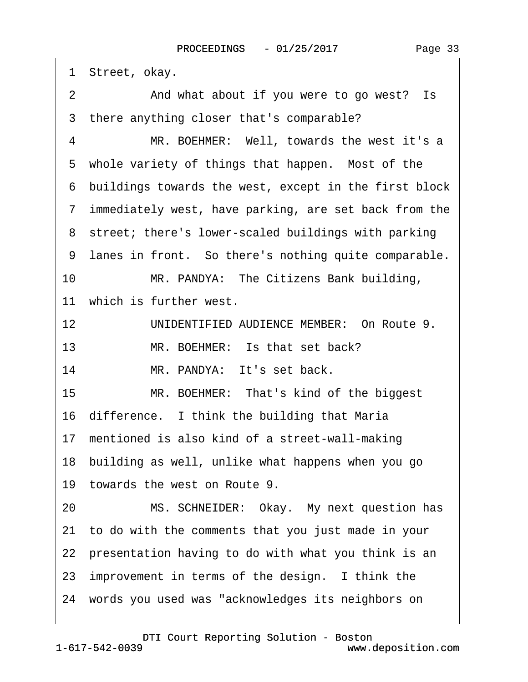1 Street, okay. 2 And what about if you were to go west? Is 3 there anything closer that's comparable? 4 MR. BOEHMER: Well, towards the west it's a 5 whole variety of things that happen. Most of the ·6· buildings towards the west, except in the first block ·7· immediately west, have parking, are set back from the 8 street; there's lower-scaled buildings with parking 9 lanes in front. So there's nothing quite comparable. 10 MR. PANDYA: The Citizens Bank building, 11 which is further west. 12 UNIDENTIFIED AUDIENCE MEMBER: On Route 9. 13 MR. BOEHMER: Is that set back? 14 MR. PANDYA: It's set back. 15 MR. BOEHMER: That's kind of the biggest 16 difference. I think the building that Maria 17 mentioned is also kind of a street-wall-making 18· building as well, unlike what happens when you go 19 towards the west on Route 9. 20 MS. SCHNEIDER: Okay. My next question has 21· to do with the comments that you just made in your 22 presentation having to do with what you think is an 23 improvement in terms of the design. I think the 24· words you used was "acknowledges its neighbors on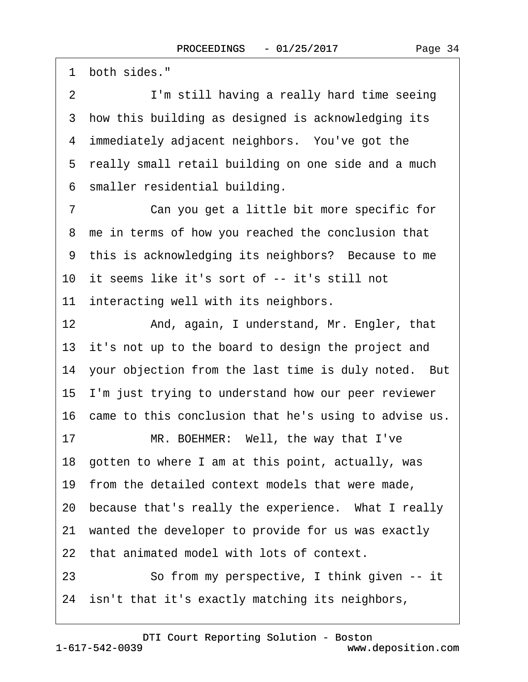1 both sides."

2 I'm still having a really hard time seeing 3 how this building as designed is acknowledging its 4 immediately adjacent neighbors. You've got the 5 really small retail building on one side and a much ·6· smaller residential building.

7 Can you get a little bit more specific for 8 me in terms of how you reached the conclusion that 9 this is acknowledging its neighbors? Because to me 10 it seems like it's sort of -- it's still not

11 interacting well with its neighbors.

12 And, again, I understand, Mr. Engler, that 13 it's not up to the board to design the project and 14 your objection from the last time is duly noted. But 15· I'm just trying to understand how our peer reviewer 16 came to this conclusion that he's using to advise us.

17 MR. BOEHMER: Well, the way that I've

18· gotten to where I am at this point, actually, was

19 from the detailed context models that were made,

20 because that's really the experience. What I really

21 wanted the developer to provide for us was exactly

22· that animated model with lots of context.

23 So from my perspective, I think given -- it 24 isn't that it's exactly matching its neighbors,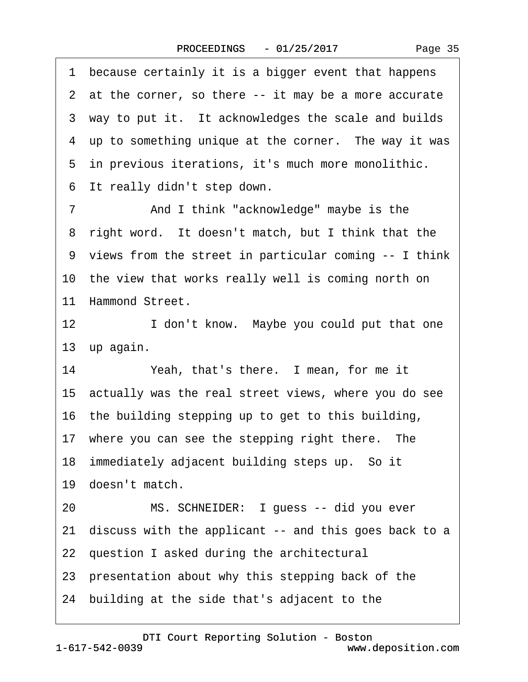Page 35

1 because certainly it is a bigger event that happens 2 at the corner, so there -- it may be a more accurate 3 way to put it. It acknowledges the scale and builds 4 up to something unique at the corner. The way it was 5 in previous iterations, it's much more monolithic. 6 It really didn't step down. 7 **And I think "acknowledge" maybe is the** 8 right word. It doesn't match, but I think that the ·9· views from the street in particular coming -- I think 10 the view that works really well is coming north on 11 Hammond Street. 12 **I** don't know. Maybe you could put that one 13 up again. 14 Yeah, that's there. I mean, for me it 15· actually was the real street views, where you do see 16· the building stepping up to get to this building, 17 where you can see the stepping right there. The 18 immediately adjacent building steps up. So it 19 doesn't match. 20 MS. SCHNEIDER: I guess -- did you ever 21 discuss with the applicant -- and this goes back to a 22 question I asked during the architectural

23 presentation about why this stepping back of the

24· building at the side that's adjacent to the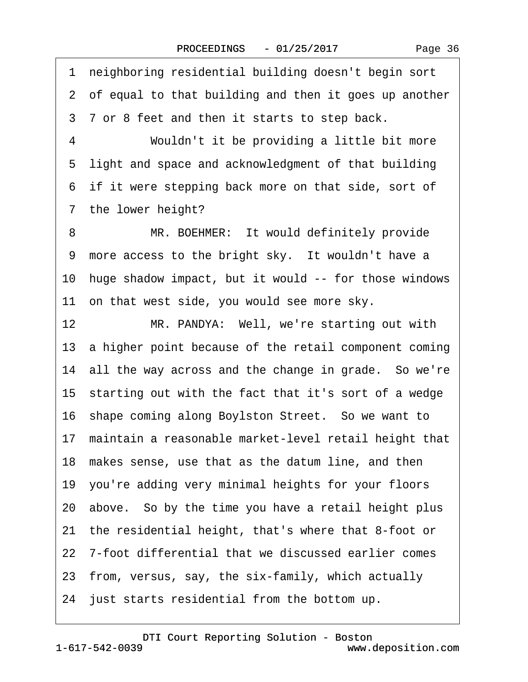Page 36

·1· neighboring residential building doesn't begin sort 2 of equal to that building and then it goes up another 3 7 or 8 feet and then it starts to step back. 4 Wouldn't it be providing a little bit more 5 light and space and acknowledgment of that building 6 if it were stepping back more on that side, sort of 7 the lower height? 8 MR. BOEHMER: It would definitely provide 9 more access to the bright sky. It wouldn't have a 10 huge shadow impact, but it would -- for those windows 11 on that west side, you would see more sky. 12 MR. PANDYA: Well, we're starting out with 13 a higher point because of the retail component coming 14 all the way across and the change in grade. So we're 15 starting out with the fact that it's sort of a wedge 16 shape coming along Boylston Street. So we want to 17 maintain a reasonable market-level retail height that 18 makes sense, use that as the datum line, and then 19· you're adding very minimal heights for your floors 20· above.· So by the time you have a retail height plus 21· the residential height, that's where that 8-foot or 22 7-foot differential that we discussed earlier comes 23· from, versus, say, the six-family, which actually 24· just starts residential from the bottom up.

1-617-542-0039 [DTI Court Reporting Solution - Boston](http://www.deposition.com) www.deposition.com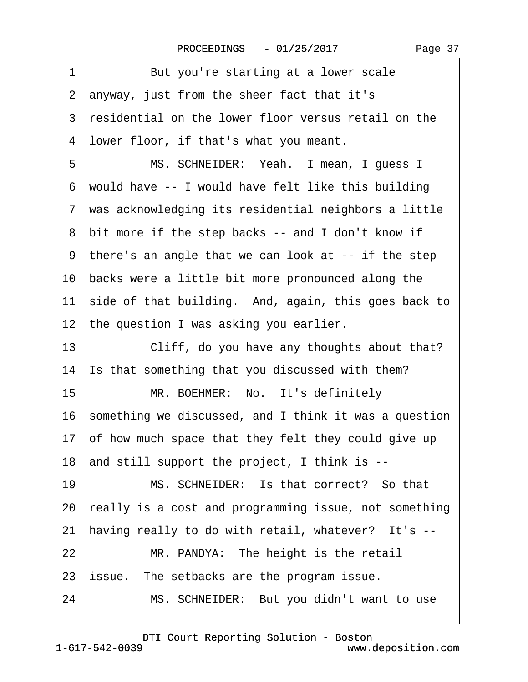1 But you're starting at a lower scale ·2· anyway, just from the sheer fact that it's 3 residential on the lower floor versus retail on the ·4· lower floor, if that's what you meant. 5 MS. SCHNEIDER: Yeah. I mean, I guess I ·6· would have -- I would have felt like this building ·7· was acknowledging its residential neighbors a little 8 bit more if the step backs -- and I don't know if ·9· there's an angle that we can look at -- if the step 10· backs were a little bit more pronounced along the 11 side of that building. And, again, this goes back to 12 the question I was asking you earlier. 13 Cliff, do you have any thoughts about that? 14 Is that something that you discussed with them? 15 MR. BOEHMER: No. It's definitely 16· something we discussed, and I think it was a question 17 of how much space that they felt they could give up 18· and still support the project, I think is -- 19 MS. SCHNEIDER: Is that correct? So that 20· really is a cost and programming issue, not something 21 having really to do with retail, whatever? It's --22 MR. PANDYA: The height is the retail 23 issue. The setbacks are the program issue. 24 MS. SCHNEIDER: But you didn't want to use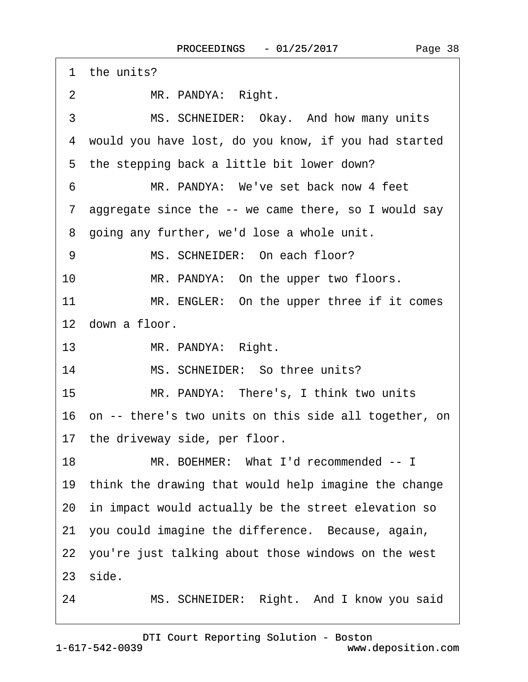|                 | 1 the units?                                             |
|-----------------|----------------------------------------------------------|
| 2               | MR. PANDYA: Right.                                       |
| 3               | MS. SCHNEIDER: Okay. And how many units                  |
|                 | 4 would you have lost, do you know, if you had started   |
|                 | 5 the stepping back a little bit lower down?             |
| 6               | MR. PANDYA: We've set back now 4 feet                    |
|                 | 7 aggregate since the -- we came there, so I would say   |
|                 | 8 going any further, we'd lose a whole unit.             |
| 9               | MS. SCHNEIDER: On each floor?                            |
| 10              | MR. PANDYA: On the upper two floors.                     |
| 11              | MR. ENGLER: On the upper three if it comes               |
|                 | 12 down a floor.                                         |
| 13 <sup>°</sup> | MR. PANDYA: Right.                                       |
| 14              | MS. SCHNEIDER: So three units?                           |
| 15              | MR. PANDYA: There's, I think two units                   |
|                 | 16 on -- there's two units on this side all together, on |
|                 | 17 the driveway side, per floor.                         |
| 18              | MR. BOEHMER: What I'd recommended -- I                   |
|                 | 19 think the drawing that would help imagine the change  |
|                 | 20 in impact would actually be the street elevation so   |
|                 | 21 you could imagine the difference. Because, again,     |
|                 | 22 you're just talking about those windows on the west   |
|                 | 23 side.                                                 |
| 24              | MS. SCHNEIDER: Right. And I know you said                |
|                 |                                                          |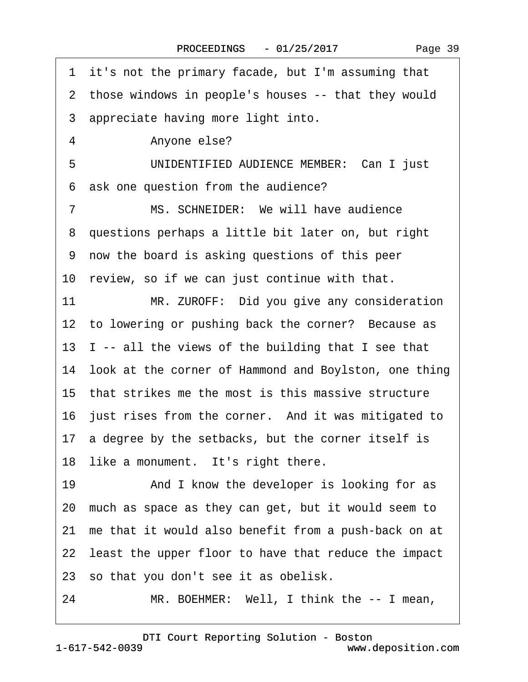·1· it's not the primary facade, but I'm assuming that 2 those windows in people's houses -- that they would 3 appreciate having more light into. 4 Anyone else? 5 UNIDENTIFIED AUDIENCE MEMBER: Can I just 6 ask one question from the audience? 7 MS. SCHNEIDER: We will have audience ·8· questions perhaps a little bit later on, but right ·9· now the board is asking questions of this peer 10 review, so if we can just continue with that. 11 MR. ZUROFF: Did you give any consideration 12 to lowering or pushing back the corner? Because as 13  $\,$  I -- all the views of the building that I see that 14· look at the corner of Hammond and Boylston, one thing 15· that strikes me the most is this massive structure 16 just rises from the corner. And it was mitigated to 17 a degree by the setbacks, but the corner itself is 18 like a monument. It's right there. 19 • And I know the developer is looking for as 20· much as space as they can get, but it would seem to 21 me that it would also benefit from a push-back on at 22 least the upper floor to have that reduce the impact 23· so that you don't see it as obelisk. 24 MR. BOEHMER: Well, I think the -- I mean,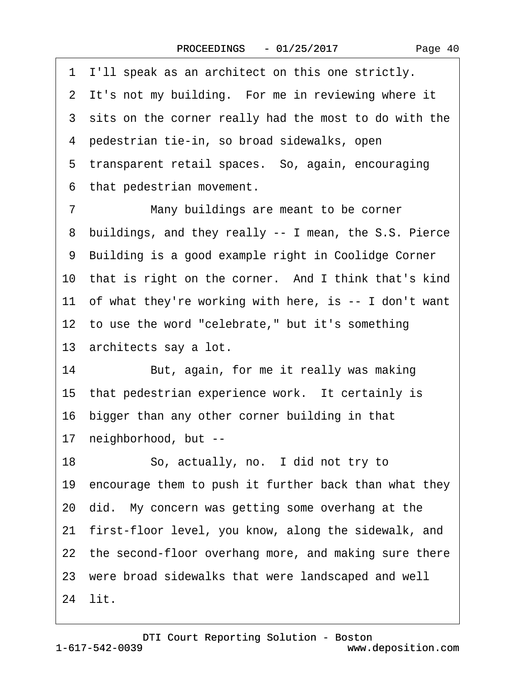·1· I'll speak as an architect on this one strictly. 2 It's not my building. For me in reviewing where it 3 sits on the corner really had the most to do with the ·4· pedestrian tie-in, so broad sidewalks, open 5 transparent retail spaces. So, again, encouraging 6 that pedestrian movement. 7 Many buildings are meant to be corner 8 buildings, and they really -- I mean, the S.S. Pierce ·9· Building is a good example right in Coolidge Corner 10 that is right on the corner. And I think that's kind 11 of what they're working with here, is -- I don't want 12 to use the word "celebrate," but it's something 13 architects say a lot. 14 But, again, for me it really was making 15 that pedestrian experience work. It certainly is 16 bigger than any other corner building in that 17 neighborhood, but --18 · · So, actually, no. I did not try to 19 encourage them to push it further back than what they 20· did.· My concern was getting some overhang at the 21 first-floor level, you know, along the sidewalk, and 22 the second-floor overhang more, and making sure there 23· were broad sidewalks that were landscaped and well 24 lit.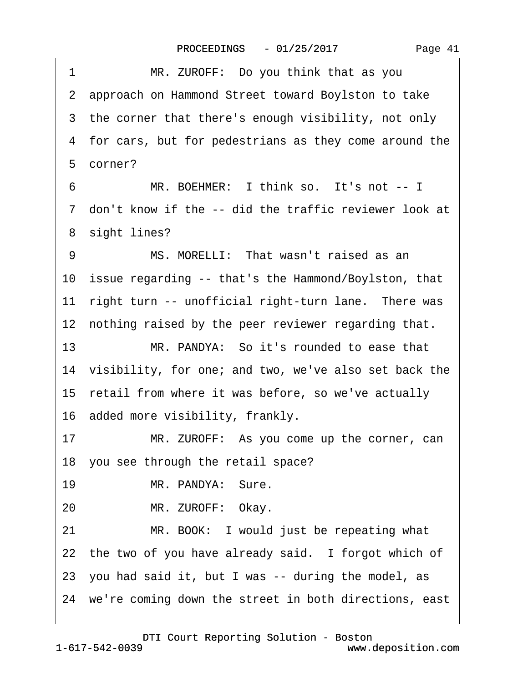| MR. ZUROFF: Do you think that as you<br>1                 |
|-----------------------------------------------------------|
| 2 approach on Hammond Street toward Boylston to take      |
| 3 the corner that there's enough visibility, not only     |
| 4 for cars, but for pedestrians as they come around the   |
| 5 corner?                                                 |
| MR. BOEHMER: I think so. It's not -- I<br>6               |
| 7 don't know if the -- did the traffic reviewer look at   |
| 8 sight lines?                                            |
| MS. MORELLI: That wasn't raised as an<br>9                |
| 10 issue regarding -- that's the Hammond/Boylston, that   |
| right turn -- unofficial right-turn lane. There was<br>11 |
| 12 nothing raised by the peer reviewer regarding that.    |
| 13<br>MR. PANDYA: So it's rounded to ease that            |
| 14 visibility, for one; and two, we've also set back the  |
| 15 retail from where it was before, so we've actually     |
| 16 added more visibility, frankly.                        |
| 17<br>MR. ZUROFF: As you come up the corner, can          |
| 18 you see through the retail space?                      |
| 19<br>MR. PANDYA: Sure.                                   |
| MR. ZUROFF: Okay.<br>20                                   |
| MR. BOOK: I would just be repeating what<br>21            |
| 22 the two of you have already said. I forgot which of    |
| 23 you had said it, but I was -- during the model, as     |
| 24 we're coming down the street in both directions, east  |
|                                                           |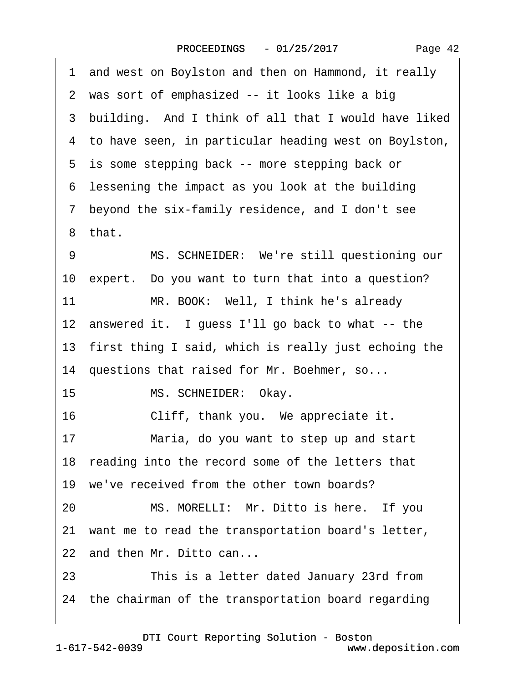| 1 and west on Boylston and then on Hammond, it really   |
|---------------------------------------------------------|
| 2 was sort of emphasized -- it looks like a big         |
| 3 building. And I think of all that I would have liked  |
| 4 to have seen, in particular heading west on Boylston, |
| 5 is some stepping back -- more stepping back or        |
| 6 lessening the impact as you look at the building      |
| 7 beyond the six-family residence, and I don't see      |
| 8 that.                                                 |
| MS. SCHNEIDER: We're still questioning our<br>9         |
| 10 expert. Do you want to turn that into a question?    |
| MR. BOOK: Well, I think he's already<br>11              |
| 12 answered it. I guess I'll go back to what -- the     |
| 13 first thing I said, which is really just echoing the |
| 14 questions that raised for Mr. Boehmer, so            |
| 15<br>MS. SCHNEIDER: Okay.                              |
| 16<br>Cliff, thank you. We appreciate it.               |
| 17<br>Maria, do you want to step up and start           |
| 18 reading into the record some of the letters that     |
| 19 we've received from the other town boards?           |
| MS. MORELLI: Mr. Ditto is here. If you<br>20            |
| 21 want me to read the transportation board's letter,   |
| 22 and then Mr. Ditto can                               |
| 23<br>This is a letter dated January 23rd from          |
| 24 the chairman of the transportation board regarding   |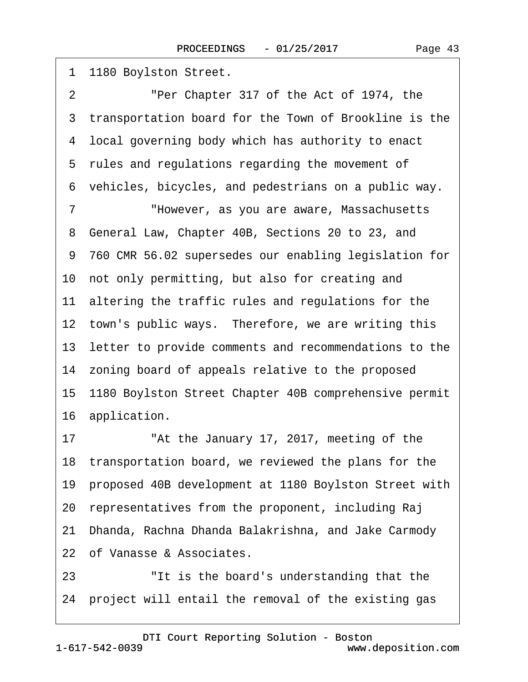| 1  | 1180 Boylston Street.                                    |
|----|----------------------------------------------------------|
| 2  | "Per Chapter 317 of the Act of 1974, the                 |
| 3  | transportation board for the Town of Brookline is the    |
|    | 4 local governing body which has authority to enact      |
|    | 5 rules and regulations regarding the movement of        |
|    | 6 vehicles, bicycles, and pedestrians on a public way.   |
| 7  | "However, as you are aware, Massachusetts                |
| 8  | General Law, Chapter 40B, Sections 20 to 23, and         |
|    | 9 760 CMR 56.02 supersedes our enabling legislation for  |
|    | 10 not only permitting, but also for creating and        |
|    | 11 altering the traffic rules and regulations for the    |
|    | 12 town's public ways. Therefore, we are writing this    |
|    | 13 letter to provide comments and recommendations to the |
|    | 14 zoning board of appeals relative to the proposed      |
|    | 15 1180 Boylston Street Chapter 40B comprehensive permit |
|    | 16 application.                                          |
| 17 | "At the January 17, 2017, meeting of the                 |
|    | 18 transportation board, we reviewed the plans for the   |
| 19 | proposed 40B development at 1180 Boylston Street with    |
| 20 | representatives from the proponent, including Raj        |
| 21 | Dhanda, Rachna Dhanda Balakrishna, and Jake Carmody      |
|    | 22 of Vanasse & Associates.                              |
| 23 | "It is the board's understanding that the                |

24 project will entail the removal of the existing gas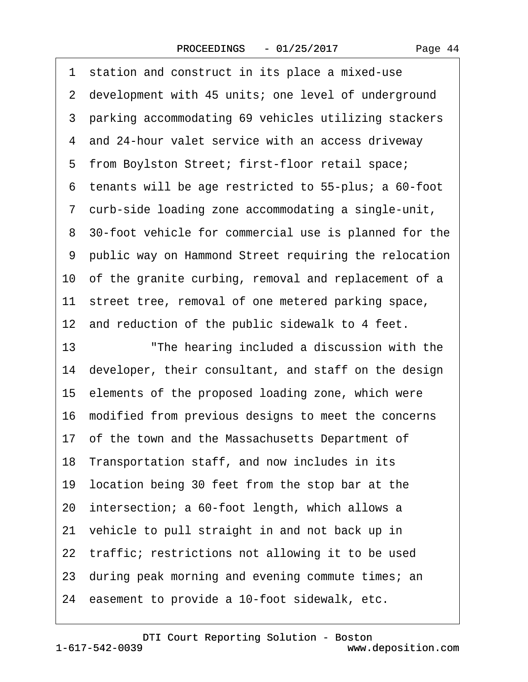1 station and construct in its place a mixed-use 2 development with 45 units; one level of underground 3 parking accommodating 69 vehicles utilizing stackers ·4· and 24-hour valet service with an access driveway 5 from Boylston Street; first-floor retail space; ·6· tenants will be age restricted to 55-plus; a 60-foot ·7· curb-side loading zone accommodating a single-unit, 8 30-foot vehicle for commercial use is planned for the ·9· public way on Hammond Street requiring the relocation 10 of the granite curbing, removal and replacement of a 11 street tree, removal of one metered parking space, 12 and reduction of the public sidewalk to 4 feet. 13 The hearing included a discussion with the 14 developer, their consultant, and staff on the design 15· elements of the proposed loading zone, which were 16· modified from previous designs to meet the concerns 17 of the town and the Massachusetts Department of 18 Transportation staff, and now includes in its 19· location being 30 feet from the stop bar at the 20· intersection; a 60-foot length, which allows a 21 vehicle to pull straight in and not back up in 22 traffic; restrictions not allowing it to be used 23· during peak morning and evening commute times; an 24 easement to provide a 10-foot sidewalk, etc.

[DTI Court Reporting Solution - Boston](http://www.deposition.com)

1-617-542-0039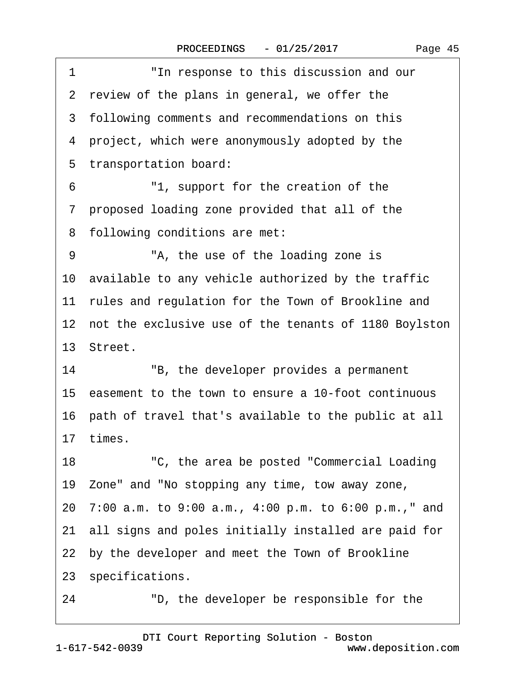| "In response to this discussion and our<br>1             |  |
|----------------------------------------------------------|--|
| 2 review of the plans in general, we offer the           |  |
| 3 following comments and recommendations on this         |  |
| 4 project, which were anonymously adopted by the         |  |
| 5 transportation board:                                  |  |
| "1, support for the creation of the<br>6                 |  |
| 7 proposed loading zone provided that all of the         |  |
| 8 following conditions are met:                          |  |
| "A, the use of the loading zone is<br>9                  |  |
| 10 available to any vehicle authorized by the traffic    |  |
| 11 rules and regulation for the Town of Brookline and    |  |
| 12 not the exclusive use of the tenants of 1180 Boylston |  |
| 13 Street.                                               |  |
| 14<br>"B, the developer provides a permanent             |  |
| 15 easement to the town to ensure a 10-foot continuous   |  |
| 16 path of travel that's available to the public at all  |  |
| 17 times.                                                |  |
| "C, the area be posted "Commercial Loading"<br>18        |  |
| 19 Zone" and "No stopping any time, tow away zone,       |  |
| 20 7:00 a.m. to 9:00 a.m., 4:00 p.m. to 6:00 p.m.," and  |  |
| 21 all signs and poles initially installed are paid for  |  |
| 22 by the developer and meet the Town of Brookline       |  |
| 23 specifications.                                       |  |
| "D, the developer be responsible for the<br>24           |  |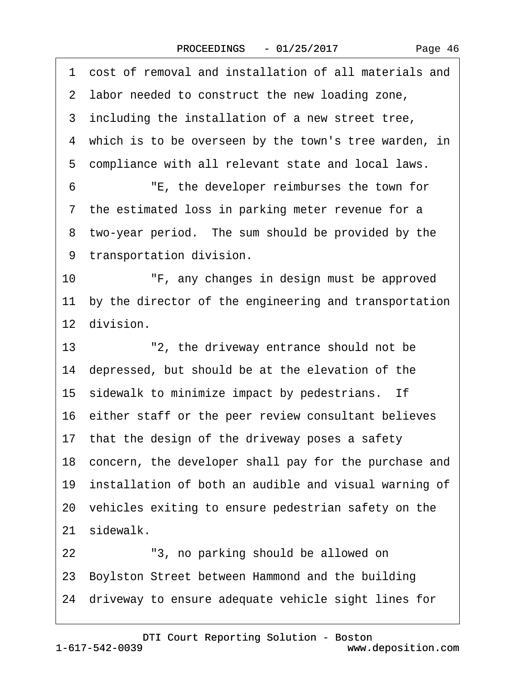·1· cost of removal and installation of all materials and 2 labor needed to construct the new loading zone, 3 including the installation of a new street tree, 4 which is to be overseen by the town's tree warden, in ·5· compliance with all relevant state and local laws. ·6· · · · · ·"E, the developer reimburses the town for 7 the estimated loss in parking meter revenue for a 8 two-year period. The sum should be provided by the 9 transportation division. 10 • F, any changes in design must be approved 11 by the director of the engineering and transportation 12 division. 13 <sup>2</sup> - <sup>"2</sup>, the driveway entrance should not be 14· depressed, but should be at the elevation of the 15 sidewalk to minimize impact by pedestrians. If 16 either staff or the peer review consultant believes 17 that the design of the driveway poses a safety 18 concern, the developer shall pay for the purchase and 19 installation of both an audible and visual warning of 20· vehicles exiting to ensure pedestrian safety on the 21 sidewalk. 22 <sup>"3, no parking should be allowed on</sup> 23· Boylston Street between Hammond and the building 24· driveway to ensure adequate vehicle sight lines for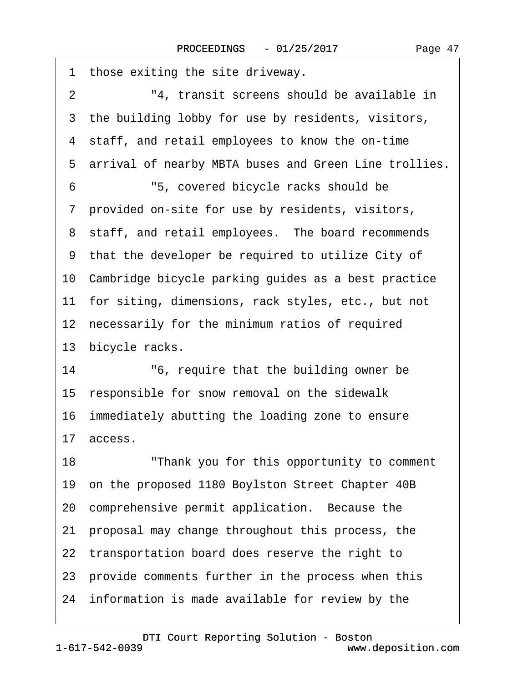| 1<br>those exiting the site driveway.                   |
|---------------------------------------------------------|
| "4, transit screens should be available in<br>2         |
| 3 the building lobby for use by residents, visitors,    |
| 4 staff, and retail employees to know the on-time       |
| 5 arrival of nearby MBTA buses and Green Line trollies. |
| "5, covered bicycle racks should be<br>6                |
| 7 provided on-site for use by residents, visitors,      |
| 8 staff, and retail employees. The board recommends     |
| 9 that the developer be required to utilize City of     |
| 10 Cambridge bicycle parking guides as a best practice  |
| 11 for siting, dimensions, rack styles, etc., but not   |
| 12 necessarily for the minimum ratios of required       |
| 13 bicycle racks.                                       |
| "6, require that the building owner be<br>14            |
| 15 responsible for snow removal on the sidewalk         |
| 16 immediately abutting the loading zone to ensure      |
| 17 access.                                              |
| 18<br>"Thank you for this opportunity to comment        |
| 19 on the proposed 1180 Boylston Street Chapter 40B     |
| 20 comprehensive permit application. Because the        |
| 21 proposal may change throughout this process, the     |
| 22 transportation board does reserve the right to       |
| 23 provide comments further in the process when this    |
| 24 information is made available for review by the      |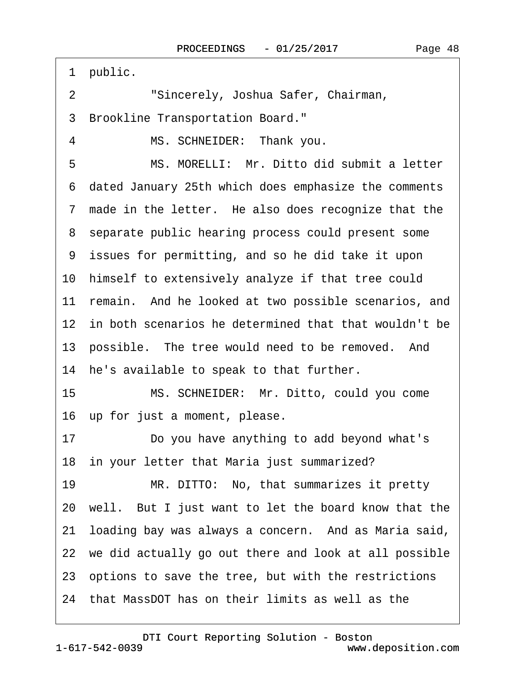1 public. 2 **· · · · · · Sincerely, Joshua Safer, Chairman,** ·3· Brookline Transportation Board." 4 MS. SCHNEIDER: Thank you. 5 MS. MORELLI: Mr. Ditto did submit a letter ·6· dated January 25th which does emphasize the comments 7 made in the letter. He also does recognize that the 8 separate public hearing process could present some ·9· issues for permitting, and so he did take it upon 10· himself to extensively analyze if that tree could 11 remain. And he looked at two possible scenarios, and 12 in both scenarios he determined that that wouldn't be 13 possible. The tree would need to be removed. And 14 he's available to speak to that further. 15 MS. SCHNEIDER: Mr. Ditto, could you come 16 up for just a moment, please. 17 **Do you have anything to add beyond what's** 18 in your letter that Maria just summarized? 19 MR. DITTO: No, that summarizes it pretty 20· well.· But I just want to let the board know that the 21 loading bay was always a concern. And as Maria said, 22 we did actually go out there and look at all possible 23 options to save the tree, but with the restrictions 24· that MassDOT has on their limits as well as the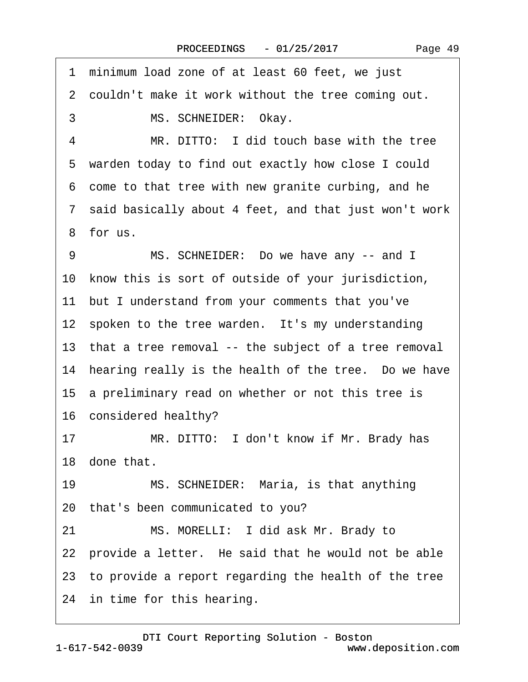1 minimum load zone of at least 60 feet, we just 2 couldn't make it work without the tree coming out. 3 MS. SCHNEIDER: Okay. 4 MR. DITTO: I did touch base with the tree 5 warden today to find out exactly how close I could ·6· come to that tree with new granite curbing, and he ·7· said basically about 4 feet, and that just won't work ·8· for us. 9 MS. SCHNEIDER: Do we have any -- and I 10 know this is sort of outside of your jurisdiction, 11 but I understand from your comments that you've 12 spoken to the tree warden. It's my understanding 13 that a tree removal -- the subject of a tree removal 14 hearing really is the health of the tree. Do we have 15 a preliminary read on whether or not this tree is 16 considered healthy? 17 MR. DITTO: I don't know if Mr. Brady has 18 done that. 19 MS. SCHNEIDER: Maria, is that anything 20· that's been communicated to you? 21 MS. MORELLI: I did ask Mr. Brady to 22 provide a letter. He said that he would not be able 23· to provide a report regarding the health of the tree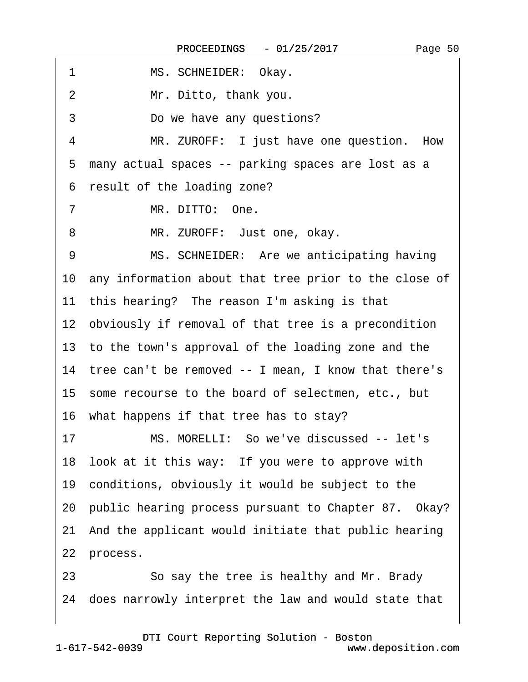| 1  | MS. SCHNEIDER: Okay.                                     |
|----|----------------------------------------------------------|
| 2  | Mr. Ditto, thank you.                                    |
| 3  | Do we have any questions?                                |
| 4  | MR. ZUROFF: I just have one question. How                |
| 5  | many actual spaces -- parking spaces are lost as a       |
|    | 6 result of the loading zone?                            |
| 7  | MR. DITTO: One.                                          |
| 8  | MR. ZUROFF: Just one, okay.                              |
| 9  | MS. SCHNEIDER: Are we anticipating having                |
|    | 10 any information about that tree prior to the close of |
|    | 11 this hearing? The reason I'm asking is that           |
|    | 12 obviously if removal of that tree is a precondition   |
|    | 13 to the town's approval of the loading zone and the    |
|    | 14 tree can't be removed -- I mean, I know that there's  |
|    | 15 some recourse to the board of selectmen, etc., but    |
|    | 16 what happens if that tree has to stay?                |
| 17 | MS. MORELLI: So we've discussed -- let's                 |
|    | 18 look at it this way: If you were to approve with      |
|    | 19 conditions, obviously it would be subject to the      |
|    | 20 public hearing process pursuant to Chapter 87. Okay?  |
|    | 21 And the applicant would initiate that public hearing  |
|    | 22 process.                                              |
| 23 | So say the tree is healthy and Mr. Brady                 |
|    | 24 does narrowly interpret the law and would state that  |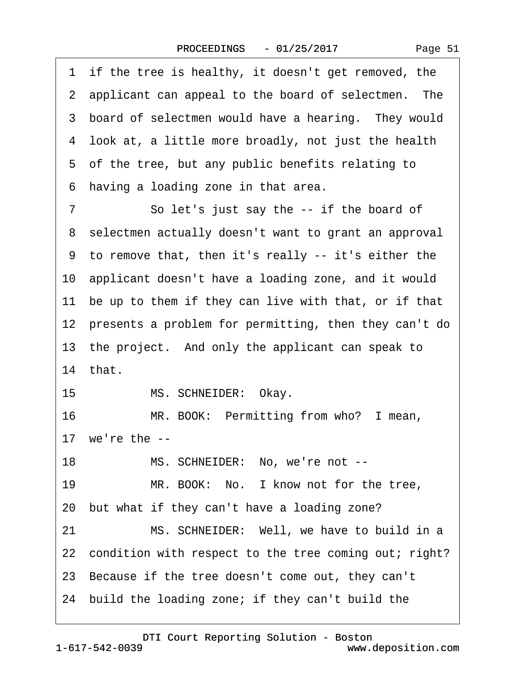|  | Page 51 |  |
|--|---------|--|
|--|---------|--|

1 if the tree is healthy, it doesn't get removed, the 2 applicant can appeal to the board of selectmen. The 3 board of selectmen would have a hearing. They would 4 look at, a little more broadly, not just the health 5 of the tree, but any public benefits relating to 6 having a loading zone in that area. 7 So let's just say the -- if the board of 8 selectmen actually doesn't want to grant an approval ·9· to remove that, then it's really -- it's either the 10 applicant doesn't have a loading zone, and it would 11 be up to them if they can live with that, or if that 12 presents a problem for permitting, then they can't do 13· the project.· And only the applicant can speak to 14· that. 15 MS. SCHNEIDER: Okay. 16 MR. BOOK: Permitting from who? I mean, 17 we're the --18 MS. SCHNEIDER: No, we're not --19 MR. BOOK: No. I know not for the tree, 20· but what if they can't have a loading zone? 21 MS. SCHNEIDER: Well, we have to build in a 22 condition with respect to the tree coming out; right? 23· Because if the tree doesn't come out, they can't 24· build the loading zone; if they can't build the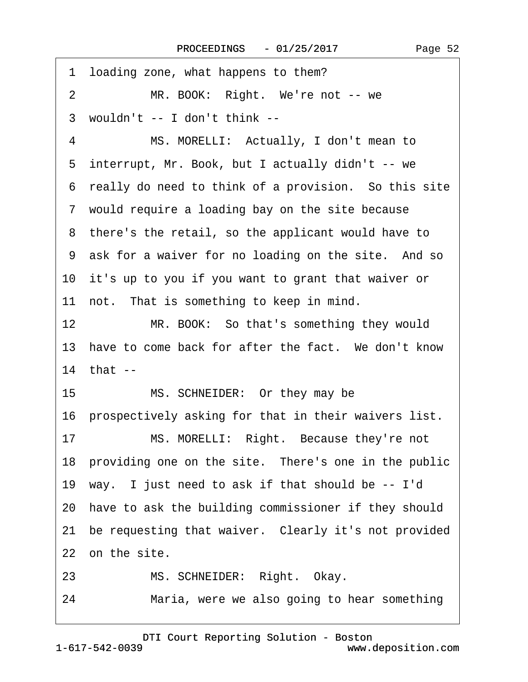| 1  | loading zone, what happens to them?                     |
|----|---------------------------------------------------------|
| 2  | MR. BOOK: Right. We're not -- we                        |
|    | 3 wouldn't -- I don't think --                          |
| 4  | MS. MORELLI: Actually, I don't mean to                  |
|    | 5 interrupt, Mr. Book, but I actually didn't -- we      |
|    | 6 really do need to think of a provision. So this site  |
|    | 7 would require a loading bay on the site because       |
|    | 8 there's the retail, so the applicant would have to    |
|    | 9 ask for a waiver for no loading on the site. And so   |
|    | 10 it's up to you if you want to grant that waiver or   |
|    | 11 not. That is something to keep in mind.              |
| 12 | MR. BOOK: So that's something they would                |
|    | 13 have to come back for after the fact. We don't know  |
|    | 14 that --                                              |
|    | MS. SCHNEIDER: Or they may be<br>15                     |
|    | 16 prospectively asking for that in their waivers list. |
| 17 | MS. MORELLI: Right. Because they're not                 |
|    | 18 providing one on the site. There's one in the public |
|    | 19 way. I just need to ask if that should be -- I'd     |
|    | 20 have to ask the building commissioner if they should |
|    | 21 be requesting that waiver. Clearly it's not provided |
|    | 22 on the site.                                         |
| 23 | MS. SCHNEIDER: Right. Okay.                             |
| 24 | Maria, were we also going to hear something             |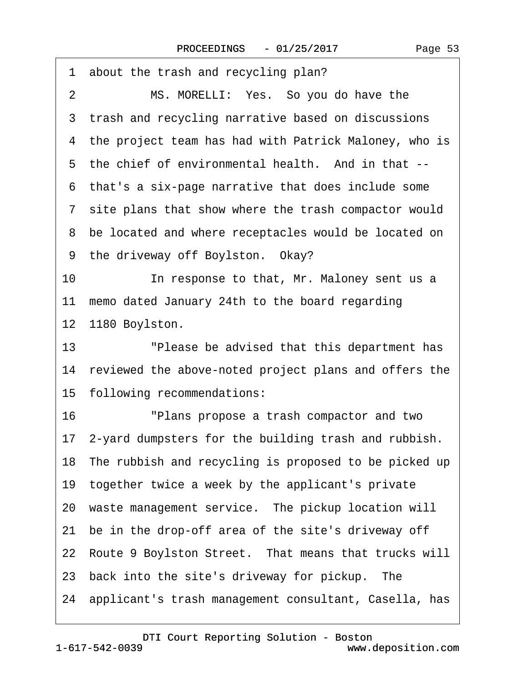| 1<br>about the trash and recycling plan?                 |
|----------------------------------------------------------|
| MS. MORELLI: Yes. So you do have the<br>2                |
| 3 trash and recycling narrative based on discussions     |
| 4 the project team has had with Patrick Maloney, who is  |
| 5 the chief of environmental health. And in that --      |
| that's a six-page narrative that does include some<br>6  |
| 7 site plans that show where the trash compactor would   |
| 8 be located and where receptacles would be located on   |
| 9 the driveway off Boylston. Okay?                       |
| 10<br>In response to that, Mr. Maloney sent us a         |
| 11 memo dated January 24th to the board regarding        |
| 12 1180 Boylston.                                        |
| 13<br>"Please be advised that this department has        |
| 14 reviewed the above-noted project plans and offers the |
| 15 following recommendations:                            |
| 16<br>"Plans propose a trash compactor and two           |
| 17 2-yard dumpsters for the building trash and rubbish.  |
| 18 The rubbish and recycling is proposed to be picked up |
| 19 together twice a week by the applicant's private      |
| 20 waste management service. The pickup location will    |
| 21 be in the drop-off area of the site's driveway off    |
| 22 Route 9 Boylston Street. That means that trucks will  |
| 23 back into the site's driveway for pickup. The         |
| 24 applicant's trash management consultant, Casella, has |
|                                                          |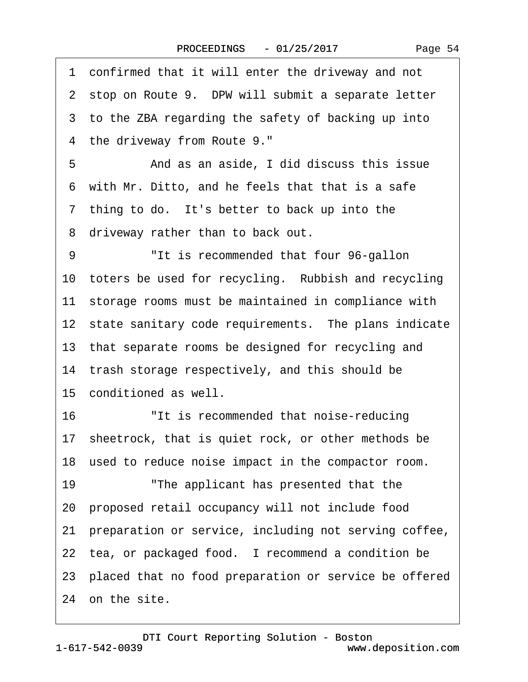|  | Page 54 |  |
|--|---------|--|
|--|---------|--|

|    | 1 confirmed that it will enter the driveway and not      |
|----|----------------------------------------------------------|
|    | 2 stop on Route 9. DPW will submit a separate letter     |
|    | 3 to the ZBA regarding the safety of backing up into     |
|    | 4 the driveway from Route 9."                            |
| 5  | And as an aside, I did discuss this issue                |
|    | 6 with Mr. Ditto, and he feels that that is a safe       |
|    | 7 thing to do. It's better to back up into the           |
|    | 8 driveway rather than to back out.                      |
| 9  | "It is recommended that four 96-gallon                   |
|    | 10 toters be used for recycling. Rubbish and recycling   |
|    | 11 storage rooms must be maintained in compliance with   |
|    | 12 state sanitary code requirements. The plans indicate  |
|    | 13 that separate rooms be designed for recycling and     |
|    | 14 trash storage respectively, and this should be        |
|    | 15 conditioned as well.                                  |
| 16 | "It is recommended that noise-reducing                   |
|    | 17 sheetrock, that is quiet rock, or other methods be    |
|    | 18 used to reduce noise impact in the compactor room.    |
| 19 | "The applicant has presented that the                    |
|    | 20 proposed retail occupancy will not include food       |
| 21 | preparation or service, including not serving coffee,    |
|    | 22 tea, or packaged food. I recommend a condition be     |
|    | 23 placed that no food preparation or service be offered |
|    | 24 on the site.                                          |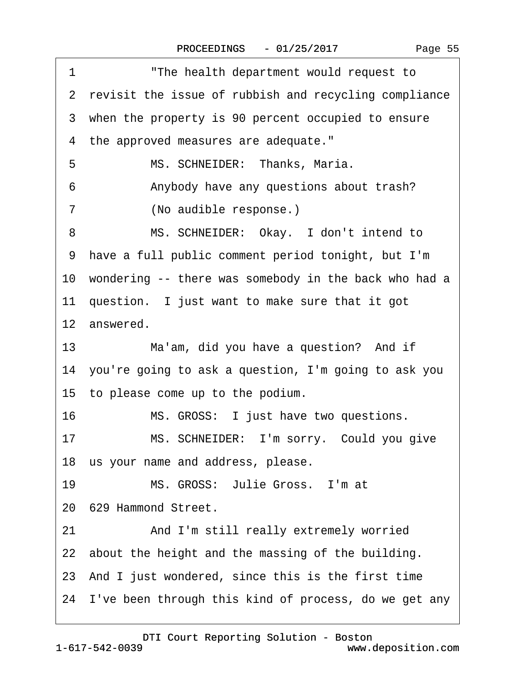| "The health department would request to<br>1             |
|----------------------------------------------------------|
| 2 revisit the issue of rubbish and recycling compliance  |
| 3 when the property is 90 percent occupied to ensure     |
| 4 the approved measures are adequate."                   |
| 5<br>MS. SCHNEIDER: Thanks, Maria.                       |
| Anybody have any questions about trash?<br>6             |
| 7<br>(No audible response.)                              |
| MS. SCHNEIDER: Okay. I don't intend to<br>8              |
| have a full public comment period tonight, but I'm<br>9  |
| 10 wondering -- there was somebody in the back who had a |
| 11 question. I just want to make sure that it got        |
| 12 answered.                                             |
| 13<br>Ma'am, did you have a question? And if             |
| 14 you're going to ask a question, I'm going to ask you  |
| 15 to please come up to the podium.                      |
| 16<br>MS. GROSS: I just have two questions.              |
| MS. SCHNEIDER: I'm sorry. Could you give<br>17           |
| 18 us your name and address, please.                     |
| MS. GROSS: Julie Gross. I'm at<br>19                     |
| 20 629 Hammond Street.                                   |
| And I'm still really extremely worried<br>21             |
| 22 about the height and the massing of the building.     |
| 23 And I just wondered, since this is the first time     |
| 24 I've been through this kind of process, do we get any |
|                                                          |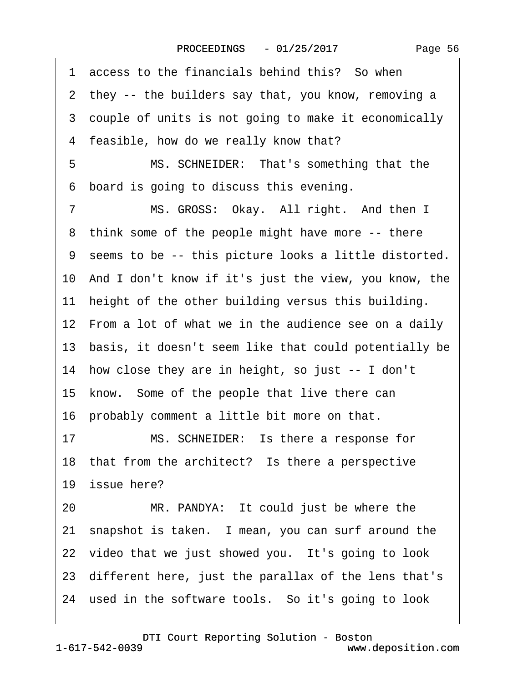|    | 1 access to the financials behind this? So when          |
|----|----------------------------------------------------------|
|    | 2 they -- the builders say that, you know, removing a    |
|    | 3 couple of units is not going to make it economically   |
|    | 4 feasible, how do we really know that?                  |
| 5  | MS. SCHNEIDER: That's something that the                 |
| 6  | board is going to discuss this evening.                  |
| 7  | MS. GROSS: Okay. All right. And then I                   |
| 8  | think some of the people might have more -- there        |
|    | 9 seems to be -- this picture looks a little distorted.  |
|    | 10 And I don't know if it's just the view, you know, the |
|    | 11 height of the other building versus this building.    |
|    | 12 From a lot of what we in the audience see on a daily  |
|    | 13 basis, it doesn't seem like that could potentially be |
|    | 14 how close they are in height, so just -- I don't      |
|    | 15 know. Some of the people that live there can          |
|    | 16 probably comment a little bit more on that.           |
| 17 | MS. SCHNEIDER: Is there a response for                   |
|    | 18 that from the architect? Is there a perspective       |
|    | 19 issue here?                                           |
| 20 | MR. PANDYA: It could just be where the                   |
|    | 21 snapshot is taken. I mean, you can surf around the    |
|    | 22 video that we just showed you. It's going to look     |
|    | 23 different here, just the parallax of the lens that's  |
|    | 24 used in the software tools. So it's going to look     |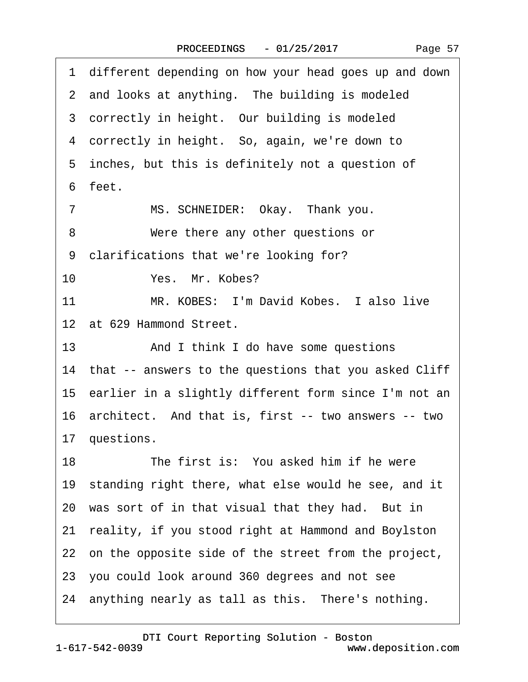| 1 different depending on how your head goes up and down   |
|-----------------------------------------------------------|
| 2 and looks at anything. The building is modeled          |
| 3 correctly in height. Our building is modeled            |
| 4 correctly in height. So, again, we're down to           |
| 5 inches, but this is definitely not a question of        |
| 6 feet.                                                   |
| MS. SCHNEIDER: Okay. Thank you.<br>$\overline{7}$         |
| Were there any other questions or<br>8                    |
| 9 clarifications that we're looking for?                  |
| 10<br>Yes. Mr. Kobes?                                     |
| 11<br>MR. KOBES: I'm David Kobes. I also live             |
| 12 at 629 Hammond Street.                                 |
| 13<br>And I think I do have some questions                |
| 14 that -- answers to the questions that you asked Cliff  |
| 15 earlier in a slightly different form since I'm not an  |
| 16 architect. And that is, first -- two answers -- two    |
| 17 questions.                                             |
| The first is: You asked him if he were<br>18              |
| 19 standing right there, what else would he see, and it   |
| 20 was sort of in that visual that they had. But in       |
| reality, if you stood right at Hammond and Boylston<br>21 |
| 22 on the opposite side of the street from the project,   |
| 23 you could look around 360 degrees and not see          |
| 24 anything nearly as tall as this. There's nothing.      |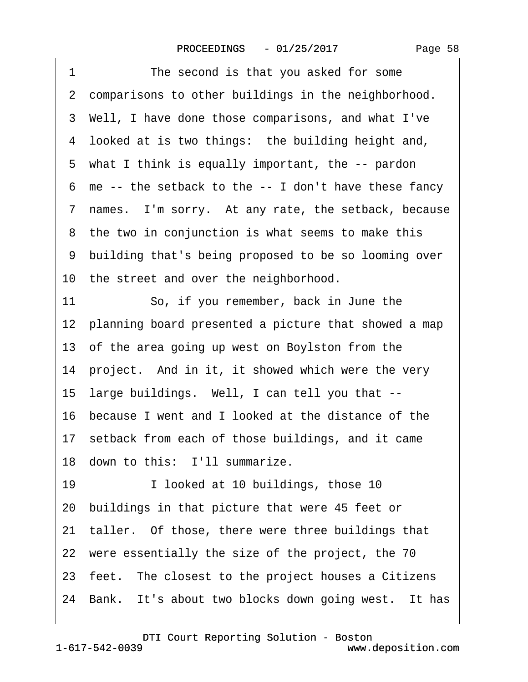| 1  | The second is that you asked for some                   |
|----|---------------------------------------------------------|
|    | 2 comparisons to other buildings in the neighborhood.   |
|    | 3 Well, I have done those comparisons, and what I've    |
|    | 4 looked at is two things: the building height and,     |
|    | 5 what I think is equally important, the -- pardon      |
| 6  | me -- the setback to the -- I don't have these fancy    |
|    | 7 names. I'm sorry. At any rate, the setback, because   |
|    | 8 the two in conjunction is what seems to make this     |
|    | 9 building that's being proposed to be so looming over  |
|    | 10 the street and over the neighborhood.                |
| 11 | So, if you remember, back in June the                   |
|    | 12 planning board presented a picture that showed a map |
|    | 13 of the area going up west on Boylston from the       |
|    | 14 project. And in it, it showed which were the very    |
|    | 15 large buildings. Well, I can tell you that --        |
|    | 16 because I went and I looked at the distance of the   |
|    | 17 setback from each of those buildings, and it came    |
|    | 18 down to this: I'll summarize.                        |
| 19 | I looked at 10 buildings, those 10                      |
|    | 20 buildings in that picture that were 45 feet or       |
|    | 21 taller. Of those, there were three buildings that    |
|    | 22 were essentially the size of the project, the 70     |
|    | 23 feet. The closest to the project houses a Citizens   |
|    | 24 Bank. It's about two blocks down going west. It has  |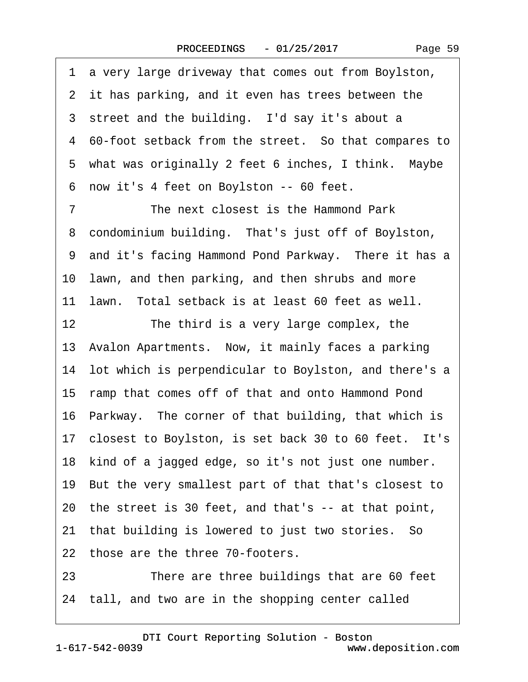·1· a very large driveway that comes out from Boylston, 2 it has parking, and it even has trees between the 3 street and the building. I'd say it's about a 4 60-foot setback from the street. So that compares to 5 what was originally 2 feet 6 inches, I think. Maybe ·6· now it's 4 feet on Boylston -- 60 feet. 7 The next closest is the Hammond Park 8 condominium building. That's just off of Boylston, 9 and it's facing Hammond Pond Parkway. There it has a 10 lawn, and then parking, and then shrubs and more 11 Jawn. Total setback is at least 60 feet as well. 12 The third is a very large complex, the 13 Avalon Apartments. Now, it mainly faces a parking 14 lot which is perpendicular to Boylston, and there's a 15 ramp that comes off of that and onto Hammond Pond 16 Parkway. The corner of that building, that which is 17 closest to Boylston, is set back 30 to 60 feet. It's 18· kind of a jagged edge, so it's not just one number. 19· But the very smallest part of that that's closest to 20· the street is 30 feet, and that's -- at that point, 21 that building is lowered to just two stories. So 22 those are the three 70-footers. 23 There are three buildings that are 60 feet 24· tall, and two are in the shopping center called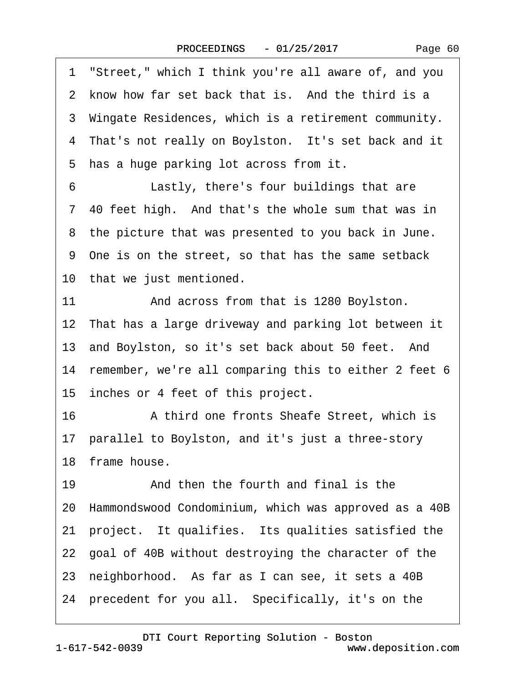| Page 60 |
|---------|
|---------|

·1· "Street," which I think you're all aware of, and you 2 know how far set back that is. And the third is a 3 Wingate Residences, which is a retirement community. 4 That's not really on Boylston. It's set back and it 5 has a huge parking lot across from it. 6 **Lastly, there's four buildings that are** 7.40 feet high. And that's the whole sum that was in 8 the picture that was presented to you back in June. ·9· One is on the street, so that has the same setback 10 that we just mentioned. 11 And across from that is 1280 Boylston. 12 That has a large driveway and parking lot between it 13 and Boylston, so it's set back about 50 feet. And 14 remember, we're all comparing this to either 2 feet 6 15 inches or 4 feet of this project. 16 • A third one fronts Sheafe Street, which is 17 parallel to Boylston, and it's just a three-story 18· frame house. 19· · · · · ·And then the fourth and final is the 20· Hammondswood Condominium, which was approved as a 40B 21 project. It qualifies. Its qualities satisfied the 22· goal of 40B without destroying the character of the 23· neighborhood.· As far as I can see, it sets a 40B 24· precedent for you all.· Specifically, it's on the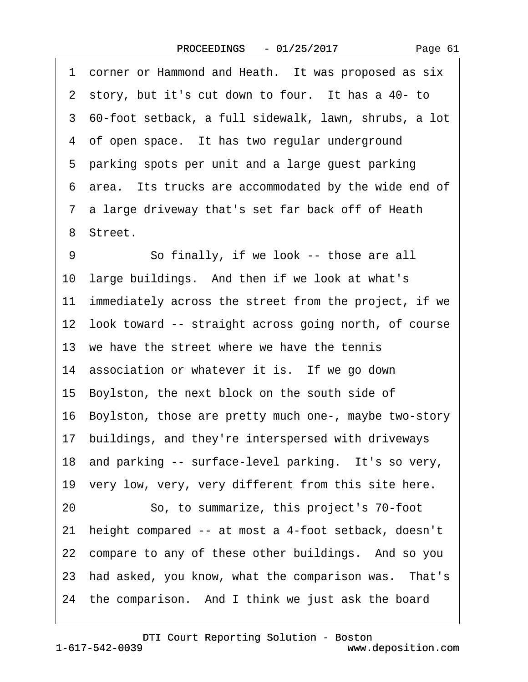| 1 corner or Hammond and Heath. It was proposed as six      |
|------------------------------------------------------------|
| 2 story, but it's cut down to four. It has a 40- to        |
| 3 60-foot setback, a full sidewalk, lawn, shrubs, a lot    |
| 4 of open space. It has two regular underground            |
| 5 parking spots per unit and a large guest parking         |
| 6 area. Its trucks are accommodated by the wide end of     |
| 7 a large driveway that's set far back off of Heath        |
| 8 Street.                                                  |
| So finally, if we look -- those are all<br>9               |
| 10 large buildings. And then if we look at what's          |
| 11 immediately across the street from the project, if we   |
| 12 look toward -- straight across going north, of course   |
| 13 we have the street where we have the tennis             |
| 14 association or whatever it is. If we go down            |
| 15 Boylston, the next block on the south side of           |
| 16 Boylston, those are pretty much one-, maybe two-story   |
| 17 buildings, and they're interspersed with driveways      |
| 18 and parking -- surface-level parking. It's so very,     |
| 19 very low, very, very different from this site here.     |
| So, to summarize, this project's 70-foot<br>20             |
| height compared -- at most a 4-foot setback, doesn't<br>21 |
| 22 compare to any of these other buildings. And so you     |
| 23 had asked, you know, what the comparison was. That's    |
| 24 the comparison. And I think we just ask the board       |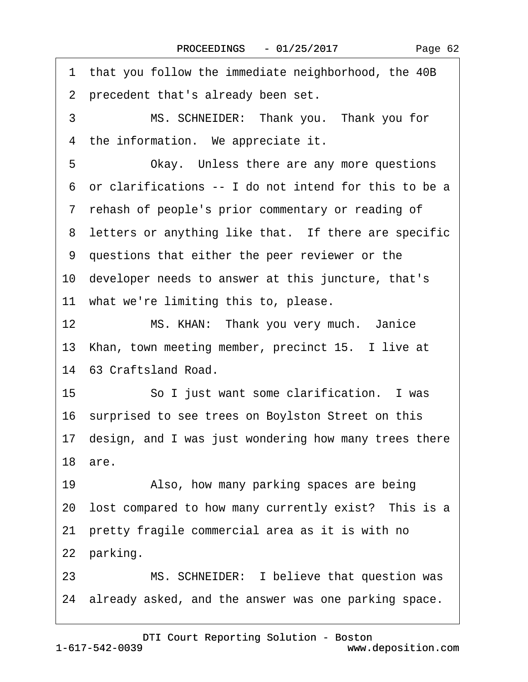|    | 1 that you follow the immediate neighborhood, the 40B    |
|----|----------------------------------------------------------|
|    | 2 precedent that's already been set.                     |
| 3  | MS. SCHNEIDER: Thank you. Thank you for                  |
|    | 4 the information. We appreciate it.                     |
| 5  | Okay. Unless there are any more questions                |
|    | 6 or clarifications -- I do not intend for this to be a  |
|    | 7 rehash of people's prior commentary or reading of      |
|    | 8 letters or anything like that. If there are specific   |
|    | 9 questions that either the peer reviewer or the         |
|    | 10 developer needs to answer at this juncture, that's    |
|    | 11 what we're limiting this to, please.                  |
| 12 | MS. KHAN: Thank you very much. Janice                    |
|    | 13 Khan, town meeting member, precinct 15. I live at     |
|    | 14 63 Craftsland Road.                                   |
| 15 | So I just want some clarification. I was                 |
|    | 16 surprised to see trees on Boylston Street on this     |
|    | 17 design, and I was just wondering how many trees there |
|    | 18 are.                                                  |
| 19 | Also, how many parking spaces are being                  |
|    | 20 lost compared to how many currently exist? This is a  |
|    | 21 pretty fragile commercial area as it is with no       |
|    | 22 parking.                                              |
| 23 | MS. SCHNEIDER: I believe that question was               |
|    | 24 already asked, and the answer was one parking space.  |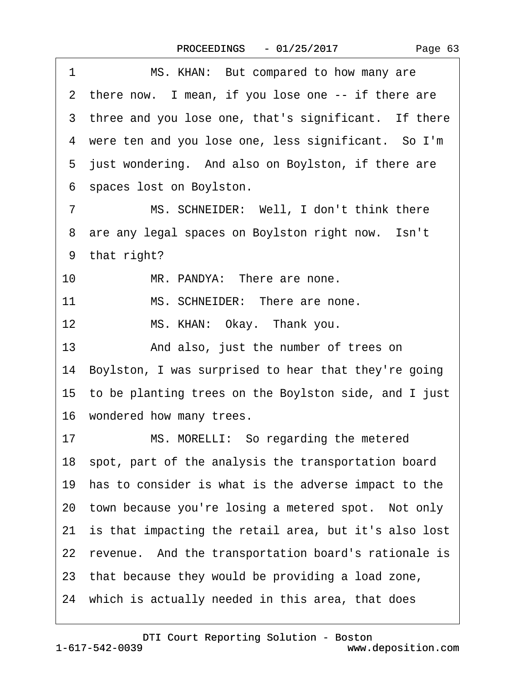| 1<br>MS. KHAN: But compared to how many are              |
|----------------------------------------------------------|
| 2 there now. I mean, if you lose one -- if there are     |
| 3 three and you lose one, that's significant. If there   |
| 4 were ten and you lose one, less significant. So I'm    |
| 5 just wondering. And also on Boylston, if there are     |
| 6 spaces lost on Boylston.                               |
| MS. SCHNEIDER: Well, I don't think there<br>7            |
| 8 are any legal spaces on Boylston right now. Isn't      |
| 9 that right?                                            |
| 10<br>MR. PANDYA: There are none.                        |
| MS. SCHNEIDER: There are none.<br>11                     |
| 12<br>MS. KHAN: Okay. Thank you.                         |
| 13<br>And also, just the number of trees on              |
| 14 Boylston, I was surprised to hear that they're going  |
| 15 to be planting trees on the Boylston side, and I just |
| 16 wondered how many trees.                              |
| MS. MORELLI: So regarding the metered<br>17              |
| 18 spot, part of the analysis the transportation board   |
| 19 has to consider is what is the adverse impact to the  |
| 20 town because you're losing a metered spot. Not only   |
| 21 is that impacting the retail area, but it's also lost |
| 22 revenue. And the transportation board's rationale is  |
| 23 that because they would be providing a load zone,     |
| 24 which is actually needed in this area, that does      |
|                                                          |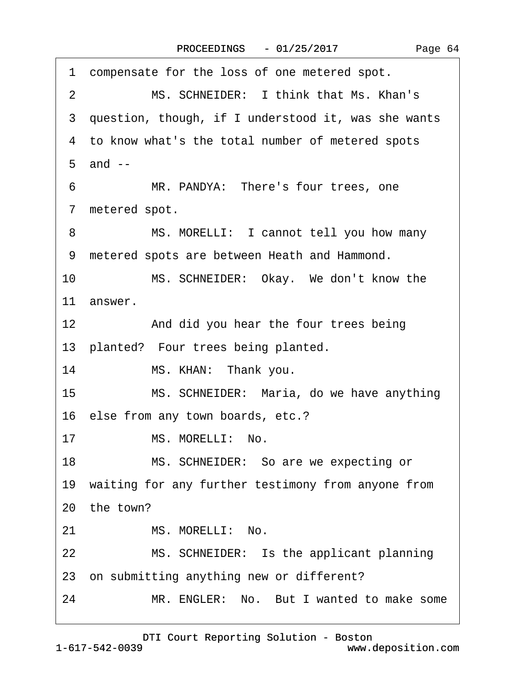|                  | 1 compensate for the loss of one metered spot.        |
|------------------|-------------------------------------------------------|
| 2                | MS. SCHNEIDER: I think that Ms. Khan's                |
|                  | 3 question, though, if I understood it, was she wants |
|                  | 4 to know what's the total number of metered spots    |
|                  | $5$ and $-$                                           |
| 6                | MR. PANDYA: There's four trees, one                   |
|                  | 7 metered spot.                                       |
| 8                | MS. MORELLI: I cannot tell you how many               |
|                  | 9 metered spots are between Heath and Hammond.        |
| 10               | MS. SCHNEIDER: Okay. We don't know the                |
|                  | 11 answer.                                            |
| 12               | And did you hear the four trees being                 |
|                  | 13 planted? Four trees being planted.                 |
| 14               | MS. KHAN: Thank you.                                  |
| 15 <sub>15</sub> | MS. SCHNEIDER: Maria, do we have anything             |
|                  | 16 else from any town boards, etc.?                   |
| 17               | MS. MORELLI: No.                                      |
| 18               | MS. SCHNEIDER: So are we expecting or                 |
|                  | 19 waiting for any further testimony from anyone from |
|                  | 20 the town?                                          |
| 21               | MS. MORELLI: No.                                      |
| 22               | MS. SCHNEIDER: Is the applicant planning              |
|                  | 23 on submitting anything new or different?           |
| 24               | MR. ENGLER: No. But I wanted to make some             |
|                  |                                                       |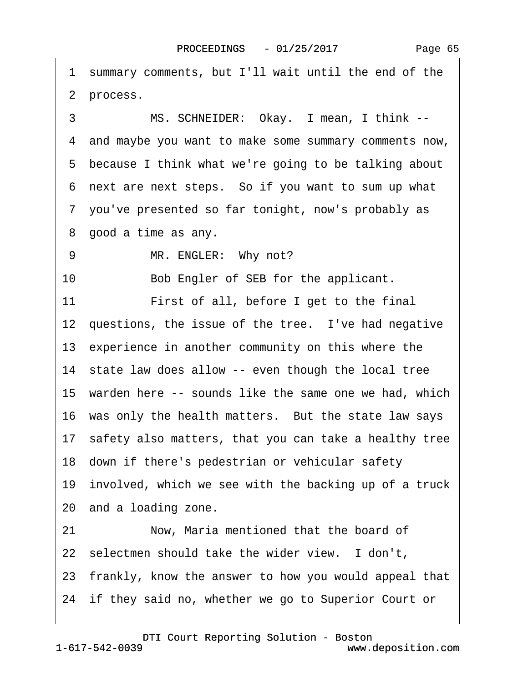Page 65

2 process.

3 MS. SCHNEIDER: Okay. I mean, I think --

·1· summary comments, but I'll wait until the end of the

·4· and maybe you want to make some summary comments now,

5 because I think what we're going to be talking about

·6· next are next steps.· So if you want to sum up what

·7· you've presented so far tonight, now's probably as

8 good a time as any.

9 MR. ENGLER: Why not?

10 Bob Engler of SEB for the applicant.

11 First of all, before I get to the final

12 questions, the issue of the tree. I've had negative

13 experience in another community on this where the

14 state law does allow -- even though the local tree

15 warden here -- sounds like the same one we had, which

16 was only the health matters. But the state law says

17· safety also matters, that you can take a healthy tree

18 down if there's pedestrian or vehicular safety

19 involved, which we see with the backing up of a truck

20· and a loading zone.

21 Now, Maria mentioned that the board of

22 selectmen should take the wider view. I don't,

23· frankly, know the answer to how you would appeal that

24 if they said no, whether we go to Superior Court or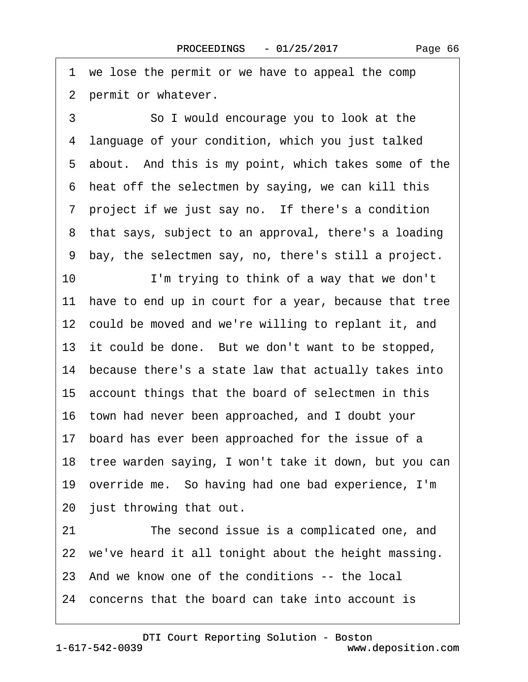1 we lose the permit or we have to appeal the comp 2 permit or whatever.

3 **3 50 I would encourage you to look at the** ·4· language of your condition, which you just talked 5 about. And this is my point, which takes some of the ·6· heat off the selectmen by saying, we can kill this 7 project if we just say no. If there's a condition 8 that says, subject to an approval, there's a loading ·9· bay, the selectmen say, no, there's still a project. 10 I'm trying to think of a way that we don't 11 have to end up in court for a year, because that tree 12 could be moved and we're willing to replant it, and 13 it could be done. But we don't want to be stopped, 14 because there's a state law that actually takes into 15· account things that the board of selectmen in this 16· town had never been approached, and I doubt your 17 board has ever been approached for the issue of a 18 tree warden saying, I won't take it down, but you can 19· override me.· So having had one bad experience, I'm 20 just throwing that out.

21 The second issue is a complicated one, and 22 we've heard it all tonight about the height massing. 23· And we know one of the conditions -- the local 24· concerns that the board can take into account is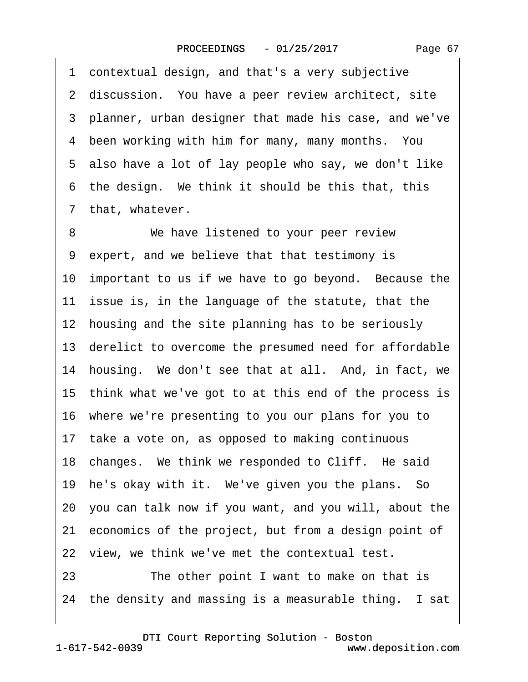·1· contextual design, and that's a very subjective 2 discussion. You have a peer review architect, site ·3· planner, urban designer that made his case, and we've 4 been working with him for many, many months. You 5 also have a lot of lay people who say, we don't like 6 the design. We think it should be this that, this 7 that, whatever. 8 We have listened to your peer review ·9· expert, and we believe that that testimony is 10 important to us if we have to go beyond. Because the 11 issue is, in the language of the statute, that the 12 housing and the site planning has to be seriously 13· derelict to overcome the presumed need for affordable 14 housing. We don't see that at all. And, in fact, we 15 think what we've got to at this end of the process is 16· where we're presenting to you our plans for you to 17 take a vote on, as opposed to making continuous 18 changes. We think we responded to Cliff. He said 19 he's okay with it. We've given you the plans. So 20· you can talk now if you want, and you will, about the 21 economics of the project, but from a design point of 22 view, we think we've met the contextual test. 23 The other point I want to make on that is 24 the density and massing is a measurable thing. I sat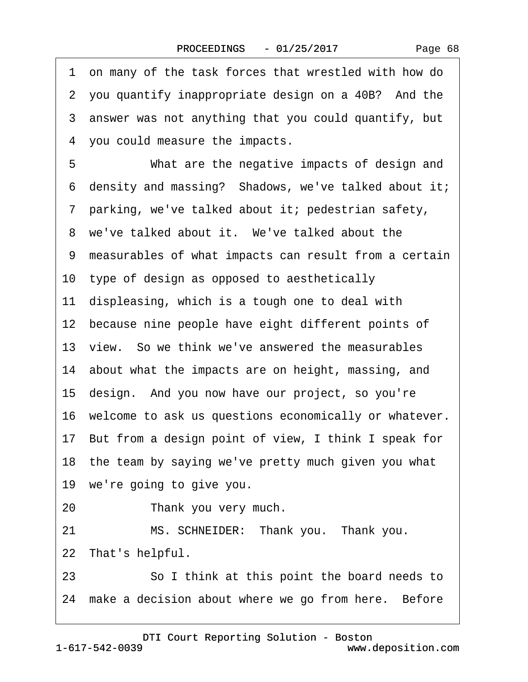|    | 1 on many of the task forces that wrestled with how do   |
|----|----------------------------------------------------------|
|    | 2 you quantify inappropriate design on a 40B? And the    |
|    | 3 answer was not anything that you could quantify, but   |
|    | 4 you could measure the impacts.                         |
| 5  | What are the negative impacts of design and              |
|    | 6 density and massing? Shadows, we've talked about it;   |
|    | 7 parking, we've talked about it; pedestrian safety,     |
|    | 8 we've talked about it. We've talked about the          |
|    | 9 measurables of what impacts can result from a certain  |
|    | 10 type of design as opposed to aesthetically            |
|    | 11 displeasing, which is a tough one to deal with        |
|    | 12 because nine people have eight different points of    |
|    | 13 view. So we think we've answered the measurables      |
|    | 14 about what the impacts are on height, massing, and    |
|    | 15 design. And you now have our project, so you're       |
|    | 16 welcome to ask us questions economically or whatever. |
|    | 17 But from a design point of view, I think I speak for  |
|    | 18 the team by saying we've pretty much given you what   |
|    | 19 we're going to give you.                              |
| 20 | Thank you very much.                                     |
| 21 | MS. SCHNEIDER: Thank you. Thank you.                     |
|    | 22 That's helpful.                                       |
| 23 | So I think at this point the board needs to              |
|    | 24 make a decision about where we go from here. Before   |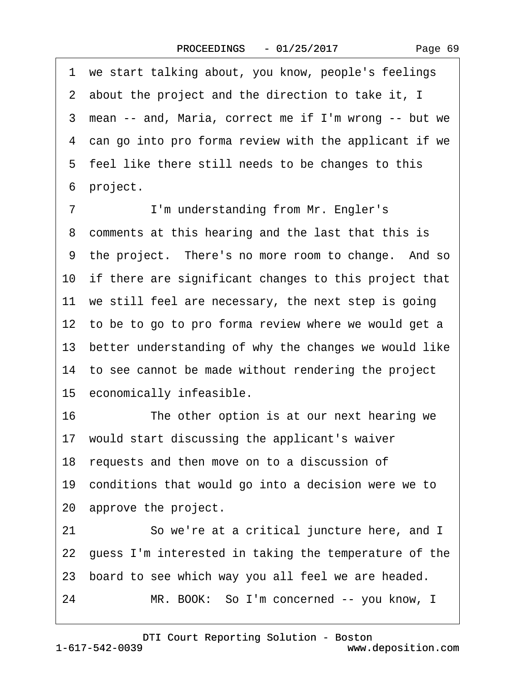| Page 69 |  |
|---------|--|
|---------|--|

|    | 1 we start talking about, you know, people's feelings    |
|----|----------------------------------------------------------|
|    | 2 about the project and the direction to take it, I      |
|    | 3 mean -- and, Maria, correct me if I'm wrong -- but we  |
|    | 4 can go into pro forma review with the applicant if we  |
|    | 5 feel like there still needs to be changes to this      |
|    | 6 project.                                               |
| 7  | I'm understanding from Mr. Engler's                      |
|    | 8 comments at this hearing and the last that this is     |
|    | 9 the project. There's no more room to change. And so    |
|    | 10 if there are significant changes to this project that |
|    | 11 we still feel are necessary, the next step is going   |
|    | 12 to be to go to pro forma review where we would get a  |
|    | 13 better understanding of why the changes we would like |
|    | 14 to see cannot be made without rendering the project   |
|    | 15 economically infeasible.                              |
| 16 | The other option is at our next hearing we               |
|    | 17 would start discussing the applicant's waiver         |
|    | 18 requests and then move on to a discussion of          |
|    | 19 conditions that would go into a decision were we to   |
|    | 20 approve the project.                                  |
| 21 | So we're at a critical juncture here, and I              |
|    | 22 guess I'm interested in taking the temperature of the |
|    | 23 board to see which way you all feel we are headed.    |
| 24 | MR. BOOK: So I'm concerned -- you know, I                |
|    |                                                          |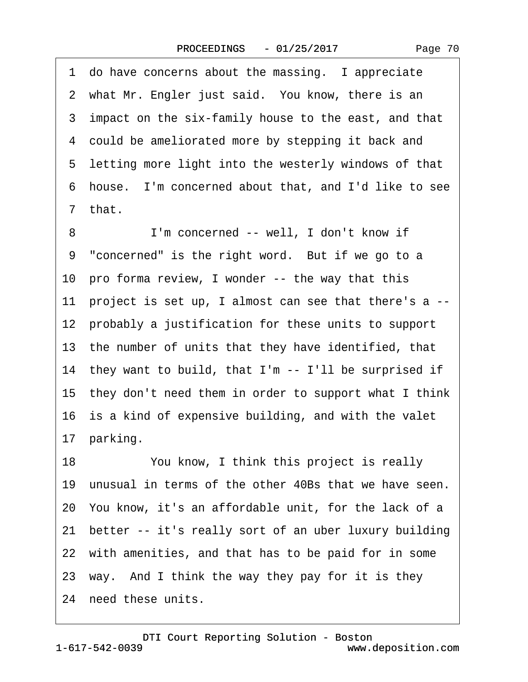1 do have concerns about the massing. I appreciate 2 what Mr. Engler just said. You know, there is an 3 impact on the six-family house to the east, and that 4 could be ameliorated more by stepping it back and 5 letting more light into the westerly windows of that ·6· house.· I'm concerned about that, and I'd like to see ·7· that. 8 I'm concerned -- well, I don't know if 9 "concerned" is the right word. But if we go to a 10 pro forma review, I wonder -- the way that this 11 project is set up, I almost can see that there's a --12 probably a justification for these units to support 13 the number of units that they have identified, that 14 they want to build, that I'm -- I'll be surprised if 15· they don't need them in order to support what I think 16 is a kind of expensive building, and with the valet 17 parking. 18 You know, I think this project is really 19 unusual in terms of the other 40Bs that we have seen. 20· You know, it's an affordable unit, for the lack of a 21 better -- it's really sort of an uber luxury building 22 with amenities, and that has to be paid for in some 23 way. And I think the way they pay for it is they 24 need these units.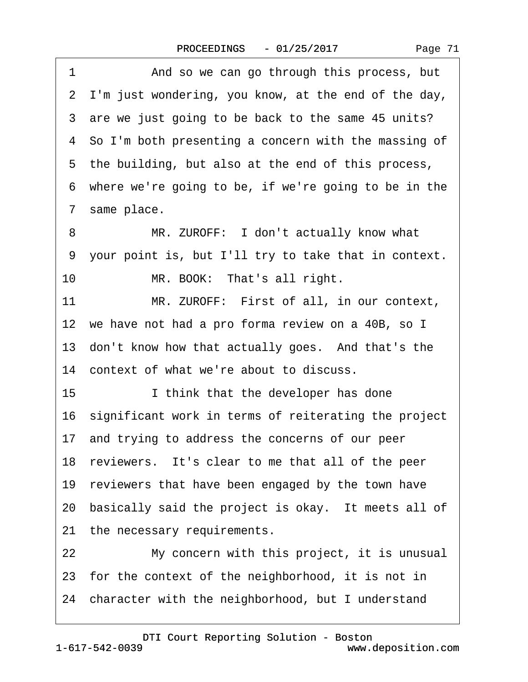| 1<br>And so we can go through this process, but         |
|---------------------------------------------------------|
| 2 I'm just wondering, you know, at the end of the day,  |
| 3 are we just going to be back to the same 45 units?    |
| 4 So I'm both presenting a concern with the massing of  |
| 5 the building, but also at the end of this process,    |
| 6 where we're going to be, if we're going to be in the  |
| 7 same place.                                           |
| MR. ZUROFF: I don't actually know what<br>8             |
| 9 your point is, but I'll try to take that in context.  |
| 10<br>MR. BOOK: That's all right.                       |
| 11<br>MR. ZUROFF: First of all, in our context,         |
| 12 we have not had a pro forma review on a 40B, so I    |
| 13 don't know how that actually goes. And that's the    |
| 14 context of what we're about to discuss.              |
| 15<br>I think that the developer has done               |
| 16 significant work in terms of reiterating the project |
| 17 and trying to address the concerns of our peer       |
| 18 reviewers. It's clear to me that all of the peer     |
| 19 reviewers that have been engaged by the town have    |
| 20 basically said the project is okay. It meets all of  |
| 21 the necessary requirements.                          |
| My concern with this project, it is unusual<br>22       |
| 23 for the context of the neighborhood, it is not in    |
| 24 character with the neighborhood, but I understand    |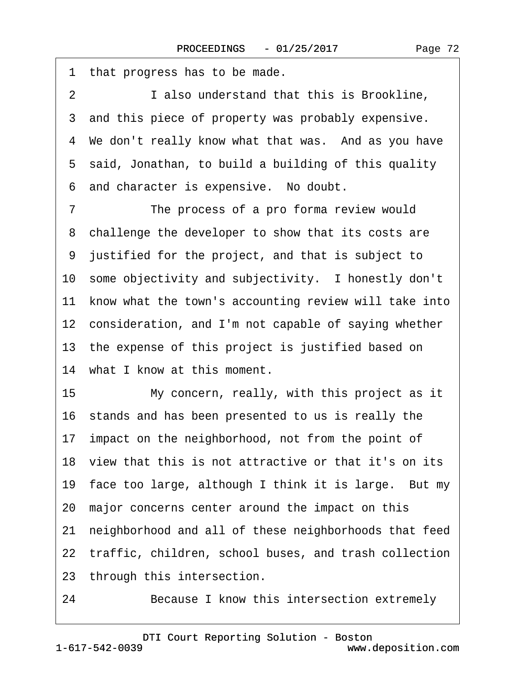| 1<br>that progress has to be made.                          |
|-------------------------------------------------------------|
| $\overline{2}$<br>I also understand that this is Brookline, |
| 3 and this piece of property was probably expensive.        |
| 4 We don't really know what that was. And as you have       |
| 5 said, Jonathan, to build a building of this quality       |
| and character is expensive. No doubt.<br>6                  |
| $\overline{7}$<br>The process of a pro forma review would   |
| 8 challenge the developer to show that its costs are        |
| 9 justified for the project, and that is subject to         |
| 10 some objectivity and subjectivity. I honestly don't      |
| 11 know what the town's accounting review will take into    |
| 12 consideration, and I'm not capable of saying whether     |
| 13 the expense of this project is justified based on        |
| 14 what I know at this moment.                              |
| 15<br>My concern, really, with this project as it           |
| 16 stands and has been presented to us is really the        |
| 17 impact on the neighborhood, not from the point of        |
| 18 view that this is not attractive or that it's on its     |
| 19 face too large, although I think it is large. But my     |
| 20 major concerns center around the impact on this          |
| neighborhood and all of these neighborhoods that feed<br>21 |
| 22 traffic, children, school buses, and trash collection    |
| 23 through this intersection.                               |
| Because I know this intersection extremely<br>24            |

1-617-542-0039 [DTI Court Reporting Solution - Boston](http://www.deposition.com) www.deposition.com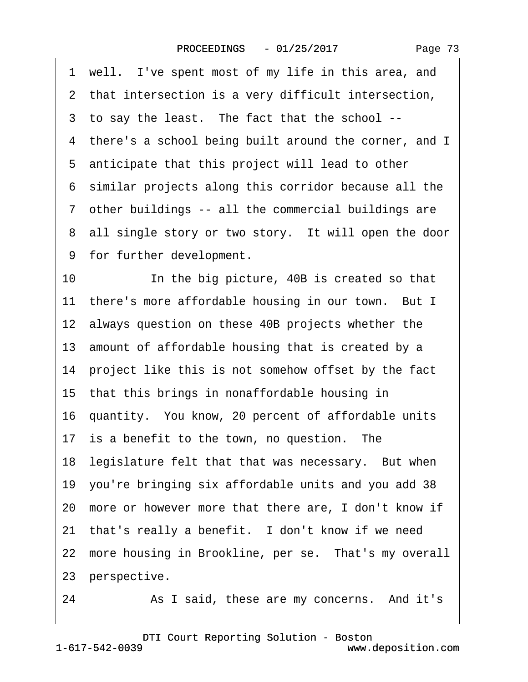|  | Page 73 |  |
|--|---------|--|
|--|---------|--|

<span id="page-72-0"></span>1 well. I've spent most of my life in this area, and 2 that intersection is a very difficult intersection, ·3· to say the least.· The fact that the school -- 4 there's a school being built around the corner, and I 5 anticipate that this project will lead to other ·6· similar projects along this corridor because all the ·7· other buildings -- all the commercial buildings are 8 all single story or two story. It will open the door 9 for further development. 10 In the big picture, 40B is created so that 11 there's more affordable housing in our town. But I 12 always question on these 40B projects whether the 13 amount of affordable housing that is created by a 14 project like this is not somehow offset by the fact 15· that this brings in nonaffordable housing in 16 quantity. You know, 20 percent of affordable units 17 is a benefit to the town, no question. The 18 legislature felt that that was necessary. But when 19· you're bringing six affordable units and you add 38 20· more or however more that there are, I don't know if 21 that's really a benefit. I don't know if we need 22 more housing in Brookline, per se. That's my overall 23 perspective.

24 • As I said, these are my concerns. And it's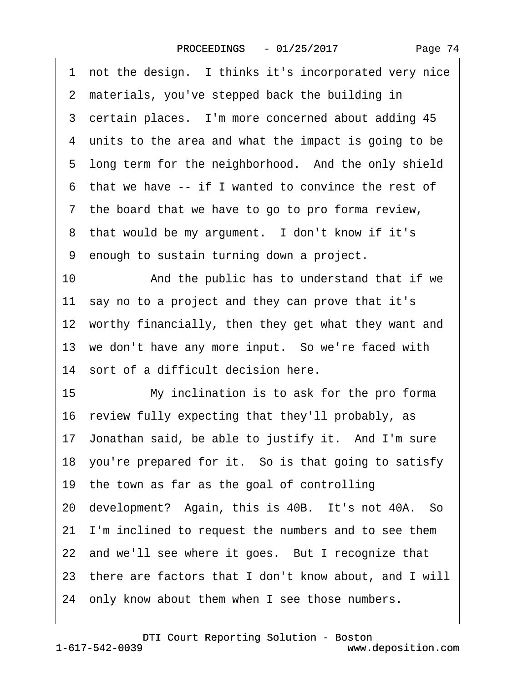<span id="page-73-0"></span>

| not the design. I thinks it's incorporated very nice<br>1 |
|-----------------------------------------------------------|
| 2 materials, you've stepped back the building in          |
| 3 certain places. I'm more concerned about adding 45      |
| 4 units to the area and what the impact is going to be    |
| 5 long term for the neighborhood. And the only shield     |
| 6 that we have -- if I wanted to convince the rest of     |
| 7 the board that we have to go to pro forma review,       |
| 8 that would be my argument. I don't know if it's         |
| 9 enough to sustain turning down a project.               |
| And the public has to understand that if we<br>10         |
| 11 say no to a project and they can prove that it's       |
| 12 worthy financially, then they get what they want and   |
| 13 we don't have any more input. So we're faced with      |
| 14 sort of a difficult decision here.                     |
| 15<br>My inclination is to ask for the pro forma          |
| 16 review fully expecting that they'll probably, as       |
| 17 Jonathan said, be able to justify it. And I'm sure     |
| 18 you're prepared for it. So is that going to satisfy    |
| 19 the town as far as the goal of controlling             |
| 20 development? Again, this is 40B. It's not 40A. So      |
| 21 I'm inclined to request the numbers and to see them    |
| 22 and we'll see where it goes. But I recognize that      |
| 23 there are factors that I don't know about, and I will  |
| 24 only know about them when I see those numbers.         |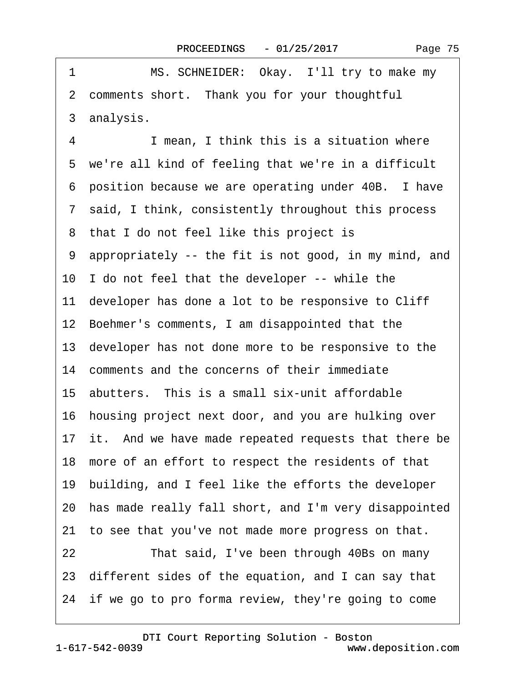<span id="page-74-0"></span>

| 1  | MS. SCHNEIDER: Okay. I'll try to make my                 |
|----|----------------------------------------------------------|
|    | 2 comments short. Thank you for your thoughtful          |
|    | 3 analysis.                                              |
| 4  | I mean, I think this is a situation where                |
| 5  | we're all kind of feeling that we're in a difficult      |
| 6  | position because we are operating under 40B. I have      |
|    | 7 said, I think, consistently throughout this process    |
|    | 8 that I do not feel like this project is                |
|    | 9 appropriately -- the fit is not good, in my mind, and  |
|    | 10 I do not feel that the developer -- while the         |
|    | 11 developer has done a lot to be responsive to Cliff    |
|    | 12 Boehmer's comments, I am disappointed that the        |
|    | 13 developer has not done more to be responsive to the   |
|    | 14 comments and the concerns of their immediate          |
|    | 15 abutters. This is a small six-unit affordable         |
|    | 16 housing project next door, and you are hulking over   |
|    | 17 it. And we have made repeated requests that there be  |
|    | 18 more of an effort to respect the residents of that    |
|    | 19 building, and I feel like the efforts the developer   |
|    | 20 has made really fall short, and I'm very disappointed |
|    | 21 to see that you've not made more progress on that.    |
| 22 | That said, I've been through 40Bs on many                |
|    | 23 different sides of the equation, and I can say that   |
|    | 24 if we go to pro forma review, they're going to come   |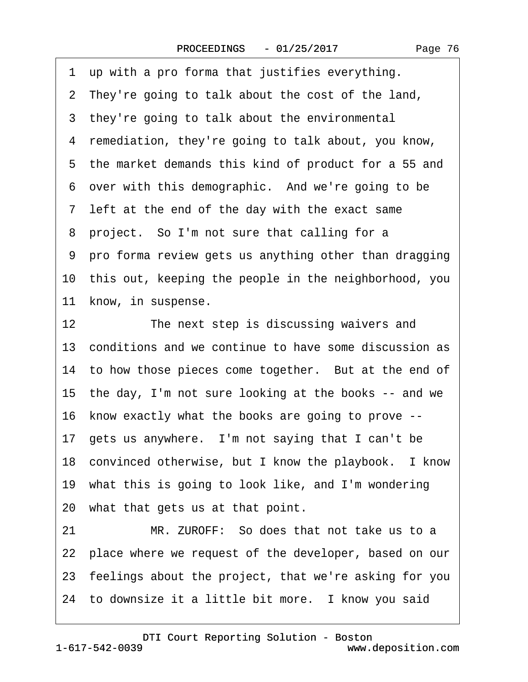<span id="page-75-0"></span>1 up with a pro forma that justifies everything.

- ·2· They're going to talk about the cost of the land,
- 3 they're going to talk about the environmental
- ·4· remediation, they're going to talk about, you know,
- 5 the market demands this kind of product for a 55 and
- 6 over with this demographic. And we're going to be
- 7 left at the end of the day with the exact same
- 8 project. So I'm not sure that calling for a
- ·9· pro forma review gets us anything other than dragging
- 10· this out, keeping the people in the neighborhood, you
- 11 know, in suspense.
- 12 The next step is discussing waivers and 13 conditions and we continue to have some discussion as 14 to how those pieces come together. But at the end of 15 the day, I'm not sure looking at the books -- and we 16· know exactly what the books are going to prove -- 17 gets us anywhere. I'm not saying that I can't be 18 convinced otherwise, but I know the playbook. I know 19· what this is going to look like, and I'm wondering 20· what that gets us at that point. 21 MR. ZUROFF: So does that not take us to a
- 22 place where we request of the developer, based on our
- 23· feelings about the project, that we're asking for you
- 24 to downsize it a little bit more. I know you said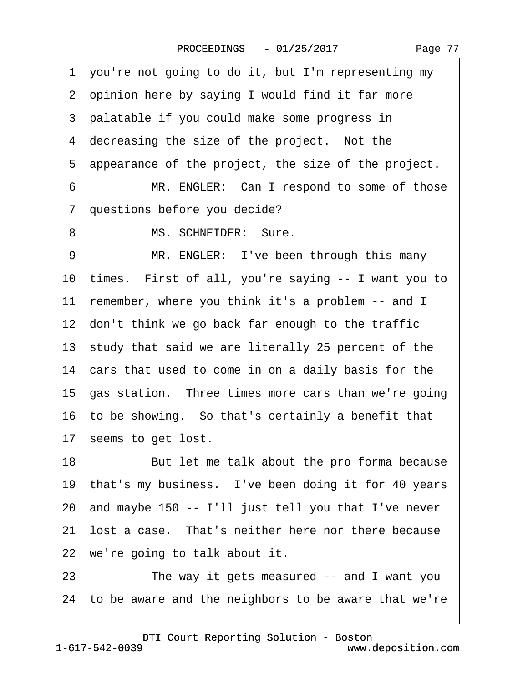|   | 2 opinion here by saying I would find it far more                                                                                                                                                                                                                                                                                                                           |
|---|-----------------------------------------------------------------------------------------------------------------------------------------------------------------------------------------------------------------------------------------------------------------------------------------------------------------------------------------------------------------------------|
|   | 3 palatable if you could make some progress in                                                                                                                                                                                                                                                                                                                              |
|   | 4 decreasing the size of the project. Not the                                                                                                                                                                                                                                                                                                                               |
|   | 5 appearance of the project, the size of the project.                                                                                                                                                                                                                                                                                                                       |
|   | $6\quad$<br>MR. ENGLER: Can I respond to some of those                                                                                                                                                                                                                                                                                                                      |
|   | 7 questions before you decide?                                                                                                                                                                                                                                                                                                                                              |
| 8 | MS. SCHNEIDER: Sure.                                                                                                                                                                                                                                                                                                                                                        |
| 9 | MR. ENGLER: I've been through this many                                                                                                                                                                                                                                                                                                                                     |
|   | $10$ times $\overline{1}$ $\overline{1}$ $\overline{1}$ $\overline{1}$ $\overline{1}$ $\overline{1}$ $\overline{1}$ $\overline{1}$ $\overline{1}$ $\overline{1}$ $\overline{1}$ $\overline{1}$ $\overline{1}$ $\overline{1}$ $\overline{1}$ $\overline{1}$ $\overline{1}$ $\overline{1}$ $\overline{1}$ $\overline{1}$ $\overline{1}$ $\overline{1}$ $\overline{1}$ $\over$ |

9 MR. ENGLER: I've been through the 10· times.· First of all, you're saying -- I want you to 11 remember, where you think it's a problem -- and I 12 don't think we go back far enough to the traffic 13 study that said we are literally 25 percent of the 14 cars that used to come in on a daily basis for the 15 gas station. Three times more cars than we're going 16· to be showing.· So that's certainly a benefit that 17 seems to get lost. 18 But let me talk about the pro forma because

<span id="page-76-0"></span>·1· you're not going to do it, but I'm representing my

19 that's my business. I've been doing it for 40 years 20· and maybe 150 -- I'll just tell you that I've never

21 lost a case. That's neither here nor there because 22 we're going to talk about it.

23 The way it gets measured -- and I want you 24· to be aware and the neighbors to be aware that we're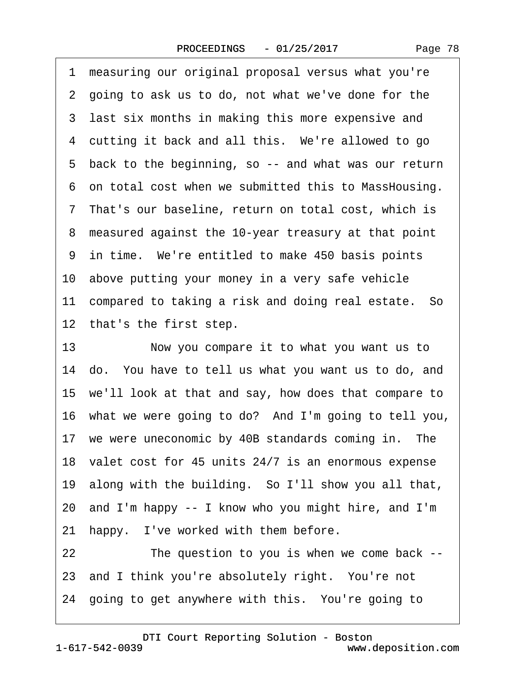Page 78

<span id="page-77-0"></span>1 measuring our original proposal versus what you're 2 going to ask us to do, not what we've done for the 3 last six months in making this more expensive and 4 cutting it back and all this. We're allowed to go 5 back to the beginning, so -- and what was our return ·6· on total cost when we submitted this to MassHousing. ·7· That's our baseline, return on total cost, which is ·8· measured against the 10-year treasury at that point 9 in time. We're entitled to make 450 basis points 10 above putting your money in a very safe vehicle 11 compared to taking a risk and doing real estate. So 12 that's the first step. 13 • Now you compare it to what you want us to 14 do. You have to tell us what you want us to do, and 15· we'll look at that and say, how does that compare to 16 what we were going to do? And I'm going to tell you, 17 we were uneconomic by 40B standards coming in. The 18· valet cost for 45 units 24/7 is an enormous expense 19· along with the building.· So I'll show you all that, 20· and I'm happy -- I know who you might hire, and I'm 21 happy. I've worked with them before. 22 The question to you is when we come back --23 and I think you're absolutely right. You're not

24 going to get anywhere with this. You're going to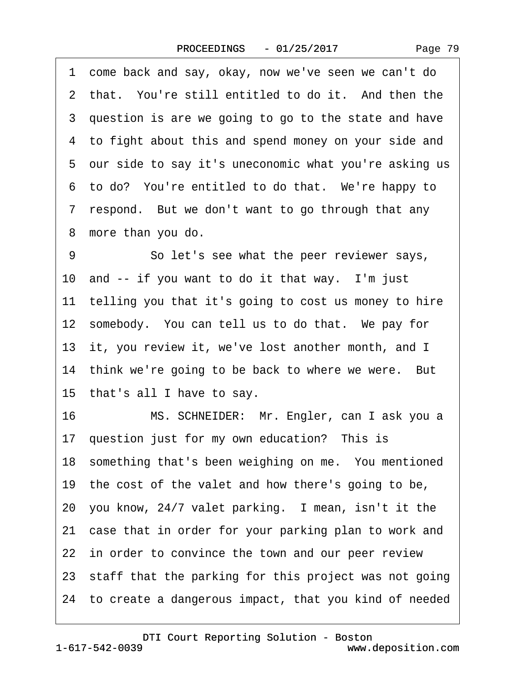<span id="page-78-0"></span>·1· come back and say, okay, now we've seen we can't do 2 that. You're still entitled to do it. And then the 3 question is are we going to go to the state and have 4 to fight about this and spend money on your side and 5 our side to say it's uneconomic what you're asking us 6 to do? You're entitled to do that. We're happy to 7 respond. But we don't want to go through that any 8 more than you do. 9 So let's see what the peer reviewer says, 10 and -- if you want to do it that way. I'm just 11 telling you that it's going to cost us money to hire 12 somebody. You can tell us to do that. We pay for 13 it, you review it, we've lost another month, and I 14 think we're going to be back to where we were. But 15· that's all I have to say. 16 MS. SCHNEIDER: Mr. Engler, can I ask you a 17 question just for my own education? This is 18 something that's been weighing on me. You mentioned 19 the cost of the valet and how there's going to be, 20 you know, 24/7 valet parking. I mean, isn't it the 21 case that in order for your parking plan to work and 22 in order to convince the town and our peer review 23 staff that the parking for this project was not going 24· to create a dangerous impact, that you kind of needed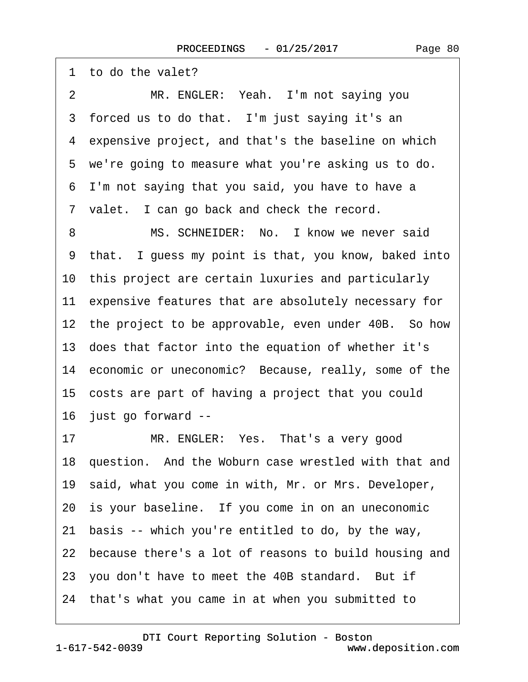<span id="page-79-0"></span>

| 1 to do the valet?                                       |
|----------------------------------------------------------|
| MR. ENGLER: Yeah. I'm not saying you<br>2                |
| 3 forced us to do that. I'm just saying it's an          |
| 4 expensive project, and that's the baseline on which    |
| 5 we're going to measure what you're asking us to do.    |
| 6 I'm not saying that you said, you have to have a       |
| 7 valet. I can go back and check the record.             |
| MS. SCHNEIDER: No. I know we never said<br>8             |
| 9 that. I guess my point is that, you know, baked into   |
| 10 this project are certain luxuries and particularly    |
| 11 expensive features that are absolutely necessary for  |
| 12 the project to be approvable, even under 40B. So how  |
| 13 does that factor into the equation of whether it's    |
| 14 economic or uneconomic? Because, really, some of the  |
| 15 costs are part of having a project that you could     |
| 16 just go forward --                                    |
| MR. ENGLER: Yes. That's a very good<br>17                |
| 18 question. And the Woburn case wrestled with that and  |
| 19 said, what you come in with, Mr. or Mrs. Developer,   |
| 20 is your baseline. If you come in on an uneconomic     |
| basis -- which you're entitled to do, by the way,<br>21  |
| 22 because there's a lot of reasons to build housing and |
| 23 you don't have to meet the 40B standard. But if       |
| 24 that's what you came in at when you submitted to      |
|                                                          |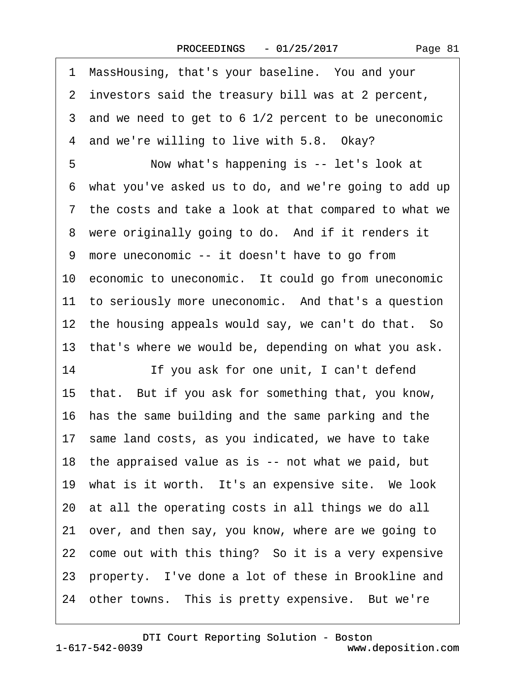<span id="page-80-0"></span>·1· MassHousing, that's your baseline.· You and your 2 investors said the treasury bill was at 2 percent, 3 and we need to get to 6 1/2 percent to be uneconomic 4 and we're willing to live with 5.8. Okay? 5 Now what's happening is -- let's look at ·6· what you've asked us to do, and we're going to add up ·7· the costs and take a look at that compared to what we 8 were originally going to do. And if it renders it 9 more uneconomic -- it doesn't have to go from 10 economic to uneconomic. It could go from uneconomic 11 to seriously more uneconomic. And that's a question 12 the housing appeals would say, we can't do that. So 13 that's where we would be, depending on what you ask. 14 If you ask for one unit, I can't defend 15· that.· But if you ask for something that, you know, 16 has the same building and the same parking and the 17 same land costs, as you indicated, we have to take 18 the appraised value as is -- not what we paid, but 19 what is it worth. It's an expensive site. We look 20· at all the operating costs in all things we do all 21· over, and then say, you know, where are we going to 22 come out with this thing? So it is a very expensive 23 property. I've done a lot of these in Brookline and 24 other towns. This is pretty expensive. But we're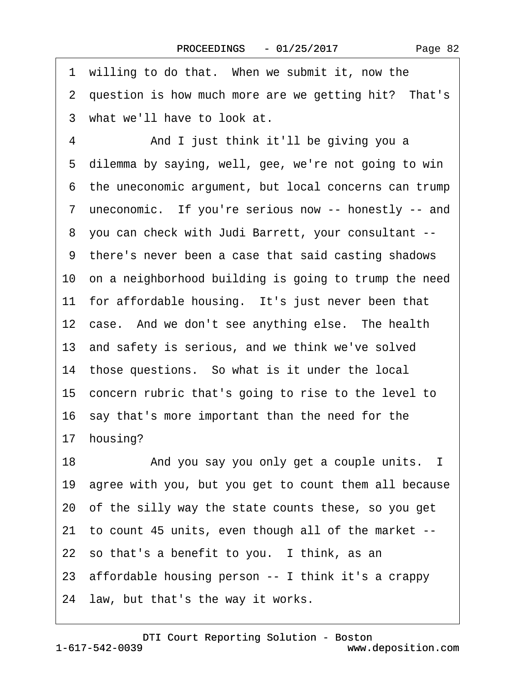<span id="page-81-0"></span>

|    | 1 willing to do that. When we submit it, now the         |
|----|----------------------------------------------------------|
|    | 2 question is how much more are we getting hit? That's   |
|    | 3 what we'll have to look at.                            |
| 4  | And I just think it'll be giving you a                   |
|    | 5 dilemma by saying, well, gee, we're not going to win   |
|    | 6 the uneconomic argument, but local concerns can trump  |
|    | 7 uneconomic. If you're serious now -- honestly -- and   |
|    | 8 you can check with Judi Barrett, your consultant --    |
|    | 9 there's never been a case that said casting shadows    |
|    | 10 on a neighborhood building is going to trump the need |
|    | 11 for affordable housing. It's just never been that     |
|    | 12 case. And we don't see anything else. The health      |
|    | 13 and safety is serious, and we think we've solved      |
|    | 14 those questions. So what is it under the local        |
|    | 15 concern rubric that's going to rise to the level to   |
|    | 16 say that's more important than the need for the       |
|    | 17 housing?                                              |
| 18 | And you say you only get a couple units. I               |
|    | 19 agree with you, but you get to count them all because |
|    | 20 of the silly way the state counts these, so you get   |
|    | 21 to count 45 units, even though all of the market --   |
|    | 22 so that's a benefit to you. I think, as an            |
|    | 23 affordable housing person -- I think it's a crappy    |
|    | 24 law, but that's the way it works.                     |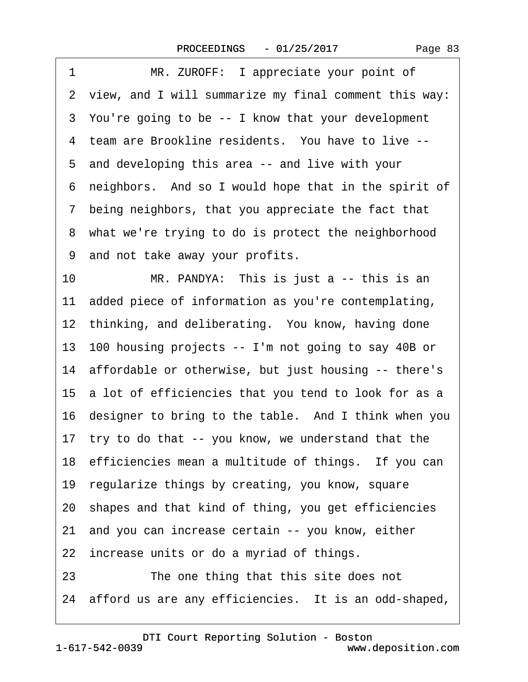<span id="page-82-0"></span>

| 1<br>MR. ZUROFF: I appreciate your point of               |
|-----------------------------------------------------------|
| 2 view, and I will summarize my final comment this way:   |
| 3 You're going to be -- I know that your development      |
| 4 team are Brookline residents. You have to live --       |
| 5 and developing this area -- and live with your          |
| neighbors. And so I would hope that in the spirit of<br>6 |
| 7 being neighbors, that you appreciate the fact that      |
| 8 what we're trying to do is protect the neighborhood     |
| 9 and not take away your profits.                         |
| 10<br>MR. PANDYA: This is just a -- this is an            |
| 11 added piece of information as you're contemplating,    |
| 12 thinking, and deliberating. You know, having done      |
| 13 100 housing projects -- I'm not going to say 40B or    |
| 14 affordable or otherwise, but just housing -- there's   |
| 15 a lot of efficiencies that you tend to look for as a   |
| 16 designer to bring to the table. And I think when you   |
| 17 try to do that -- you know, we understand that the     |
| 18 efficiencies mean a multitude of things. If you can    |
| 19 regularize things by creating, you know, square        |
| 20 shapes and that kind of thing, you get efficiencies    |
| 21 and you can increase certain -- you know, either       |
| 22 increase units or do a myriad of things.               |
| The one thing that this site does not<br>23               |
| 24 afford us are any efficiencies. It is an odd-shaped,   |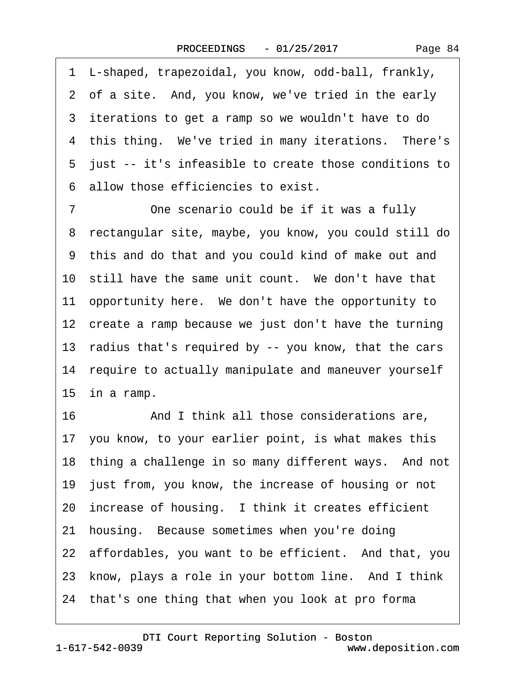<span id="page-83-0"></span>·1· L-shaped, trapezoidal, you know, odd-ball, frankly, 2 of a site. And, you know, we've tried in the early 3 iterations to get a ramp so we wouldn't have to do 4 this thing. We've tried in many iterations. There's ·5· just -- it's infeasible to create those conditions to ·6· allow those efficiencies to exist.

7 One scenario could be if it was a fully ·8· rectangular site, maybe, you know, you could still do ·9· this and do that and you could kind of make out and 10 still have the same unit count. We don't have that 11 opportunity here. We don't have the opportunity to 12 create a ramp because we just don't have the turning 13 radius that's required by -- you know, that the cars 14 require to actually manipulate and maneuver yourself 15 in a ramp.

16 • **And I think all those considerations are,** 17· you know, to your earlier point, is what makes this 18 thing a challenge in so many different ways. And not 19 just from, you know, the increase of housing or not 20 increase of housing. I think it creates efficient 21 housing. Because sometimes when you're doing 22 affordables, you want to be efficient. And that, you 23 know, plays a role in your bottom line. And I think 24· that's one thing that when you look at pro forma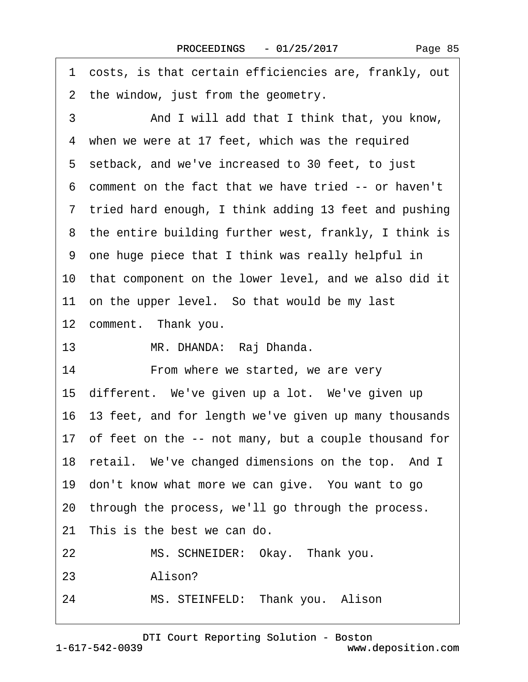<span id="page-84-0"></span>·1· costs, is that certain efficiencies are, frankly, out 2 the window, just from the geometry. 3 **• • And I will add that I think that, you know,** 4 when we were at 17 feet, which was the required 5 setback, and we've increased to 30 feet, to just ·6· comment on the fact that we have tried -- or haven't 7 tried hard enough, I think adding 13 feet and pushing 8 the entire building further west, frankly, I think is ·9· one huge piece that I think was really helpful in 10 that component on the lower level, and we also did it 11 on the upper level. So that would be my last 12 comment. Thank you. 13 MR. DHANDA: Raj Dhanda. 14 • From where we started, we are very 15 different. We've given up a lot. We've given up 16· 13 feet, and for length we've given up many thousands 17 of feet on the -- not many, but a couple thousand for 18 retail. We've changed dimensions on the top. And I 19 don't know what more we can give. You want to go 20· through the process, we'll go through the process. 21 This is the best we can do. 22 MS. SCHNEIDER: Okay. Thank you. 23 Alison? 24 MS. STEINFELD: Thank you. Alison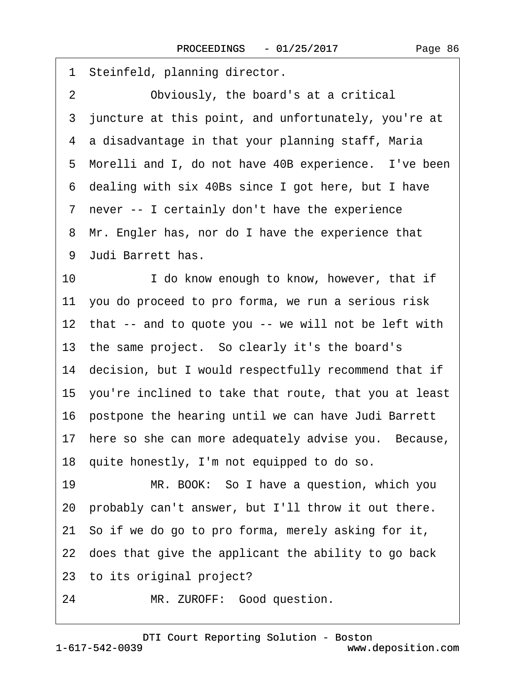<span id="page-85-0"></span>1 Steinfeld, planning director. 2 Obviously, the board's at a critical 3 juncture at this point, and unfortunately, you're at ·4· a disadvantage in that your planning staff, Maria 5 Morelli and I, do not have 40B experience. I've been ·6· dealing with six 40Bs since I got here, but I have 7 never -- I certainly don't have the experience 8 Mr. Engler has, nor do I have the experience that ·9· Judi Barrett has. 10 **I** do know enough to know, however, that if 11 you do proceed to pro forma, we run a serious risk 12 that -- and to quote you -- we will not be left with 13 the same project. So clearly it's the board's 14 decision, but I would respectfully recommend that if 15· you're inclined to take that route, that you at least 16 postpone the hearing until we can have Judi Barrett 17 here so she can more adequately advise you. Because, 18· quite honestly, I'm not equipped to do so. 19 MR. BOOK: So I have a question, which you 20· probably can't answer, but I'll throw it out there. 21· So if we do go to pro forma, merely asking for it, 22 does that give the applicant the ability to go back 23· to its original project? 24 MR. ZUROFF: Good question.

1-617-542-0039 [DTI Court Reporting Solution - Boston](http://www.deposition.com) www.deposition.com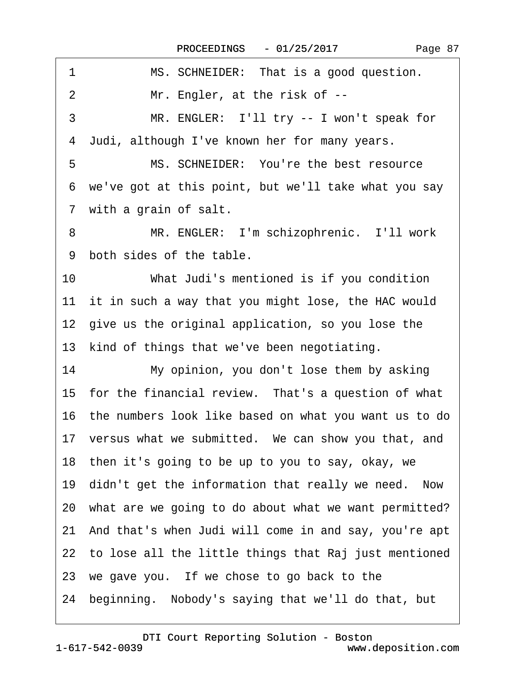<span id="page-86-0"></span>

| 1<br>MS. SCHNEIDER: That is a good question.             |
|----------------------------------------------------------|
| Mr. Engler, at the risk of --<br>$\overline{2}$          |
| 3<br>MR. ENGLER: I'll try -- I won't speak for           |
| 4 Judi, although I've known her for many years.          |
| MS. SCHNEIDER: You're the best resource<br>5             |
| 6 we've got at this point, but we'll take what you say   |
| 7 with a grain of salt.                                  |
| MR. ENGLER: I'm schizophrenic. I'll work<br>8            |
| 9 both sides of the table.                               |
| 10<br>What Judi's mentioned is if you condition          |
| 11 it in such a way that you might lose, the HAC would   |
| 12 give us the original application, so you lose the     |
| 13 kind of things that we've been negotiating.           |
| 14<br>My opinion, you don't lose them by asking          |
| 15 for the financial review. That's a question of what   |
| 16 the numbers look like based on what you want us to do |
| 17 versus what we submitted. We can show you that, and   |
| 18 then it's going to be up to you to say, okay, we      |
| 19 didn't get the information that really we need. Now   |
| 20 what are we going to do about what we want permitted? |
| 21 And that's when Judi will come in and say, you're apt |
| 22 to lose all the little things that Raj just mentioned |
| 23 we gave you. If we chose to go back to the            |
| 24 beginning. Nobody's saying that we'll do that, but    |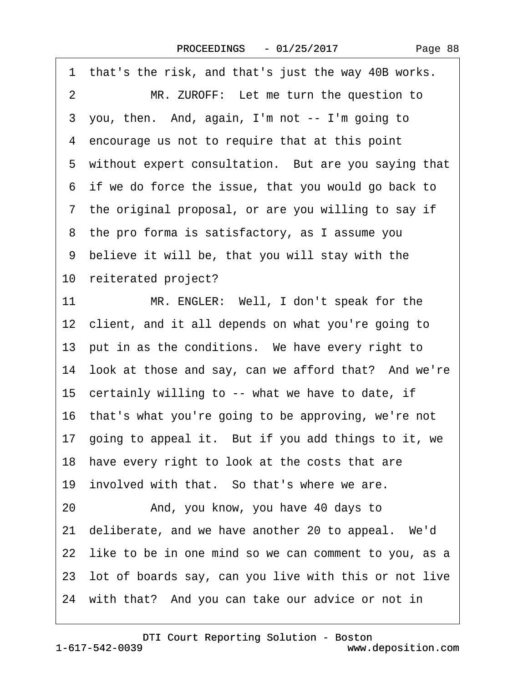<span id="page-87-0"></span>

| 1 that's the risk, and that's just the way 40B works.    |
|----------------------------------------------------------|
| MR. ZUROFF: Let me turn the question to<br>2             |
| 3 you, then. And, again, I'm not -- I'm going to         |
| 4 encourage us not to require that at this point         |
| 5 without expert consultation. But are you saying that   |
| 6 if we do force the issue, that you would go back to    |
| 7 the original proposal, or are you willing to say if    |
| 8 the pro forma is satisfactory, as I assume you         |
| 9 believe it will be, that you will stay with the        |
| 10 reiterated project?                                   |
| 11<br>MR. ENGLER: Well, I don't speak for the            |
| 12 client, and it all depends on what you're going to    |
| 13 put in as the conditions. We have every right to      |
| 14 look at those and say, can we afford that? And we're  |
| 15 certainly willing to -- what we have to date, if      |
| 16 that's what you're going to be approving, we're not   |
| 17 going to appeal it. But if you add things to it, we   |
| 18 have every right to look at the costs that are        |
| 19 involved with that. So that's where we are.           |
| And, you know, you have 40 days to<br>20                 |
| 21 deliberate, and we have another 20 to appeal. We'd    |
| 22 like to be in one mind so we can comment to you, as a |
| 23 lot of boards say, can you live with this or not live |
| 24 with that? And you can take our advice or not in      |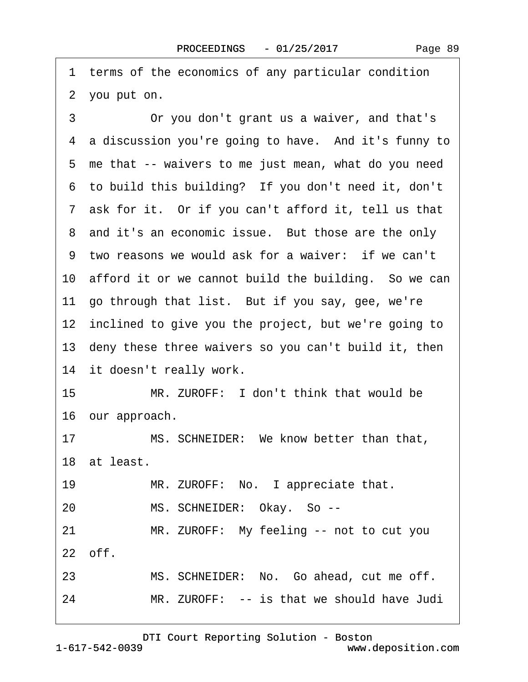<span id="page-88-0"></span>1 terms of the economics of any particular condition 2 you put on.

3 **• Or you don't grant us a waiver, and that's** 4 a discussion you're going to have. And it's funny to 5 me that -- waivers to me just mean, what do you need 6 to build this building? If you don't need it, don't 7 ask for it. Or if you can't afford it, tell us that 8 and it's an economic issue. But those are the only 9 two reasons we would ask for a waiver: if we can't 10 afford it or we cannot build the building. So we can 11 go through that list. But if you say, gee, we're 12 inclined to give you the project, but we're going to 13 deny these three waivers so you can't build it, then 14 it doesn't really work. 15 MR. ZUROFF: I don't think that would be 16 our approach. 17 MS. SCHNEIDER: We know better than that, 18 at least. 19 MR. ZUROFF: No. I appreciate that. 20 MS. SCHNEIDER: Okay. So --21 MR. ZUROFF: My feeling -- not to cut you  $22$  off. 23 MS. SCHNEIDER: No. Go ahead, cut me off. 24 MR. ZUROFF: -- is that we should have Judi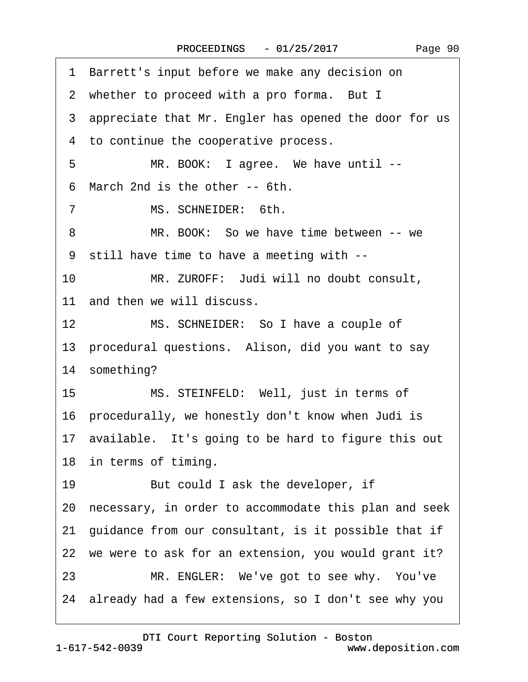<span id="page-89-0"></span>1 Barrett's input before we make any decision on 2 whether to proceed with a pro forma. But I 3 appreciate that Mr. Engler has opened the door for us 4 to continue the cooperative process. 5 MR. BOOK: I agree. We have until --·6· March 2nd is the other -- 6th. 7 MS. SCHNEIDER: 6th. 8 MR. BOOK: So we have time between -- we ·9· still have time to have a meeting with -- 10 MR. ZUROFF: Judi will no doubt consult, 11 and then we will discuss. 12 MS. SCHNEIDER: So I have a couple of 13 procedural questions. Alison, did you want to say 14 something? 15 MS. STEINFELD: Well, just in terms of 16· procedurally, we honestly don't know when Judi is 17· available.· It's going to be hard to figure this out 18 in terms of timing. 19 But could I ask the developer, if 20· necessary, in order to accommodate this plan and seek 21 guidance from our consultant, is it possible that if 22 we were to ask for an extension, you would grant it? 23 MR. ENGLER: We've got to see why. You've 24· already had a few extensions, so I don't see why you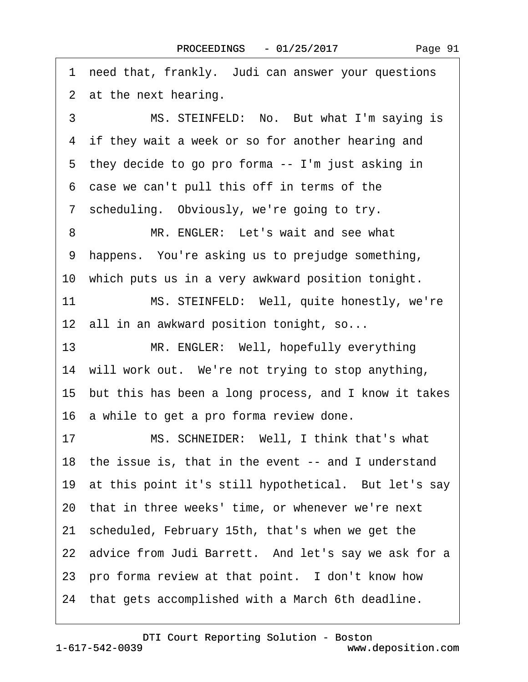<span id="page-90-0"></span>1 need that, frankly. Judi can answer your questions 2 at the next hearing. 3 MS. STEINFELD: No. But what I'm saying is 4 if they wait a week or so for another hearing and 5 they decide to go pro forma -- I'm just asking in ·6· case we can't pull this off in terms of the 7 scheduling. Obviously, we're going to try. 8 MR. ENGLER: Let's wait and see what 9 happens. You're asking us to prejudge something, 10 which puts us in a very awkward position tonight. 11 MS. STEINFELD: Well, quite honestly, we're 12 all in an awkward position tonight, so... 13 MR. ENGLER: Well, hopefully everything 14 will work out. We're not trying to stop anything, 15· but this has been a long process, and I know it takes 16 a while to get a pro forma review done. 17 MS. SCHNEIDER: Well, I think that's what 18 the issue is, that in the event -- and I understand 19 at this point it's still hypothetical. But let's say 20· that in three weeks' time, or whenever we're next 21· scheduled, February 15th, that's when we get the 22 advice from Judi Barrett. And let's say we ask for a 23 pro forma review at that point. I don't know how 24 that gets accomplished with a March 6th deadline.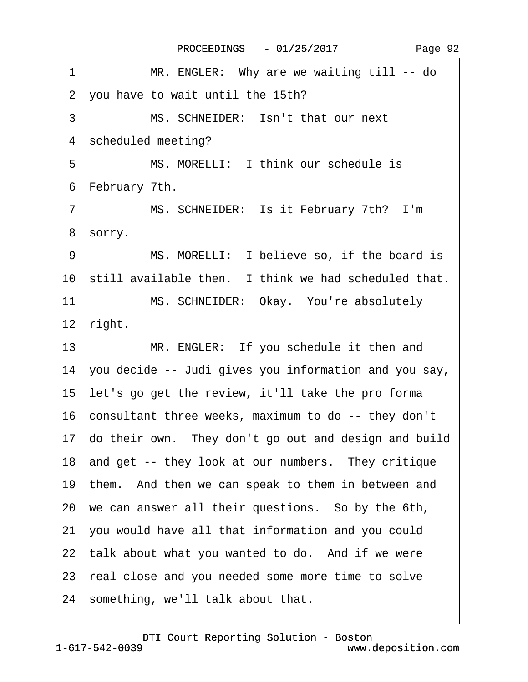<span id="page-91-0"></span>1 MR. ENGLER: Why are we waiting till -- do 2 you have to wait until the 15th? 3 MS. SCHNEIDER: Isn't that our next 4 scheduled meeting? 5 MS. MORELLI: I think our schedule is 6 February 7th. 7 MS. SCHNEIDER: Is it February 7th? I'm 8 sorry. 9 MS. MORELLI: I believe so, if the board is 10 still available then. I think we had scheduled that. 11 MS. SCHNEIDER: Okay. You're absolutely 12 right. 13 MR. ENGLER: If you schedule it then and 14· you decide -- Judi gives you information and you say, 15· let's go get the review, it'll take the pro forma 16 consultant three weeks, maximum to do -- they don't 17· do their own.· They don't go out and design and build 18 and get -- they look at our numbers. They critique 19 them. And then we can speak to them in between and 20· we can answer all their questions.· So by the 6th, 21· you would have all that information and you could 22 talk about what you wanted to do. And if we were 23 real close and you needed some more time to solve 24 something, we'll talk about that.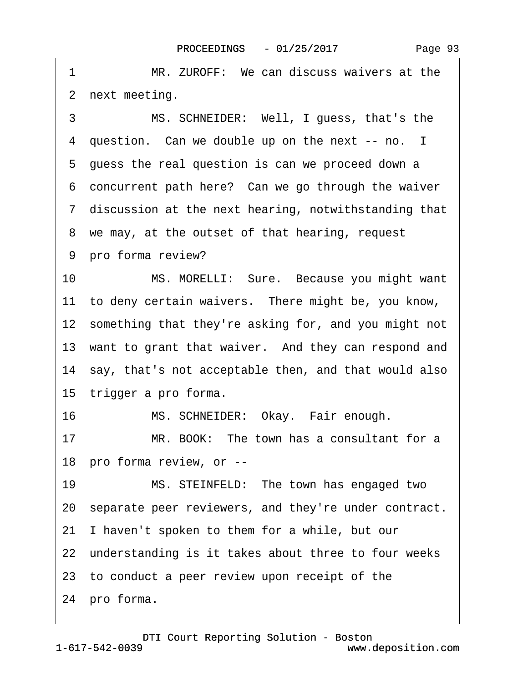<span id="page-92-0"></span>1 MR. ZUROFF: We can discuss waivers at the 2 next meeting.

3 MS. SCHNEIDER: Well, I guess, that's the 4 question. Can we double up on the next -- no. I 5 guess the real question is can we proceed down a 6 concurrent path here? Can we go through the waiver ·7· discussion at the next hearing, notwithstanding that 8 we may, at the outset of that hearing, request 9 pro forma review?

10 MS. MORELLI: Sure. Because you might want 11 to deny certain waivers. There might be, you know, 12 something that they're asking for, and you might not 13 want to grant that waiver. And they can respond and 14 say, that's not acceptable then, and that would also 15 trigger a pro forma.

16 MS. SCHNEIDER: Okay. Fair enough.

17 MR. BOOK: The town has a consultant for a 18 pro forma review, or --

19 MS. STEINFELD: The town has engaged two 20 separate peer reviewers, and they're under contract. 21· I haven't spoken to them for a while, but our 22 understanding is it takes about three to four weeks 23· to conduct a peer review upon receipt of the

24 pro forma.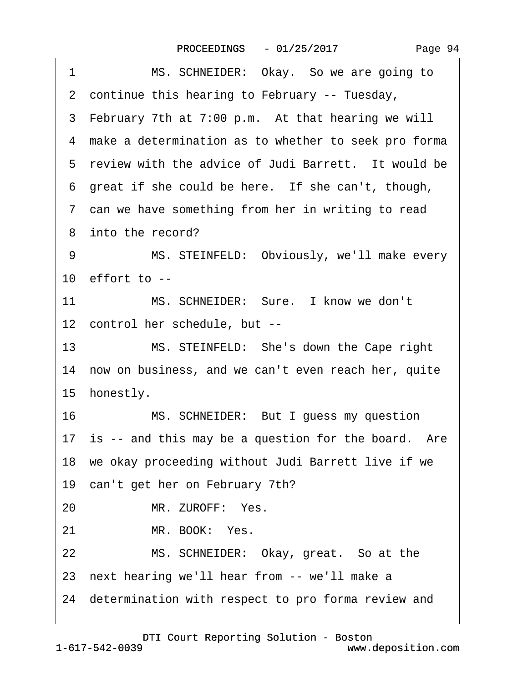<span id="page-93-0"></span>

| 1               | MS. SCHNEIDER: Okay. So we are going to                |
|-----------------|--------------------------------------------------------|
|                 | 2 continue this hearing to February -- Tuesday,        |
|                 | 3 February 7th at 7:00 p.m. At that hearing we will    |
|                 | 4 make a determination as to whether to seek pro forma |
|                 | 5 review with the advice of Judi Barrett. It would be  |
|                 | 6 great if she could be here. If she can't, though,    |
|                 | 7 can we have something from her in writing to read    |
|                 | 8 into the record?                                     |
| 9               | MS. STEINFELD: Obviously, we'll make every             |
|                 | 10 $e$ ffort to $-$                                    |
| 11              | MS. SCHNEIDER: Sure. I know we don't                   |
|                 | 12 control her schedule, but --                        |
| 13 <sup>2</sup> | MS. STEINFELD: She's down the Cape right               |
|                 | 14 now on business, and we can't even reach her, quite |
|                 | 15 honestly.                                           |
|                 | MS. SCHNEIDER: But I guess my question<br>16           |
|                 | 17 is -- and this may be a question for the board. Are |
|                 | 18 we okay proceeding without Judi Barrett live if we  |
|                 | 19 can't get her on February 7th?                      |
| 20              | MR. ZUROFF: Yes.                                       |
| 21              | MR. BOOK: Yes.                                         |
| 22              | MS. SCHNEIDER: Okay, great. So at the                  |
|                 | 23 next hearing we'll hear from -- we'll make a        |
|                 | 24 determination with respect to pro forma review and  |
|                 |                                                        |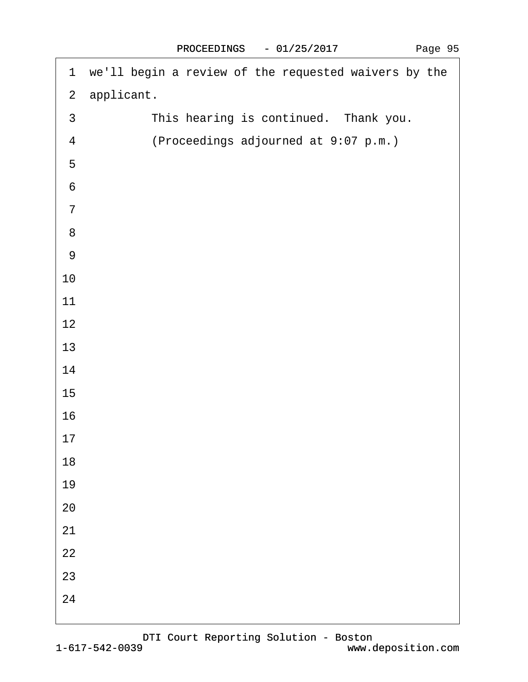<span id="page-94-0"></span>

|                  | 1 we'll begin a review of the requested waivers by the |
|------------------|--------------------------------------------------------|
|                  | 2 applicant.                                           |
| $\mathfrak{S}$   | This hearing is continued. Thank you.                  |
| $\overline{4}$   | (Proceedings adjourned at 9:07 p.m.)                   |
| $\sqrt{5}$       |                                                        |
| $\,6$            |                                                        |
| $\overline{7}$   |                                                        |
| $\bf 8$          |                                                        |
| $\boldsymbol{9}$ |                                                        |
| 10               |                                                        |
| 11               |                                                        |
| 12               |                                                        |
| 13               |                                                        |
| 14               |                                                        |
| 15               |                                                        |
| 16               |                                                        |
| 17               |                                                        |
| 18               |                                                        |
| 19               |                                                        |
| 20               |                                                        |
| 21               |                                                        |
| 22               |                                                        |
| 23               |                                                        |
| 24               |                                                        |
|                  |                                                        |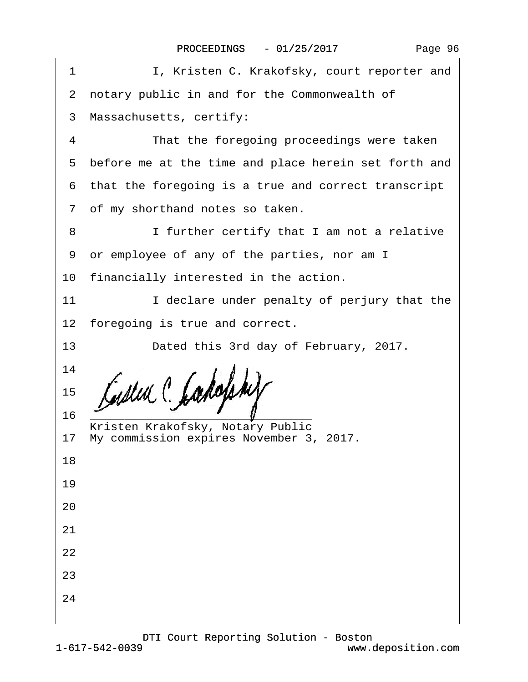| Page 96 |  |
|---------|--|
|---------|--|

| I, Kristen C. Krakofsky, court reporter and<br>1       |  |
|--------------------------------------------------------|--|
| 2 notary public in and for the Commonwealth of         |  |
| 3 Massachusetts, certify:                              |  |
| That the foregoing proceedings were taken<br>4         |  |
| 5 before me at the time and place herein set forth and |  |
| 6 that the foregoing is a true and correct transcript  |  |
| 7 of my shorthand notes so taken.                      |  |
| I further certify that I am not a relative<br>8        |  |
| or employee of any of the parties, nor am I<br>9       |  |
| 10 financially interested in the action.               |  |
| I declare under penalty of perjury that the<br>11      |  |
| 12 foregoing is true and correct.                      |  |
| 13<br>Dated this 3rd day of February, 2017.            |  |
| 14                                                     |  |
| 15                                                     |  |
| 16<br>Kristen Krakofsky, Notary Public                 |  |
| 17 My commission expires November 3, 2017.             |  |
| 18                                                     |  |
| 19                                                     |  |
| 20                                                     |  |
| 21                                                     |  |
| 22                                                     |  |
| 23                                                     |  |
| 24                                                     |  |
|                                                        |  |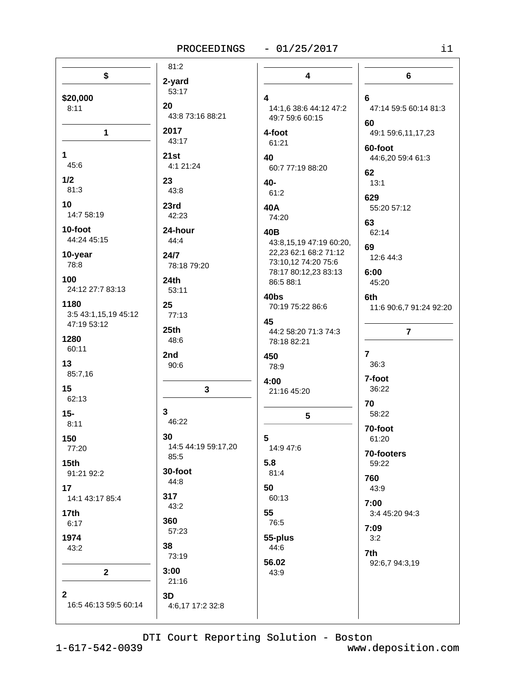# $-01/25/2017$

| \$                                          | 81:2                   | $\overline{\mathbf{4}}$        | $6\phantom{1}$                 |
|---------------------------------------------|------------------------|--------------------------------|--------------------------------|
| \$20,000                                    | 2-yard<br>53:17        | 4                              | 6                              |
| 8:11                                        | 20                     | 14:1,6 38:6 44:12 47:2         | 47:14 59:5 60:14 81:3          |
|                                             | 43:8 73:16 88:21       | 49:7 59:6 60:15                | 60                             |
| $\mathbf{1}$                                | 2017                   | 4-foot                         | 49:1 59:6,11,17,23             |
|                                             | 43:17                  | 61:21                          | 60-foot                        |
| $\mathbf{1}$                                | 21st                   | 40                             | 44:6,20 59:4 61:3              |
| 45:6                                        | 4:1 21:24              | 60:7 77:19 88:20               |                                |
| 1/2                                         | 23                     | 40-                            | 62                             |
| 81:3                                        | 43:8                   | 61:2                           | 13:1                           |
| 10                                          | 23rd                   | 40A                            | 629                            |
| 14:7 58:19                                  | 42:23                  | 74:20                          | 55:20 57:12                    |
| 10-foot                                     | 24-hour                | 40B                            | 63                             |
| 44:24 45:15                                 | 44:4                   | 43:8,15,19 47:19 60:20,        | 62:14                          |
| 10-year                                     | 24/7                   | 22,23 62:1 68:2 71:12          | 69                             |
| 78:8                                        | 78:18 79:20            | 73:10,12 74:20 75:6            | 12:6 44:3                      |
| 100                                         | 24th                   | 78:17 80:12,23 83:13           | 6:00                           |
| 24:12 27:7 83:13                            | 53:11                  | 86:5 88:1                      | 45:20                          |
| 1180<br>3:5 43:1,15,19 45:12<br>47:19 53:12 | 25<br>77:13            | 40bs<br>70:19 75:22 86:6<br>45 | 6th<br>11:6 90:6,7 91:24 92:20 |
| 1280                                        | 25th                   | 44:2 58:20 71:3 74:3           | $\overline{7}$                 |
| 60:11                                       | 48:6                   | 78:18 82:21                    |                                |
| 13                                          | 2nd                    | 450                            | $\overline{7}$                 |
| 85:7,16                                     | 90:6                   | 78:9                           | 36:3                           |
| 15                                          | $\mathbf 3$            | 4:00                           | 7-foot                         |
| 62:13                                       |                        | 21:16 45:20                    | 36:22                          |
| $15 -$                                      | 3 <sup>1</sup>         | 5                              | 70                             |
| 8:11                                        | 46:22                  |                                | 58:22                          |
| 150                                         | 30                     | 5                              | 70-foot                        |
| 77:20                                       | 14:5 44:19 59:17,20    | 14:9 47:6                      | 61:20                          |
| 15 <sub>th</sub><br>91:21 92:2              | 85:5<br>30-foot        | 5.8<br>81:4                    | 70-footers<br>59:22<br>760     |
| 17                                          | 44:8                   | 50                             | 43:9                           |
| 14:1 43:17 85:4                             | 317                    | 60:13                          | 7:00                           |
| 17th                                        | 43:2                   | 55                             | 3:4 45:20 94:3                 |
| 6:17                                        | 360                    | 76:5                           | 7:09                           |
| 1974                                        | 57:23                  | 55-plus                        | 3:2                            |
| 43:2                                        | 38                     | 44:6                           | 7th                            |
| $\mathbf{2}$                                | 73:19<br>3:00<br>21:16 | 56.02<br>43:9                  | 92:6,7 94:3,19                 |
| $\mathbf{2}$<br>16:5 46:13 59:5 60:14       | 3D<br>4:6,17 17:2 32:8 |                                |                                |

DTI Court Reporting Solution - Boston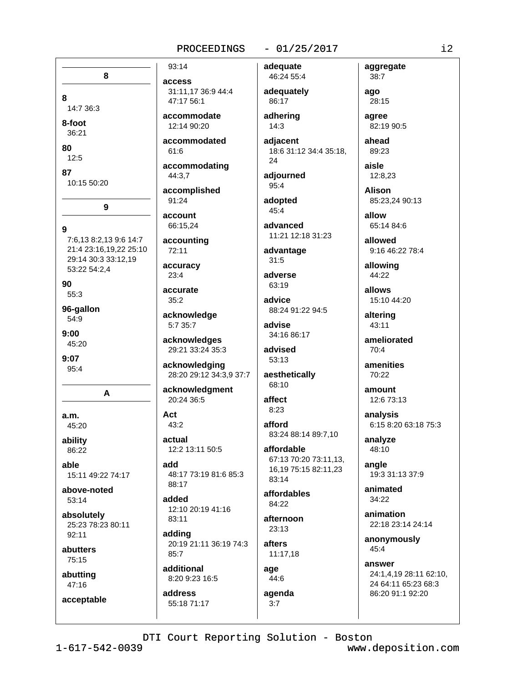#### $-01/25/2017$

8 8 14:7 36:3 8-foot 36:21 80  $12:5$ 87 10:15 50:20 9 9 7:6.13 8:2.13 9:6 14:7 21:4 23:16,19,22 25:10 29:14 30:3 33:12.19 53:22 54:2,4 90 55:3 96-gallon  $54:9$  $9:00$ 45:20  $9:07$ 95:4 A  $a.m.$ 45:20 ability 86:22 able 15:11 49:22 74:17 above-noted 53:14 absolutely 25:23 78:23 80:11  $92:11$ abutters 75:15 abutting  $47:16$ acceptable

# access 31:11,17 36:9 44:4 47:17 56:1

93:14

accommodate 12:14 90:20

accommodated  $61:6$ 

accommodating 44:3,7

accomplished 91:24

account 66:15,24

accounting 72:11

accuracy

 $23:4$ 

accurate  $35:2$ 

acknowledge 5:7 35:7

acknowledges 29:21 33:24 35:3

acknowledging 28:20 29:12 34:3,9 37:7

acknowledgment 20:24 36:5

Act  $43:2$ 

actual 12:2 13:11 50:5

add 48:17 73:19 81:6 85:3 88:17

added 12:10 20:19 41:16 83:11

adding 20:19 21:11 36:19 74:3  $85:7$ 

additional 8:20 9:23 16:5 address

55:18 71:17

 $3:7$ 

46:24 55:4 adequately 86:17 adhering  $14:3$ 

adequate

adiacent 18:6 31:12 34:4 35:18, 24

adjourned 95:4

adopted  $45:4$ 

advanced 11:21 12:18 31:23

advantage  $31:5$ 

adverse 63:19

advice 88:24 91:22 94:5

advise 34:16 86:17

advised 53:13

aesthetically 68:10

affect  $8:23$ 

afford 83:24 88:14 89:7.10

affordable 67:13 70:20 73:11,13, 16,19 75:15 82:11,23 83:14

affordables 84:22

afternoon  $23:13$ 

afters 11:17,18

age  $44:6$ agenda

 $38:7$ ago 28:15

aggregate

agree 82:19 90:5

ahead 89:23

aisle 12:8,23

**Alison** 85:23.24 90:13

allow 65:14 84:6

allowed 9:16 46:22 78:4

allowing 44:22

allows 15:10 44:20

altering 43:11

ameliorated  $70:4$ 

amenities 70:22

amount 12:6 73:13

analysis 6:15 8:20 63:18 75:3

analyze 48:10

angle 19:3 31:13 37:9

animated 34:22

animation 22:18 23:14 24:14

anonymously 45:4

answer 24:1,4,19 28:11 62:10, 24 64:11 65:23 68:3 86:20 91:1 92:20

DTI Court Reporting Solution - Boston

www.deposition.com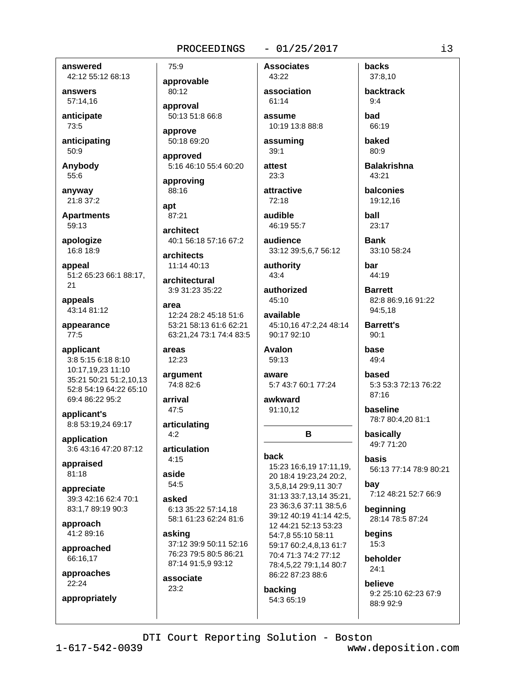#### $-01/25/2017$

answered

42:12 55:12 68:13 answers

57:14,16

anticipate 73:5

anticipating  $50:9$ 

Anybody

55:6

anvwav 21:8 37:2

**Apartments** 59:13

apologize 16:8 18:9

appeal 51:2 65:23 66:1 88:17, 21

appeals 43:14 81:12

appearance  $77:5$ 

applicant 3:8 5:15 6:18 8:10 10:17,19,23 11:10 35:21 50:21 51:2,10,13 52:8 54:19 64:22 65:10 69:4 86:22 95:2

applicant's 8:8 53:19,24 69:17

application 3:6 43:16 47:20 87:12

appraised 81:18

appreciate 39:3 42:16 62:4 70:1 83:1,7 89:19 90:3

approach 41:2 89:16

approached 66:16,17

approaches 22:24 appropriately approvable 80:12 approval 50:13 51:8 66:8

75:9

approve 50:18 69:20

approved 5:16 46:10 55:4 60:20

approving 88:16

apt 87:21

architect 40:1 56:18 57:16 67:2

architects 11:14 40:13

architectural 3:9 31:23 35:22

area 12:24 28:2 45:18 51:6 53:21 58:13 61:6 62:21 63:21,24 73:1 74:4 83:5

areas 12:23

argument 74:8 82:6

arrival 47:5

articulating  $4:2$ 

articulation  $4:15$ 

aside 54:5

asked 6:13 35:22 57:14.18 58:1 61:23 62:24 81:6

asking 37:12 39:9 50:11 52:16 76:23 79:5 80:5 86:21 87:14 91:5,9 93:12

associate  $23:2$ 

association 61:14 assume

**Associates** 

43:22

10:19 13:8 88:8 assuming

 $39:1$ 

 $23:3$ attractive

attest

72:18 audible 46:19 55:7

audience

33:12 39:5,6,7 56:12 authority

 $43:4$ 

authorized 45:10

available 45:10.16 47:2.24 48:14 90:17 92:10

**Avalon** 59:13

aware 5:7 43:7 60:1 77:24

B

awkward 91:10,12

**back** 

15:23 16:6,19 17:11,19, 20 18:4 19:23,24 20:2, 3,5,8,14 29:9,11 30:7 31:13 33:7,13,14 35:21, 23 36:3,6 37:11 38:5,6 39:12 40:19 41:14 42:5, 12 44:21 52:13 53:23 54:7,8 55:10 58:11 59:17 60:2,4,8,13 61:7 70:4 71:3 74:2 77:12 78:4,5,22 79:1,14 80:7 86:22 87:23 88:6

#### backing 54:3 65:19

backtrack  $9:4$ had 66:19

**backs** 

37:8,10

baked  $80:9$ 

**Balakrishna** 43:21

balconies 19:12.16

hall  $23:17$ 

**Bank** 

33:10 58:24

har 44:19

**Barrett** 82:8 86:9.16 91:22 94:5,18

**Barrett's**  $90:1$ 

base 49:4

based 5:3 53:3 72:13 76:22 87:16

baseline 78:7 80:4,20 81:1

basically 49:7 71:20

basis 56:13 77:14 78:9 80:21 bay

7:12 48:21 52:7 66:9

beginning 28:14 78:5 87:24

begins  $15:3$ 

beholder  $24:1$ 

helieve 9:2 25:10 62:23 67:9 88:9 92:9

DTI Court Reporting Solution - Boston

www.deposition.com

i3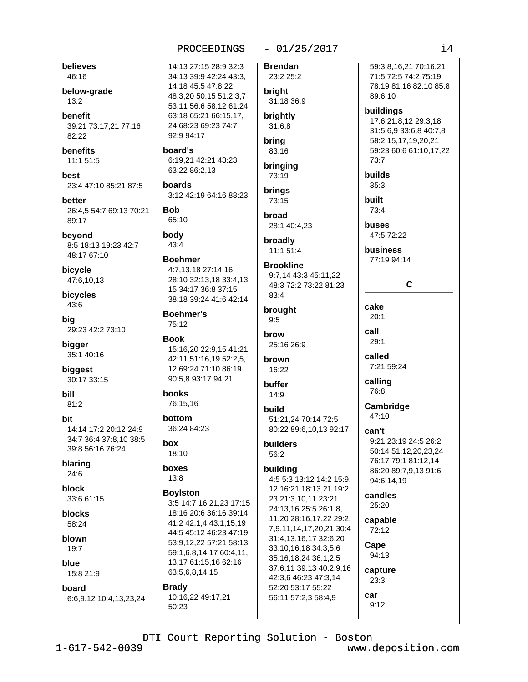#### believes 46:16

below-grade  $13:2$ 

**benefit** 39:21 73:17,21 77:16 82:22

**benefits** 11:1 51:5

hest 23:4 47:10 85:21 87:5

better 26:4.5 54:7 69:13 70:21 89:17

beyond 8:5 18:13 19:23 42:7 48:17 67:10

bicycle 47:6,10,13

bicycles 43:6

bia 29:23 42:2 73:10

bigger 35:1 40:16

biggest 30:17 33:15

**bill**  $81:2$ 

hit 14:14 17:2 20:12 24:9 34:7 36:4 37:8.10 38:5 39:8 56:16 76:24

blaring  $24:6$ 

block 33:6 61:15

blocks  $58.24$ 

blown  $19:7$ 

blue 15:8 21:9

board 6:6,9,12 10:4,13,23,24

14:13 27:15 28:9 32:3 34:13 39:9 42:24 43:3, 14,18 45:5 47:8,22 48:3.20 50:15 51:2.3.7 53:11 56:6 58:12 61:24 63:18 65:21 66:15,17, 24 68:23 69:23 74:7 92:9 94:17

board's 6:19,21 42:21 43:23 63:22 86:2,13

hoards 3:12 42:19 64:16 88:23

**Bob** 65:10

body 43:4

# **Boehmer** 4:7,13,18 27:14,16 28:10 32:13,18 33:4,13,

15 34:17 36:8 37:15 38:18 39:24 41:6 42:14

**Boehmer's** 75:12

**Book** 15:16,20 22:9,15 41:21 42:11 51:16,19 52:2,5, 12 69:24 71:10 86:19 90:5,8 93:17 94:21

books 76:15,16

bottom 36:24 84:23

box  $18:10$ 

boxes  $13:8$ 

### **Boylston**

50:23

3:5 14:7 16:21,23 17:15 18:16 20:6 36:16 39:14 41:2 42:1.4 43:1.15.19 44:5 45:12 46:23 47:19 53:9,12,22 57:21 58:13 59:1.6.8.14.17 60:4.11. 13,17 61:15,16 62:16 63:5,6,8,14,15 **Brady** 10:16,22 49:17,21

**Brendan** 23:2 25:2

 $-01/25/2017$ 

bright 31:18 36:9

brightly  $31:6,8$ 

brina 83:16

#### bringing 73:19

**brings** 73:15

broad 28:1 40:4,23

broadly 11:1 51:4

# **Brookline**

9:7,14 43:3 45:11,22 48:3 72:2 73:22 81:23  $83.4$ 

brought  $9:5$ 

brow 25:16 26:9

brown 16:22

buffer  $14:9$ 

build 51:21,24 70:14 72:5 80:22 89:6,10,13 92:17

builders 56:2

# building

4:5 5:3 13:12 14:2 15:9, 12 16:21 18:13,21 19:2, 23 21:3.10.11 23:21 24:13,16 25:5 26:1,8, 11,20 28:16,17,22 29:2, 7,9,11,14,17,20,21 30:4 31:4,13,16,17 32:6,20 33:10,16,18 34:3,5,6 35:16,18,24 36:1,2,5 37:6,11 39:13 40:2,9,16 42:3.6 46:23 47:3.14 52:20 53:17 55:22 56:11 57:2,3 58:4,9

buildings 17:6 21:8,12 29:3,18 31:5,6,9 33:6,8 40:7,8 58:2,15,17,19,20,21 59:23 60:6 61:10,17,22 73:7 **builds** 

59:3.8.16.21 70:16.21

71:5 72:5 74:2 75:19

78:19 81:16 82:10 85:8

 $35:3$ built

89:6,10

73:4

buses  $47.572.22$ 

business 77:19 94:14

 $\mathbf{C}$ 

cake  $20:1$ call  $29:1$ 

called

7:21 59:24 calling

76:8 Cambridge

47:10

can't 9:21 23:19 24:5 26:2 50:14 51:12,20,23,24 76:17 79:1 81:12.14 86:20 89:7.9.13 91:6

candles  $25:20$ 

94:6.14.19

capable  $72:12$ 

Cape 94:13

capture 23:3

# car  $9:12$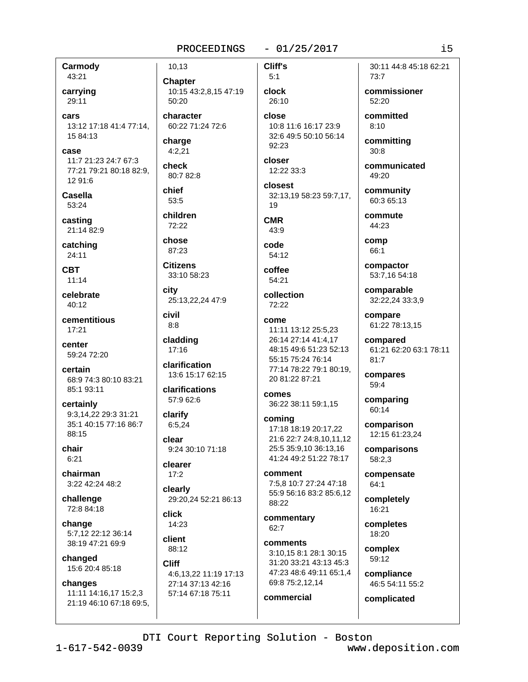### $-01/25/2017$

Cliff's

 $5:1$ 

Carmody

43:21 carrying

29:11 cars

13:12 17:18 41:4 77:14, 15 84:13

case 11:7 21:23 24:7 67:3 77:21 79:21 80:18 82:9, 12 91:6

**Casella** 53:24

casting 21:14 82:9

catching  $24:11$ 

**CBT**  $11:14$ 

celebrate  $40:12$ 

cementitious  $17:21$ 

center 59:24 72:20

certain 68:9 74:3 80:10 83:21 85:1 93:11

certainly 9:3.14.22 29:3 31:21 35:1 40:15 77:16 86:7 88:15

chair  $6:21$ 

chairman 3:22 42:24 48:2

challenge 72:8 84:18

change 5:7,12 22:12 36:14 38:19 47:21 69:9

changed 15:6 20:4 85:18

#### changes

11:11 14:16,17 15:2,3 21:19 46:10 67:18 69:5.

10,13 **Chapter** 10:15 43:2,8,15 47:19 50:20

character 60:22 71:24 72:6

charge  $4:2,21$ 

check 80:7 82:8

chief 53:5

children 72:22

chose 87:23

**Citizens** 33:10 58:23

city 25:13.22.24 47:9

civil  $8:8$ 

cladding  $17:16$ 

clarification 13:6 15:17 62:15

clarifications 57:9 62:6

clarify  $6:5,24$ 

clear 9:24 30:10 71:18

clearer  $17:2$ 

clearly 29:20.24 52:21 86:13

click 14:23

client 88:12

**Cliff** 4:6,13,22 11:19 17:13 27:14 37:13 42:16 57:14 67:18 75:11

clock 26:10 close 10:8 11:6 16:17 23:9 32:6 49:5 50:10 56:14

92:23 closer

12:22 33:3 closest

32:13,19 58:23 59:7,17,

**CMR**  $43:9$ 

code  $54:12$ 

19

coffee 54:21

collection 72:22

come 11:11 13:12 25:5.23 26:14 27:14 41:4,17 48:15 49:6 51:23 52:13 55:15 75:24 76:14 77:14 78:22 79:1 80:19. 20 81:22 87:21

comes 36:22 38:11 59:1,15

coming 17:18 18:19 20:17,22 21:6 22:7 24:8,10,11,12 25:5 35:9.10 36:13.16 41:24 49:2 51:22 78:17

comment 7:5,8 10:7 27:24 47:18 55:9 56:16 83:2 85:6,12 88:22

commentary  $62:7$ 

comments 3:10.15 8:1 28:1 30:15 31:20 33:21 43:13 45:3 47:23 48:6 49:11 65:1,4 69:8 75:2,12,14

commercial

30:11 44:8 45:18 62:21  $73:7$ 

commissioner 52:20

committed  $8:10$ 

committing  $30:8$ 

communicated 49:20

community 60:3 65:13

commute 44:23

comp 66:1

compactor 53:7,16 54:18

comparable 32:22.24 33:3.9

compare 61:22 78:13,15

compared 61:21 62:20 63:1 78:11 81:7

compares 59:4

comparing 60:14

comparison 12:15 61:23,24

comparisons 58:2,3

compensate  $64:1$ 

completely 16:21

completes 18:20

complex 59:12

> compliance 46:5 54:11 55:2

complicated

DTI Court Reporting Solution - Boston

www.deposition.com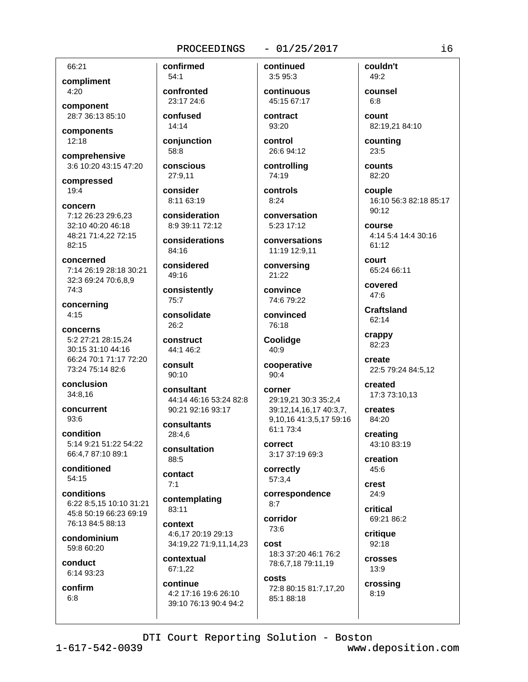#### $-01/25/2017$

66:21 compliment 4:20

component 28:7 36:13 85:10

components  $12:18$ 

comprehensive 3:6 10:20 43:15 47:20

compressed  $19:4$ 

concern 7:12 26:23 29:6.23 32:10 40:20 46:18 48:21 71:4,22 72:15 82:15

concerned 7:14 26:19 28:18 30:21 32:3 69:24 70:6,8,9 74:3

concerning  $4:15$ 

concerns 5:2 27:21 28:15.24 30:15 31:10 44:16 66:24 70:1 71:17 72:20 73:24 75:14 82:6

conclusion 34:8,16

concurrent  $93:6$ 

condition 5:14 9:21 51:22 54:22 66:4,7 87:10 89:1

conditioned  $54.15$ 

conditions 6:22 8:5,15 10:10 31:21 45:8 50:19 66:23 69:19 76:13 84:5 88:13

condominium 59:8 60:20

conduct 6:14 93:23

confirm  $6:8$ 

 $54:1$ confronted 23:17 24:6 confused

confirmed

14:14

conjunction 58:8

conscious

consider 8:11 63:19

27:9,11

consideration

8:9 39:11 72:12 considerations

84:16

considered 49:16

consistently  $75:7$ 

consolidate  $26.2$ 

construct 44:1 46:2

 $90:10$ 

consult

consultant 44:14 46:16 53:24 82:8 90:21 92:16 93:17

consultants 28:4.6

consultation 88:5

contact  $7:1$ 

contemplating 83:11

context 4:6,17 20:19 29:13 34:19,22 71:9,11,14,23

contextual 67:1.22

continue 4:2 17:16 19:6 26:10 39:10 76:13 90:4 94:2 continuous 45:15 67:17

continued

3:5 95:3

contract 93:20

control 26:6 94:12

controlling 74:19 controls

 $8:24$ conversation

5:23 17:12 conversations

11:19 12:9,11 conversing

21:22 convince 74:6 79:22

convinced 76:18

Coolidge  $40:9$ 

cooperative  $90:4$ 

corner 29:19.21 30:3 35:2.4 39:12,14,16,17 40:3,7, 9,10,16 41:3,5,17 59:16 61:1 73:4

correct 3:17 37:19 69:3

correctly 57:3.4

correspondence  $8:7$ 

corridor 73:6

cost 18:3 37:20 46:1 76:2 78:6,7,18 79:11,19

costs 72:8 80:15 81:7,17,20 85:1 88:18

couldn't 49:2

counsel  $6:8$ count

82:19,21 84:10

counting 23:5

counts 82:20

couple 16:10 56:3 82:18 85:17  $90:12$ 

**COULSE** 4:14 5:4 14:4 30:16 61:12

court 65:24 66:11

covered  $47.6$ 

**Craftsland** 62:14

crappy 82:23

> create 22:5 79:24 84:5,12

created 17:3 73:10,13

creates 84:20

creating 43:10 83:19

creation 45:6

crest  $24:9$ 

critical 69:21 86:2

critique 92:18

**crosses**  $13:9$ 

crossing  $8:19$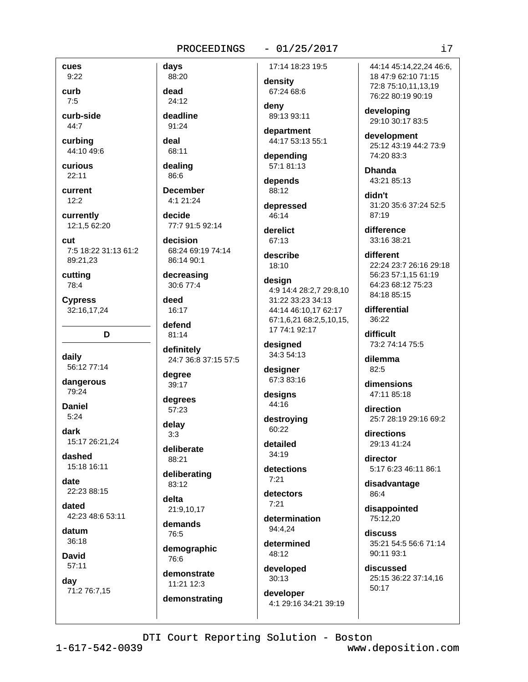#### $-01/25/2017$

cues

 $9:22$ curb

 $7:5$ curb-side 44:7

curbing 44:10 49:6

curious  $22:11$ 

current  $12:2$ 

currently 12:1,5 62:20

cut 7:5 18:22 31:13 61:2

89:21.23 cutting 78:4

**Cypress** 32:16,17,24

D

daily 56:12 77:14

dangerous 79:24

**Daniel**  $5:24$ 

dark 15:17 26:21,24

dashed 15:18 16:11

date 22:23 88:15

dated 42:23 48:6 53:11

datum 36:18

**David**  $57:11$ 

day 71:2 76:7,15

88:20 dead 24:12

davs

deadline 91:24

deal

68:11

dealing 86:6 **December** 

4:1 21:24 decide

77:7 91:5 92:14 decision

68:24 69:19 74:14 86:14 90:1

decreasing 30:6 77:4

deed 16:17

defend  $81:14$ 

definitely 24:7 36:8 37:15 57:5

degree 39:17

degrees 57:23

delav  $3:3$ 

deliberate 88:21

deliberating

83:12 delta

21:9.10.17 demands

76:5

demographic 76:6

demonstrate 11:21 12:3

demonstrating

17:14 18:23 19:5

density 67:24 68:6

denv 89:13 93:11

department 44:17 53:13 55:1

depending 57:1 81:13

depends 88:12

depressed 46:14

derelict 67:13

describe 18:10

design 4:9 14:4 28:2.7 29:8.10 31:22 33:23 34:13 44:14 46:10,17 62:17 67:1,6,21 68:2,5,10,15, 17 74:1 92:17

designed 34:3 54:13

designer 67:3 83:16

designs 44:16 destroying

60:22 detailed

34:19 detections

 $7:21$ 

detectors  $7.21$ 

determination 94:4.24

determined 48:12

developed  $30:13$ 

developer 4:1 29:16 34:21 39:19

44:14 45:14.22.24 46:6. 18 47:9 62:10 71:15 72:8 75:10,11,13,19 76:22 80:19 90:19

developing 29:10 30:17 83:5

development 25:12 43:19 44:2 73:9  $74.2083.3$ 

**Dhanda** 43:21 85:13

didn't 31:20 35:6 37:24 52:5  $87:19$ 

difference 33:16 38:21

different 22:24 23:7 26:16 29:18 56:23 57:1,15 61:19 64:23 68:12 75:23 84:18 85:15

differential  $36:22$ 

difficult 73:2 74:14 75:5

dilemma  $82:5$ 

dimensions 47:11 85:18

direction 25:7 28:19 29:16 69:2

directions 29:13 41:24

director 5:17 6:23 46:11 86:1

disadvantage 86:4

disappointed 75:12.20

discuss 35:21 54:5 56:6 71:14  $90:11.93:1$ 

discussed 25:15 36:22 37:14,16 50:17

www.deposition.com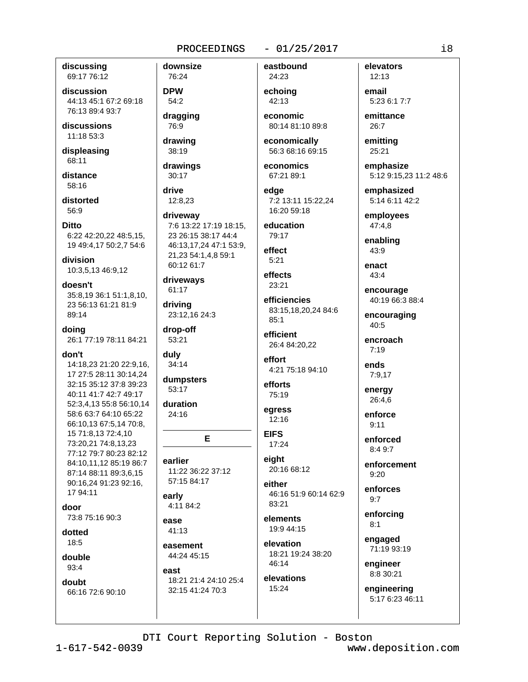discussing 69:17 76:12

discussion 44:13 45:1 67:2 69:18 76:13 89:4 93:7

discussions 11:18 53:3

displeasing 68:11

distance  $58:16$ 

distorted 56:9

**Ditto** 6:22 42:20,22 48:5,15, 19 49:4,17 50:2,7 54:6

division 10:3,5,13 46:9,12

doesn't 35:8,19 36:1 51:1,8,10, 23 56:13 61:21 81:9 89:14

doing 26:1 77:19 78:11 84:21

#### don't

14:18,23 21:20 22:9,16, 17 27:5 28:11 30:14,24 32:15 35:12 37:8 39:23 40:11 41:7 42:7 49:17 52:3.4.13 55:8 56:10.14 58:6 63:7 64:10 65:22 66:10,13 67:5,14 70:8, 15 71:8,13 72:4,10 73:20.21 74:8.13.23 77:12 79:7 80:23 82:12 84:10,11,12 85:19 86:7 87:14 88:11 89:3,6,15 90:16,24 91:23 92:16. 17 94:11

door

73:8 75:16 90:3

dotted  $18:5$ 

double  $93:4$ 

doubt

66:16 72:6 90:10

76:24 **DPW**  $54:2$ 

downsize

dragging

76:9 drawing

38:19 drawings

30:17 drive

12:8.23 driveway 7:6 13:22 17:19 18:15, 23 26:15 38:17 44:4

46:13,17,24 47:1 53:9, 21,23 54:1,4,8 59:1 60:12 61:7

driveways 61:17

driving 23:12,16 24:3

drop-off 53:21

duly  $34:14$ 

dumpsters 53:17

duration  $24:16$ 

Е

earlier 11:22 36:22 37:12 57:15 84:17

early 4:11 84:2

ease 41:13

easement 44:24 45:15

east 18:21 21:4 24:10 25:4 32:15 41:24 70:3

eastbound

 $-01/25/2017$ 

24:23 echoing 42:13

economic 80:14 81:10 89:8

economically 56:3 68:16 69:15

economics 67:21 89:1

edae 7:2 13:11 15:22.24 16:20 59:18

education 79:17

effect  $5.21$ 

effects 23:21

efficiencies 83:15,18,20,24 84:6  $85:1$ 

efficient 26:4 84:20,22

effort 4:21 75:18 94:10

efforts 75:19

egress  $12:16$ 

**EIFS** 17:24

eight 20:16 68:12

either 46:16 51:9 60:14 62:9 83:21

elements 19:9 44:15

elevation 18:21 19:24 38:20 46:14 elevations

15:24

elevators  $12:13$ 

email 5:23 6:1 7:7

emittance 26:7

emitting 25:21

emphasize 5:12 9:15,23 11:2 48:6

emphasized 5:14 6:11 42:2

employees 47:4,8

enabling 43:9

enact  $43:4$ 

encourage 40:19 66:3 88:4

encouraging 40:5

encroach  $7:19$ 

ends  $7:9,17$ 

energy 26:4.6

enforce  $9:11$ 

> enforced  $8.49.7$

enforcement  $9:20$ 

enforces  $9:7$ 

enforcing  $8:1$ 

engaged 71:19 93:19

engineer 8:8 30:21

engineering 5:17 6:23 46:11

www.deposition.com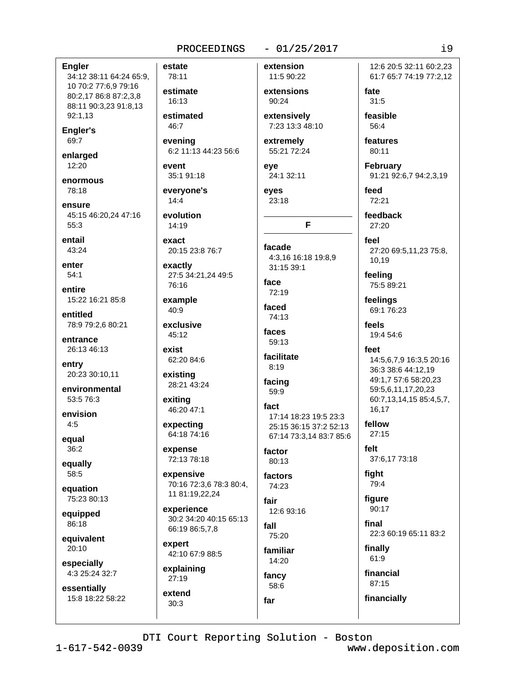### $-01/25/2017$

**Engler** 

34:12 38:11 64:24 65:9, 10 70:2 77:6,9 79:16 80:2,17 86:8 87:2,3,8 88:11 90:3,23 91:8,13 92:1,13

Engler's 69:7

enlarged 12:20

enormous 78:18

ensure 45:15 46:20,24 47:16 55:3

entail 43:24

enter  $54:1$ 

entire 15:22 16:21 85:8

entitled 78:9 79:2,6 80:21

entrance 26:13 46:13

entry 20:23 30:10,11

environmental 53:5 76:3

envision  $4:5$ 

equal 36:2

equally 58:5

equation 75:23 80:13

equipped  $86.18$ 

equivalent 20:10

especially 4:3 25:24 32:7

essentially 15:8 18:22 58:22 estate 78:11 estimate 16:13 estimated extensively 46:7 evening 6:2 11:13 44:23 56:6 event eve 35:1 91:18 evervone's  $14:4$ 23:18 evolution 14:19 exact 20:15 23:8 76:7 exactly 27:5 34:21,24 49:5 face 76:16 example faced 40:9 exclusive  $45:12$ 59:13 exist 62:20 84:6  $8:19$ existing 28:21 43:24 exiting fact 46:20 47:1 expecting 64:18 74:16 expense 72:13 78:18 expensive 70:16 72:3,6 78:3 80:4, 11 81:19,22,24 fair

experience 30:2 34:20 40:15 65:13 66:19 86:5,7,8

expert 42:10 67:9 88:5

explaining  $27:19$ 

extend

 $30:3$ 

extension 11:5 90:22

extensions 90:24

7:23 13:3 48:10

extremely 55:21 72:24

24:1 32:11

eves

F

facade 4:3.16 16:18 19:8.9

31:15 39:1

72:19

74:13 faces

facilitate

facing

59:9

17:14 18:23 19:5 23:3 25:15 36:15 37:2 52:13 67:14 73:3,14 83:7 85:6

factor 80:13

factors 74:23

12:6 93:16

fall 75:20

familiar 14:20

fancy 58:6 far

12:6 20:5 32:11 60:2.23 61:7 65:7 74:19 77:2,12 fate

 $31:5$ 

feasible 56:4

features 80:11

**February** 91:21 92:6,7 94:2,3,19

feed 72:21

feedback  $27:20$ 

feel 27:20 69:5,11,23 75:8, 10,19

feeling 75:5 89:21

feelings 69:1 76:23

feels 19:4 54:6

feet

14:5,6,7,9 16:3,5 20:16 36:3 38:6 44:12,19 49:1,7 57:6 58:20,23 59:5,6,11,17,20,23 60:7,13,14,15 85:4,5,7, 16.17

fellow  $27:15$ 

felt 37:6,17 73:18

fight 79:4

figure 90:17

final 22:3 60:19 65:11 83:2

finally 61:9

financial 87:15

financially

DTI Court Reporting Solution - Boston

www.deposition.com

 $19$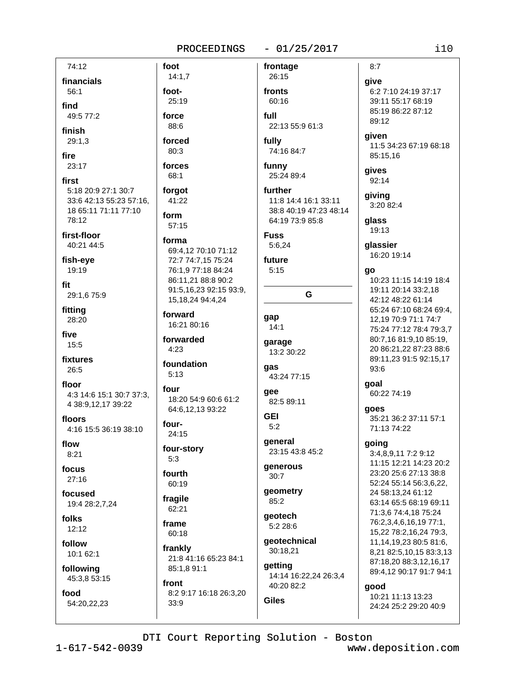foot

foot-

force

88:6

forced

 $80:3$ 

forces

68:1

forgot

form

41:22

57:15

forma

forward

4:23

 $5:13$ 

four

four-

 $5:3$ 

fourth

60:19

fragile

62:21

60:18

frankly

front

 $33:9$ 

85:1,8 91:1

8:2 9:17 16:18 26:3,20

frame

24:15

 $14:1,7$ 

25:19

#### $-01/25/2017$

G

74:12 financials 56:1 find 49:5 77:2 finish  $29:1.3$ fire  $23:17$ first 5:18 20:9 27:1 30:7 33:6 42:13 55:23 57:16. 18 65:11 71:11 77:10 78:12 first-floor 40:21 44:5 fish-eye 19:19

fit 29:1,6 75:9

fitting 28:20

five  $15:5$ 

fixtures 26:5

floor 4:3 14:6 15:1 30:7 37:3, 4 38:9,12,17 39:22

floors 4:16 15:5 36:19 38:10

flow  $8:21$ 

focus  $27:16$ 

focused 19:4 28:2,7,24

folks  $12:12$ 

follow 10:1 62:1

following 45:3,8 53:15

food 54:20,22,23

frontage 26:15 fronts 60:16 full 22:13 55:9 61:3 fully 74:16 84:7 funny 25:24 89:4 further 11:8 14:4 16:1 33:11 38:8 40:19 47:23 48:14 64:19 73:9 85:8 **Fuss** 5:6,24 69:4.12 70:10 71:12 future 72:7 74:7,15 75:24 76:1,9 77:18 84:24  $5:15$ 86:11,21 88:8 90:2 91:5,16,23 92:15 93:9, 15, 18, 24 94: 4, 24 gap 16:21 80:16  $14:1$ forwarded garage 13:2 30:22 foundation gas 43:24 77:15 gee 18:20 54:9 60:6 61:2 82:5 89:11 64:6.12.13 93:22 **GEI**  $5:2$ general four-story 23:15 43:8 45:2 generous  $30:7$ geometry 85:2 geotech 5:2 28:6

geotechnical 30:18,21 21:8 41:16 65:23 84:1 getting

**Giles** 

14:14 16:22,24 26:3,4 40:20 82:2

 $8:7$ qive 6:2 7:10 24:19 37:17 39:11 55:17 68:19 85:19 86:22 87:12 89:12 given 11:5 34:23 67:19 68:18 85:15,16 gives 92:14 giving 3:20 82:4 qlass 19:13 qlassier 16:20 19:14 qo 10:23 11:15 14:19 18:4 19:11 20:14 33:2,18 42:12 48:22 61:14 65:24 67:10 68:24 69:4. 12,19 70:9 71:1 74:7 75:24 77:12 78:4 79:3,7 80:7,16 81:9,10 85:19, 20 86:21,22 87:23 88:6 89:11,23 91:5 92:15,17  $93:6$ goal 60:22 74:19 goes 35:21 36:2 37:11 57:1 71:13 74:22 going 3:4.8.9.11 7:2 9:12 11:15 12:21 14:23 20:2 23:20 25:6 27:13 38:8 52:24 55:14 56:3,6,22, 24 58:13,24 61:12 63:14 65:5 68:19 69:11 71:3,6 74:4,18 75:24

www.deposition.com

10:21 11:13 13:23

24:24 25:2 29:20 40:9

good

76:2,3,4,6,16,19 77:1,

15,22 78:2,16,24 79:3,

11, 14, 19, 23 80: 5 81: 6,

8,21 82:5,10,15 83:3,13

87:18,20 88:3,12,16,17

89:4,12 90:17 91:7 94:1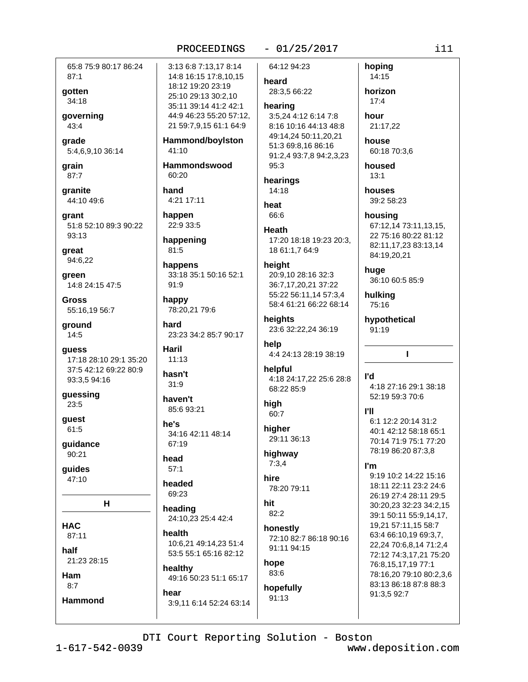#### 65:8 75:9 80:17 86:24  $87:1$

gotten 34:18

qoverning 43:4

grade 5:4,6,9,10 36:14

grain 87:7

granite 44:10 49:6

qrant 51:8 52:10 89:3 90:22 93:13

great 94:6,22

green 14:8 24:15 47:5

**Gross** 55:16,19 56:7

ground  $14:5$ 

quess 17:18 28:10 29:1 35:20 37:5 42:12 69:22 80:9 93:3,5 94:16

quessing 23:5

guest 61:5

guidance 90:21

guides 47:10

H.

**HAC** 87:11

half

21:23 28:15 Ham

 $8:7$ 

**Hammond** 

PROCEEDINGS 3:13 6:8 7:13.17 8:14 14:8 16:15 17:8,10,15 18:12 19:20 23:19 25:10 29:13 30:2.10 35:11 39:14 41:2 42:1 44:9 46:23 55:20 57:12, 21 59:7,9,15 61:1 64:9 Hammond/boylston 41:10 Hammondswood 60:20 hand 4:21 17:11 heat happen 22:9 33:5 happening 81:5 happens 33:18 35:1 50:16 52:1  $91:9$ happy 78:20.21 79:6 hard 23:23 34:2 85:7 90:17 help Haril  $11:13$ hasn't  $31:9$ haven't hiah 85:6 93:21 he's 34:16 42:11 48:14 67:19 head  $57:1$ hire headed 69:23 hit heading 24:10.23 25:4 42:4 health 10:6.21 49:14.23 51:4 53:5 55:1 65:16 82:12 hope

healthy 49:16 50:23 51:1 65:17 hear

3:9.11 6:14 52:24 63:14

# $-01/25/2017$

64:12 94:23 hoping 14:15 heard 28:3,5 66:22 horizon  $17:4$ hearing hour 3:5,24 4:12 6:14 7:8 8:16 10:16 44:13 48:8 21:17,22 49:14,24 50:11,20,21 house 51:3 69:8.16 86:16 60:18 70:3,6 91:2,4 93:7,8 94:2,3,23 housed  $95:3$  $13:1$ hearings 14:18 houses 39:2 58:23 66:6 housing 67:12,14 73:11,13,15, Heath 22 75:16 80:22 81:12 17:20 18:18 19:23 20:3, 82:11,17,23 83:13,14 18 61:1,7 64:9 84:19,20,21 height huge 20:9,10 28:16 32:3 36:10 60:5 85:9 36:7,17,20,21 37:22 55:22 56:11,14 57:3,4 hulking 58:4 61:21 66:22 68:14 75:16 heights hypothetical 23:6 32:22,24 36:19 91:19 4:4 24:13 28:19 38:19 helpful ľd 4:18 24:17,22 25:6 28:8 4:18 27:16 29:1 38:18 68:22 85:9 52:19 59:3 70:6 **PII** 60:7 6:1 12:2 20:14 31:2 hiaher 40:1 42:12 58:18 65:1 29:11 36:13 70:14 71:9 75:1 77:20 78:19 86:20 87:3,8 highway  $7:3,4$ ľm 9:19 10:2 14:22 15:16 18:11 22:11 23:2 24:6 78:20 79:11 26:19 27:4 28:11 29:5 30:20,23 32:23 34:2,15  $82:2$ honestly 72:10 82:7 86:18 90:16 91:11 94:15

83:6 hopefully

91:13

#### 39:1 50:11 55:9,14,17, 19,21 57:11,15 58:7 63:4 66:10,19 69:3,7, 22,24 70:6,8,14 71:2,4 72:12 74:3,17,21 75:20 76:8,15,17,19 77:1 78:16,20 79:10 80:2,3,6 83:13 86:18 87:8 88:3 91:3,5 92:7

 $\mathbf{I}$ 

DTI Court Reporting Solution - Boston

 $1 - 617 - 542 - 0039$ 

www.deposition.com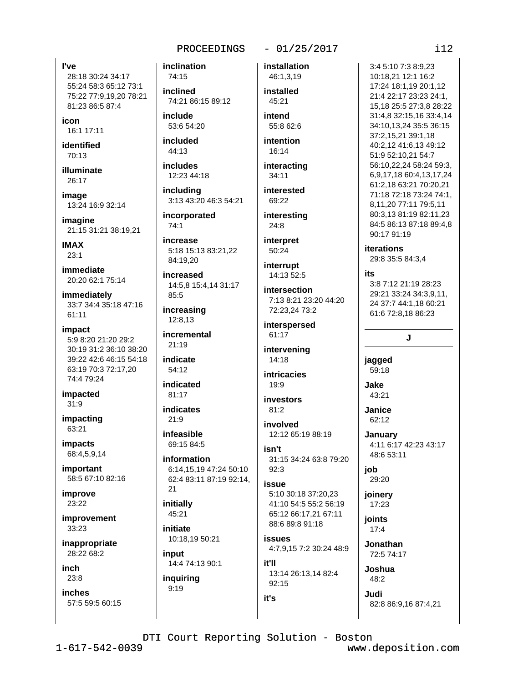#### $-01/25/2017$

l've

28:18 30:24 34:17 55:24 58:3 65:12 73:1 75:22 77:9.19.20 78:21 81:23 86:5 87:4

icon 16:1 17:11

identified  $70.13$ 

illuminate 26:17

image 13:24 16:9 32:14

imagine 21:15 31:21 38:19,21

**IMAX**  $23:1$ 

immediate 20:20 62:1 75:14

immediately 33:7 34:4 35:18 47:16  $61:11$ 

- impact 5:9 8:20 21:20 29:2 30:19 31:2 36:10 38:20 39:22 42:6 46:15 54:18 63:19 70:3 72:17,20 74:4 79:24
- impacted  $31:9$

impacting 63:21

impacts 68:4,5,9,14

important 58:5 67:10 82:16

improve 23:22

improvement 33:23

inappropriate 28:22 68:2

inch  $23:8$ 

**inches** 57:5 59:5 60:15 inclination 74:15

inclined 74:21 86:15 89:12

include 53:6 54:20

included  $44:13$ 

*includes* 12:23 44:18

*including* 3:13 43:20 46:3 54:21

incorporated 74:1

increase 5:18 15:13 83:21.22 84:19.20

increased 14:5,8 15:4,14 31:17 85:5

increasing 12:8,13

incremental

 $21:19$ indicate 54:12

indicated  $81.17$ 

**indicates**  $21:9$ 

infeasible 69:15 84:5

information 6:14,15,19 47:24 50:10 62:4 83:11 87:19 92:14,

 $21$ initially 45:21

initiate 10:18,19 50:21

input 14:4 74:13 90:1

inquiring  $9:19$ 

46:1,3,19 installed 45:21 intend 55:8 62:6

installation

intention  $16:14$ 

interacting

34:11 interested

69:22 interesting 24:8

interpret 50:24

interrupt 14:13 52:5

**intersection** 7:13 8:21 23:20 44:20 72:23,24 73:2

interspersed 61:17

intervening 14:18

**intricacies** 19:9

investors  $81:2$ 

involved 12:12 65:19 88:19

isn't 31:15 34:24 63:8 79:20  $92:3$ 

### issue

5:10 30:18 37:20.23 41:10 54:5 55:2 56:19 65:12 66:17.21 67:11 88.689.891.18

**issues** 4:7,9,15 7:2 30:24 48:9

it'll 13:14 26:13,14 82:4 92:15

3:4 5:10 7:3 8:9.23 10:18,21 12:1 16:2 17:24 18:1,19 20:1,12 21:4 22:17 23:23 24:1, 15,18 25:5 27:3,8 28:22 31:4.8 32:15.16 33:4.14 34:10,13,24 35:5 36:15 37:2,15,21 39:1,18 40:2,12 41:6,13 49:12 51:9 52:10,21 54:7 56:10,22,24 58:24 59:3, 6,9,17,18 60:4,13,17,24 61:2,18 63:21 70:20,21 71:18 72:18 73:24 74:1, 8,11,20 77:11 79:5,11 80:3,13 81:19 82:11,23 84:5 86:13 87:18 89:4,8 90:17 91:19

**iterations** 

29:8 35:5 84:3.4

#### its

3:8 7:12 21:19 28:23 29:21 33:24 34:3,9,11, 24 37:7 44:1,18 60:21 61:6 72:8,18 86:23

# J

jagged 59:18

Jake 43:21

Janice 62:12

**January** 4:11 6:17 42:23 43:17 48:6 53:11

job 29:20

joinery  $17:23$ 

joints  $17:4$ 

Jonathan 72:5 74:17

> Joshua 48:2

Judi

82:8 86:9,16 87:4,21

DTI Court Reporting Solution - Boston

it's

 $112$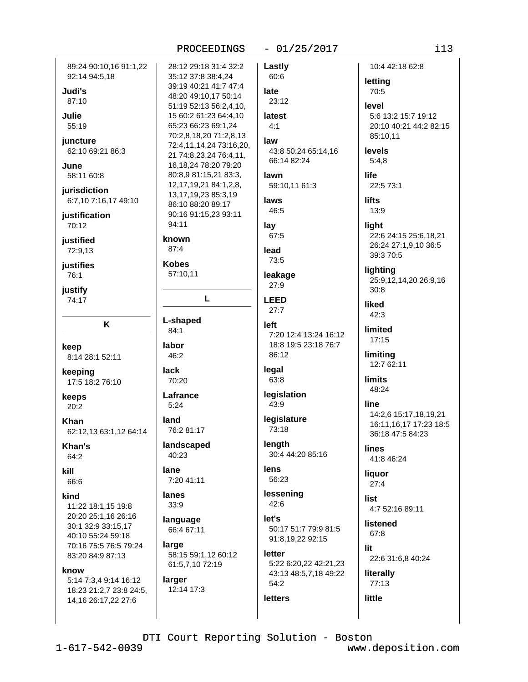#### $-01/25/2017$

10:4 42:18 62:8 89:24 90:10.16 91:1.22 28:12 29:18 31:4 32:2 Lastly 92:14 94:5,18 35:12 37:8 38:4,24 60:6 letting 39:19 40:21 41:7 47:4 Judi's late 70:5 48:20 49:10,17 50:14 87:10 23:12 51:19 52:13 56:2,4,10, level **Julie** 15 60:2 61:23 64:4,10 latest 5:6 13:2 15:7 19:12 65:23 66:23 69:1.24 55:19  $4:1$ 20:10 40:21 44:2 82:15 70:2,8,18,20 71:2,8,13 85:10.11 juncture law 72:4,11,14,24 73:16,20, 62:10 69:21 86:3 43:8 50:24 65:14,16 levels 21 74:8,23,24 76:4,11, 66:14 82:24  $5:4,8$ 16,18,24 78:20 79:20 June 80:8,9 81:15,21 83:3, 58:11 60:8 life lawn 12, 17, 19, 21 84: 1, 2, 8, 59:10,11 61:3 22:5 73:1 *iurisdiction* 13, 17, 19, 23 85: 3, 19 6:7,10 7:16,17 49:10 **lifts** laws 86:10 88:20 89:17 46:5  $13:9$ 90:16 91:15,23 93:11 iustification 94:11 70:12 lay light 67:5 22:6 24:15 25:6,18,21 known justified 26:24 27:1,9,10 36:5  $87:4$ 72:9,13 lead 39:3 70:5 73:5 justifies **Kobes** lighting 57:10,11 76:1 leakage 25:9,12,14,20 26:9,16 27:9 justify  $30:8$ L 74:17 **LEED** liked  $27:7$  $42:3$ L-shaped K **left** limited 84:1 7:20 12:4 13:24 16:12  $17:15$ labor 18:8 19:5 23:18 76:7 keep 46:2 86:12 limiting 8:14 28:1 52:11 12:7 62:11 legal lack keeping 63:8 **limits** 70:20 17:5 18:2 76:10 48:24 legislation Lafrance keeps  $43:9$ line  $5:24$  $20:2$ 14:2,6 15:17,18,19,21 legislature land Khan 16:11,16,17 17:23 18:5 76:2 81:17 73:18 62:12,13 63:1,12 64:14 36:18 47:5 84:23 length landscaped Khan's **lines** 30:4 44:20 85:16 40:23 64:2 41:8 46:24 lens lane kill liquor 56:23 7:20 41:11 66:6  $27:4$ lessening kind lanes list  $33:9$ 42:6 11:22 18:1,15 19:8 4:7 52:16 89:11 20:20 25:1,16 26:16 language let's listened 30:1 32:9 33:15,17 50:17 51:7 79:9 81:5 66:4 67:11 67:8 40:10 55:24 59:18 91:8,19,22 92:15 70:16 75:5 76:5 79:24 large lit letter 58:15 59:1,12 60:12 83:20 84:9 87:13 22:6 31:6,8 40:24 5:22 6:20,22 42:21,23 61:5,7,10 72:19 know literally 43:13 48:5,7,18 49:22 larger 5:14 7:3,4 9:14 16:12 54:2 77:13 12:14 17:3 18:23 21:2,7 23:8 24:5, little **letters** 14,16 26:17,22 27:6

DTI Court Reporting Solution - Boston

www.deposition.com

 $i13$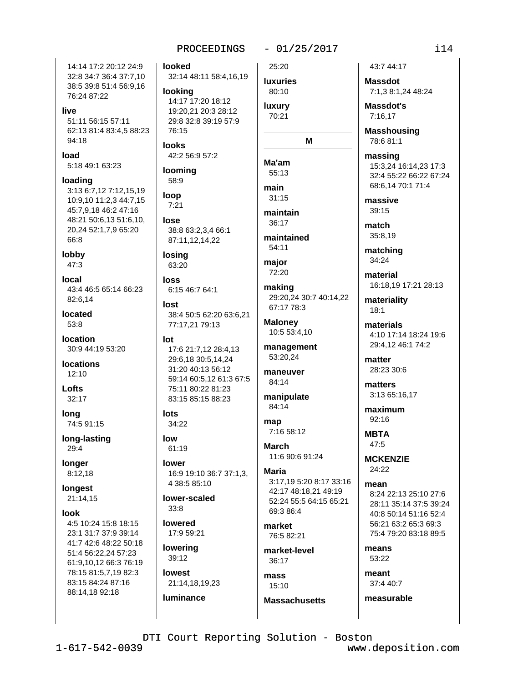14:14 17:2 20:12 24:9 32:8 34:7 36:4 37:7,10 38:5 39:8 51:4 56:9,16 76:24 87:22

#### live

51:11 56:15 57:11 62:13 81:4 83:4,5 88:23 94:18

load 5:18 49:1 63:23

loading 3:13 6:7,12 7:12,15,19 10:9,10 11:2,3 44:7,15 45:7,9,18 46:2 47:16 48:21 50:6,13 51:6,10, 20,24 52:1,7,9 65:20 66:8

lobby  $47:3$ 

local 43:4 46:5 65:14 66:23 82:6,14

located  $53:8$ 

location 30:9 44:19 53:20

**locations**  $12:10$ 

Lofts  $32:17$ 

**long** 74:5 91:15

long-lasting 29:4

longer  $8:12,18$ 

longest 21:14,15

**look** 4:5 10:24 15:8 18:15 23:1 31:7 37:9 39:14 41:7 42:6 48:22 50:18 51:4 56:22.24 57:23 61:9,10,12 66:3 76:19 78:15 81:5,7,19 82:3 83:15 84:24 87:16 88:14,18 92:18

PROCEEDINGS

32:14 48:11 58:4,16,19

14:17 17:20 18:12

19:20.21 20:3 28:12

29:8 32:8 39:19 57:9

42:2 56:9 57:2

38:8 63:2.3.4 66:1

87:11,12,14,22

6:15 46:7 64:1

77:17,21 79:13

38:4 50:5 62:20 63:6,21

17:6 21:7,12 28:4,13

59:14 60:5,12 61:3 67:5

16:9 19:10 36:7 37:1,3,

29:6.18 30:5.14.24

31:20 40:13 56:12

75:11 80:22 81:23

83:15 85:15 88:23

looked

looking

76:15

looming

58:9

loop

lose

 $7:21$ 

losing

63:20

loss

lost

lot

lots

low

34:22

 $61:19$ 

4 38:5 85:10

lower-scaled

lower

 $33:8$ 

lowered

lowering

39:12

lowest

**luminance** 

17:9 59:21

21:14,18,19,23

**looks** 

 $-01/25/2017$ 

## 25:20 **luxuries** 80:10

luxury 70:21

# M

Ma'am 55:13 main  $31:15$ 

maintain 36:17

maintained 54:11

major 72:20

making 29:20,24 30:7 40:14,22 67:17 78:3

**Maloney** 10:5 53:4,10

management 53:20.24

maneuver 84:14

manipulate 84:14

map 7:16 58:12

**March** 11:6 90:6 91:24

Maria 3:17.19 5:20 8:17 33:16 42:17 48:18.21 49:19 52:24 55:5 64:15 65:21 69:3 86:4

market 76:5 82:21

market-level 36:17

mass 15:10 **Massachusetts**  43:7 44:17

**Massdot** 7:1,3 8:1,24 48:24

Massdot's  $7:16.17$ 

**Masshousing** 78:6 81:1

massing 15:3,24 16:14,23 17:3 32:4 55:22 66:22 67:24 68:6,14 70:1 71:4

massive  $39:15$ 

match 35:8,19

matching 34:24

material 16:18,19 17:21 28:13

materiality  $18:1$ 

materials 4:10 17:14 18:24 19:6 29:4,12 46:1 74:2

matter 28:23 30:6

matters 3:13 65:16,17

maximum 92:16

**MBTA**  $47.5$ 

**MCKENZIE**  $24:22$ 

mean 8:24 22:13 25:10 27:6 28:11 35:14 37:5 39:24 40:8 50:14 51:16 52:4 56:21 63:2 65:3 69:3 75:4 79:20 83:18 89:5

means 53:22

meant 37:4 40:7

measurable

 $1 - 617 - 542 - 0039$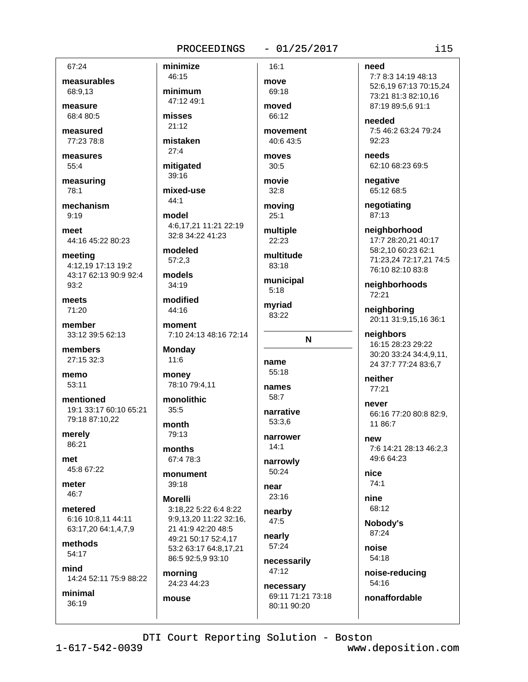#### $-01/25/2017$

67:24

measurables 68:9,13

measure  $68.480.5$ 

measured 77:23 78:8

measures  $55:4$ 

measuring 78:1

mechanism  $9.19$ 

meet 44:16 45:22 80:23

meeting 4:12,19 17:13 19:2 43:17 62:13 90:9 92:4 93:2

meets 71:20

member 33:12 39:5 62:13

members 27:15 32:3

memo 53:11

mentioned 19:1 33:17 60:10 65:21 79:18 87:10,22

merely 86:21

met 45:8 67:22

meter 46:7

metered 6:16 10:8.11 44:11 63:17,20 64:1,4,7,9

methods 54:17

mind

14:24 52:11 75:9 88:22 minimal

 $36:19$ 

46:15 minimum 47:12 49:1

minimize

misses 21:12

mistaken  $27:4$ 

mitigated 39:16

mixed-use

 $44:1$ 

model 4:6,17,21 11:21 22:19 32:8 34:22 41:23

modeled  $57:2.3$ 

models

 $34:19$ modified

44:16

moment 7:10 24:13 48:16 72:14

**Monday**  $11:6$ 

money 78:10 79:4,11

monolithic  $35:5$ 

month 79:13 months

67:4 78:3

monument  $39:18$ 

**Morelli** 

3:18.22 5:22 6:4 8:22 9:9.13.20 11:22 32:16. 21 41:9 42:20 48:5 49:21 50:17 52:4,17 53:2 63:17 64:8,17,21 86:5 92:5,9 93:10

morning 24:23 44:23

mouse

move 69:18 moved

 $66.12$ 

 $16:1$ 

movement 40:6 43:5

moves  $30:5$ 

movie  $32:8$ 

moving  $25:1$ 

multiple 22:23

multitude 83:18

municipal  $5:18$ 

mvriad 83:22

N

name  $55:18$ 

names 58:7

narrative 53:3.6

narrower  $14:1$ 

narrowly

50:24 near

23:16

nearby 47:5 nearly

57:24 necessarily

47:12 necessary 69:11 71:21 73:18 need

7:7 8:3 14:19 48:13 52:6,19 67:13 70:15,24 73:21 81:3 82:10.16 87:19 89:5.6 91:1

needed 7:5 46:2 63:24 79:24  $92:23$ 

needs 62:10 68:23 69:5

negative 65:12 68:5

negotiating 87:13

neighborhood 17:7 28:20,21 40:17 58:2,10 60:23 62:1 71:23,24 72:17,21 74:5 76:10 82:10 83:8

neighborhoods 72:21

neighboring 20:11 31:9,15,16 36:1

neighbors 16:15 28:23 29:22 30:20 33:24 34:4,9,11, 24 37:7 77:24 83:6,7

neither 77:21

never 66:16 77:20 80:8 82:9. 11 86:7

new 7:6 14:21 28:13 46:2,3 49:6 64:23

nice 74:1

nine 68:12

Nobody's 87:24

noise 54:18

> noise-reducing 54:16

nonaffordable 80:11 90:20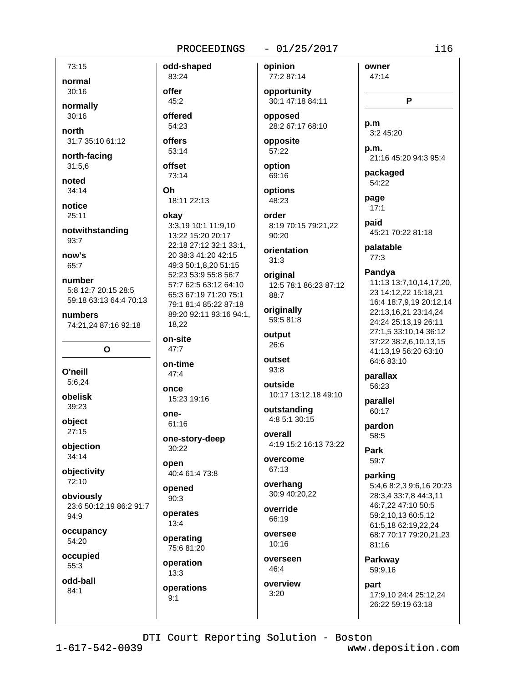odd-shaped

#### $-01/25/2017$

73:15 normal  $30:16$ normally  $30:16$ north

31:7 35:10 61:12 north-facing

31:5,6

noted  $34:14$ 

notice  $25:11$ 

notwithstanding  $93:7$ 

now's 65:7

number 5:8 12:7 20:15 28:5 59:18 63:13 64:4 70:13

numbers 74:21,24 87:16 92:18

 $\mathbf{o}$ 

O'neill 5:6,24

obelisk 39:23

object

 $27:15$ 

obiection  $34:14$ 

objectivity 72:10

obviously 23:6 50:12,19 86:2 91:7 94:9

occupancy 54:20

occupied 55:3

odd-ball  $84:1$ 

83:24 offer  $45:2$ offered 54:23 offers 53:14 offset 73:14 Oh 18:11 22:13 okav 3:3,19 10:1 11:9,10 13:22 15:20 20:17 22:18 27:12 32:1 33:1, 20 38:3 41:20 42:15 49:3 50:1,8,20 51:15 52:23 53:9 55:8 56:7 57:7 62:5 63:12 64:10 65:3 67:19 71:20 75:1 79:1 81:4 85:22 87:18 89:20 92:11 93:16 94:1. 18.22 on-site  $47:7$ on-time  $47:4$ once 15:23 19:16 one- $61:16$ one-story-deep 30:22 open 40:4 61:4 73:8 opened  $90:3$ operates 13:4 oversee operating

operation  $13:3$ 

75:6 81:20

operations  $9:1$ 

77:2 87:14 opportunity 30:1 47:18 84:11 opposed

opinion

28:2 67:17 68:10 opposite

57:22

option 69:16

options 48:23

order 8:19 70:15 79:21,22 90:20

orientation  $31:3$ 

original 12:5 78:1 86:23 87:12  $88.7$ 

originally 59:5 81:8

output 26:6

outset  $93:8$ 

outside 10:17 13:12,18 49:10

outstanding 4:8 5:1 30:15

overall 4:19 15:2 16:13 73:22

overcome 67:13

overhang 30:9 40:20,22

override 66:19

10:16 overseen

46:4

overview  $3:20$ 

owner 47:14 P p.m 3:2 45:20 p.m. 21:16 45:20 94:3 95:4 packaged 54:22 page  $17:1$ paid 45:21 70:22 81:18 palatable  $77:3$ Pandya 11:13 13:7,10,14,17,20, 23 14:12,22 15:18,21 16:4 18:7,9,19 20:12,14 22:13,16,21 23:14,24 24:24 25:13,19 26:11 27:1,5 33:10,14 36:12 37:22 38:2,6,10,13,15 41:13.19 56:20 63:10 64:6 83:10 parallax 56:23 parallel 60:17 pardon 58:5 Park 59:7 parking 5:4,6 8:2,3 9:6,16 20:23 28:3,4 33:7,8 44:3,11 46:7,22 47:10 50:5 59:2,10,13 60:5,12 61:5,18 62:19,22,24 68:7 70:17 79:20,21,23

Parkway 59:9,16

81:16

part 17:9,10 24:4 25:12,24 26:22 59:19 63:18

DTI Court Reporting Solution - Boston

 $1 - 617 - 542 - 0039$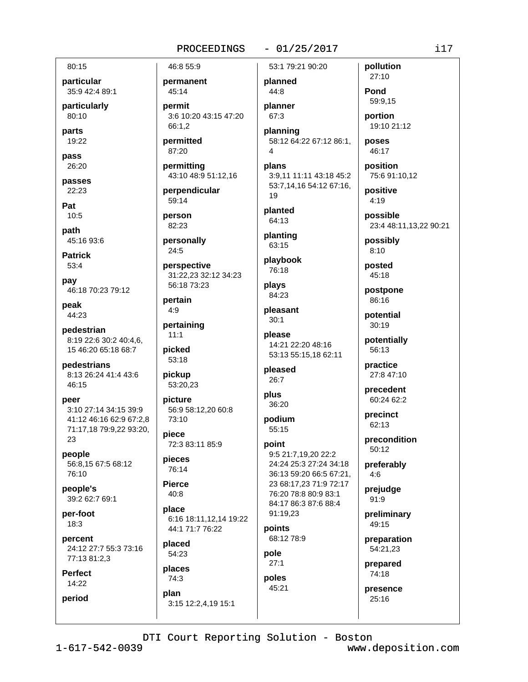#### $-01/25/2017$

particular 35:9 42:4 89:1

particularly 80:10

parts 19:22

80:15

pass 26:20

passes 22:23

Pat  $10:5$ 

path 45:16 93:6

**Patrick** 53:4

pay 46:18 70:23 79:12

peak 44:23

pedestrian 8:19 22:6 30:2 40:4,6, 15 46:20 65:18 68:7

pedestrians 8:13 26:24 41:4 43:6 46:15

peer 3:10 27:14 34:15 39:9 41:12 46:16 62:9 67:2,8 71:17,18 79:9,22 93:20, 23

people 56:8,15 67:5 68:12 76:10

people's 39:2 62:7 69:1

per-foot  $18:3$ 

percent 24:12 27:7 55:3 73:16 77:13 81:2,3

**Perfect** 14:22

period

permanent 45:14 permit 3:6 10:20 43:15 47:20 66:1,2 permitted

87:20

46:8 55:9

permitting 43:10 48:9 51:12,16

perpendicular 59:14

person 82:23

personally  $24:5$ 

perspective 31:22.23 32:12 34:23 56:18 73:23

pertain  $4:9$ 

pertaining  $11:1$ 

picked 53:18

pickup 53:20,23

picture 56:9 58:12,20 60:8 73:10

piece 72:3 83:11 85:9

pieces 76:14

**Pierce**  $40:8$ 

place 6:16 18:11,12,14 19:22 44:1 71:7 76:22

placed 54:23

places  $74:3$ 

plan

3:15 12:2,4,19 15:1

53:1 79:21 90:20 planned

44:8 planner 67:3

planning 58:12 64:22 67:12 86:1,  $\overline{4}$ 

plans 3:9,11 11:11 43:18 45:2 53:7,14,16 54:12 67:16, 19

planted 64:13

planting 63:15

playbook 76:18

plays 84:23

pleasant  $30:1$ 

please 14:21 22:20 48:16 53:13 55:15,18 62:11

pleased  $26:7$ 

plus

36:20

podium  $55:15$ 

point

9:5 21:7,19,20 22:2 24:24 25:3 27:24 34:18 36:13 59:20 66:5 67:21, 23 68:17,23 71:9 72:17 76:20 78:8 80:9 83:1 84:17 86:3 87:6 88:4 91:19.23

points 68:12 78:9

pole  $27:1$ 

poles 45:21

27:8 47:10 precedent 60:24 62:2 precinct 62:13

precondition 50:12

preferably  $4:6$ 

prejudge 91:9

preliminary 49:15

preparation 54:21,23

prepared 74:18

presence 25:16

DTI Court Reporting Solution - Boston

www.deposition.com

 $i17$ 

pollution

59:9.15

portion 19:10 21:12

poses

46:17

position

positive

possible

possibly

 $8:10$ 

posted

45:18

86:16

postpone

potential

potentially

 $30:19$ 

56:13

practice

 $4:19$ 

75:6 91:10,12

23:4 48:11,13,22 90:21

27:10

Pond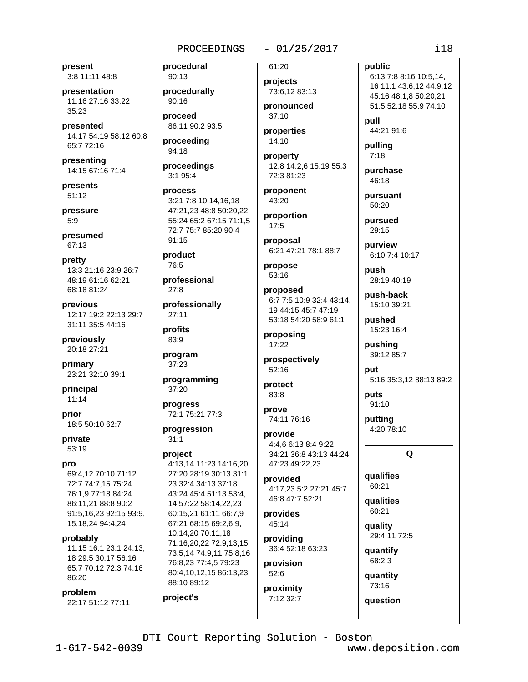#### $-01/25/2017$

present 3:8 11:11 48:8

presentation 11:16 27:16 33:22  $35:23$ 

presented 14:17 54:19 58:12 60:8 65:7 72:16

presenting 14:15 67:16 71:4

presents  $51:12$ 

pressure  $5:9$ 

presumed 67:13

pretty 13:3 21:16 23:9 26:7 48:19 61:16 62:21 68:18 81:24

previous 12:17 19:2 22:13 29:7 31:11 35:5 44:16

previously 20:18 27:21

primary 23:21 32:10 39:1

principal  $11:14$ 

prior 18:5 50:10 62:7

private 53:19

#### pro

69:4,12 70:10 71:12 72:7 74:7,15 75:24 76:1,9 77:18 84:24 86:11,21 88:8 90:2 91:5,16,23 92:15 93:9, 15, 18, 24 94: 4, 24

probably

11:15 16:1 23:1 24:13. 18 29:5 30:17 56:16 65:7 70:12 72:3 74:16 86:20

#### problem

22:17 51:12 77:11

procedural  $90:13$ 

procedurally  $90:16$ 

proceed 86:11 90:2 93:5

proceeding 94:18

proceedings 3:1 95:4

process 3:21 7:8 10:14.16.18 47:21,23 48:8 50:20,22 55:24 65:2 67:15 71:1,5 72:7 75:7 85:20 90:4 91:15

product

76:5

professional  $27:8$ 

professionally 27:11

profits 83:9

program  $37:23$ 

programming 37:20

progress 72:1 75:21 77:3

progression  $31:1$ 

#### project

project's

4:13,14 11:23 14:16,20 27:20 28:19 30:13 31:1, 23 32:4 34:13 37:18 43:24 45:4 51:13 53:4. 14 57:22 58:14,22,23 60:15,21 61:11 66:7,9 67:21 68:15 69:2.6.9. 10,14,20 70:11,18 71:16,20,22 72:9,13,15 73:5,14 74:9,11 75:8,16 76:8,23 77:4,5 79:23 80:4,10,12,15 86:13,23 88:10 89:12

61:20

projects 73:6,12 83:13 pronounced

 $37:10$ properties

 $14:10$ property

12:8 14:2,6 15:19 55:3 72:3 81:23

proponent 43:20

proportion 17:5

proposal 6:21 47:21 78:1 88:7

propose 53:16

proposed 6:7 7:5 10:9 32:4 43:14. 19 44:15 45:7 47:19 53:18 54:20 58:9 61:1

proposing 17:22

prospectively 52:16

protect 83:8

prove 74:11 76:16

provide 4:4.6 6:13 8:4 9:22 34:21 36:8 43:13 44:24 47:23 49:22.23

provided 4:17.23 5:2 27:21 45:7 46:8 47:7 52:21

provides 45:14

providing 36:4 52:18 63:23

provision  $52:6$ 

proximity 7:12 32:7 public

6:13 7:8 8:16 10:5,14, 16 11:1 43:6,12 44:9,12 45:16 48:1,8 50:20,21 51:5 52:18 55:9 74:10

null 44:21 91:6

pulling  $7:18$ 

purchase 46:18

pursuant 50:20

pursued 29:15

purview 6:10 7:4 10:17

push 28:19 40:19

push-back 15:10 39:21

pushed 15:23 16:4

pushing 39:12 85:7

put 5:16 35:3,12 88:13 89:2

91:10 putting

puts

 $\Omega$ 

4:20 78:10

qualifies 60:21

qualities 60:21

quality 29:4,11 72:5

quantify 68:2,3

quantity

question

73:16

DTI Court Reporting Solution - Boston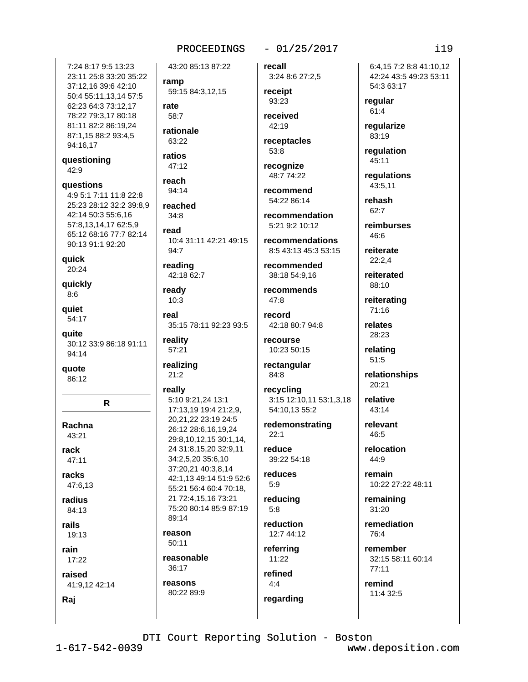## $-01/25/2017$

7:24 8:17 9:5 13:23 23:11 25:8 33:20 35:22 37:12,16 39:6 42:10 50:4 55:11,13,14 57:5 62:23 64:3 73:12,17 78:22 79:3,17 80:18 81:11 82:2 86:19,24 87:1,15 88:2 93:4,5 94:16.17

questioning 42:9

questions 4:9 5:1 7:11 11:8 22:8 25:23 28:12 32:2 39:8,9 42:14 50:3 55:6,16 57:8,13,14,17 62:5,9 65:12 68:16 77:7 82:14 90:13 91:1 92:20

quick  $20:24$ 

quickly  $8:6$ 

quiet 54:17

quite 30:12 33:9 86:18 91:11 94:14

quote 86:12

R.

Rachna 43:21

rack  $47:11$ 

racks 47:6,13

radius

84:13 rails 19:13

rain  $17:22$ 

Raj

raised 41:9.12 42:14 ramp 59:15 84:3,12,15 rate

43:20 85:13 87:22

 $58.7$ rationale 63:22

ratios 47:12

reach 94:14

reached  $34:8$ 

read 10:4 31:11 42:21 49:15 94:7

reading 42:18 62:7

ready  $10:3$ 

real 35:15 78:11 92:23 93:5

reality 57:21

 $21:2$ 

realizing

really 5:10 9:21,24 13:1 17:13,19 19:4 21:2,9, 20,21,22 23:19 24:5 26:12 28:6,16,19,24 29:8,10,12,15 30:1,14, 24 31:8,15,20 32:9,11 34:2,5,20 35:6,10 37:20,21 40:3,8,14 42:1,13 49:14 51:9 52:6 55:21 56:4 60:4 70:18, 21 72:4.15.16 73:21 75:20 80:14 85:9 87:19 89:14 reason  $50:11$ reasonable

36:17 reasons 80:22 89:9 recall 3:24 8:6 27:2,5

receipt 93:23 received

42:19

receptacles 53:8

recognize 48:7 74:22

recommend 54:22 86:14

recommendation 5:21 9:2 10:12

**recommendations** 8:5 43:13 45:3 53:15

recommended 38:18 54:9,16

recommends  $47:8$ 

record 42:18 80:7 94:8

recourse 10:23 50:15

rectangular 84:8

recycling 3:15 12:10,11 53:1,3,18 54:10.13 55:2

redemonstrating  $22:1$ reduce

39:22 54:18 reduces

 $5:9$ reducing

 $5:8$ 

reduction 12:7 44:12

referring  $11:22$ 

refined  $4:4$ regarding 6:4.15 7:2 8:8 41:10.12 42:24 43:5 49:23 53:11 54:3 63:17

regular  $61:4$ 

regularize 83:19

regulation 45:11

regulations 43:5,11

rehash 62:7

> reimburses 46:6

reiterate  $22:2.4$ 

reiterated 88:10

reiterating 71:16

relates

28:23

relating 51:5

relationships 20:21

relative 43:14

relevant 46:5

relocation 44:9

remain 10:22 27:22 48:11

remaining 31:20

remediation  $76·A$ 

remember 32:15 58:11 60:14  $77:11$ 

remind 11:4 32:5

DTI Court Reporting Solution - Boston

#### $119$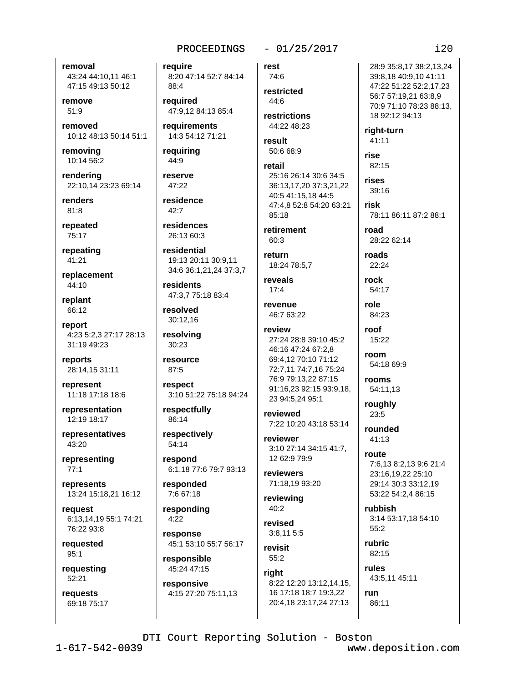#### removal 43:24 44:10,11 46:1 47:15 49:13 50:12

remove  $51:9$ 

removed 10:12 48:13 50:14 51:1

removing 10:14 56:2

rendering 22:10,14 23:23 69:14

renders  $81:8$ 

repeated 75:17

repeating  $41:21$ 

replacement 44:10

replant 66:12

report 4:23 5:2,3 27:17 28:13 31:19 49:23

reports 28:14,15 31:11

represent 11:18 17:18 18:6

representation 12:19 18:17

representatives 43:20

representing  $77:1$ 

represents 13:24 15:18,21 16:12

reauest 6:13,14,19 55:1 74:21 76:22 93:8

requested  $95:1$ 

requesting  $52:21$ 

requests 69:18 75:17 require

8:20 47:14 52:7 84:14 88:4

required 47:9.12 84:13 85:4

requirements 14:3 54:12 71:21

requiring 44:9

reserve 47:22

residence  $42:7$ 

residences 26:13 60:3

residential 19:13 20:11 30:9,11 34:6 36:1,21,24 37:3,7

residents 47:3.7 75:18 83:4

resolved 30:12,16

resolving 30:23

resource 87:5

respect 3:10 51:22 75:18 94:24

respectfully 86:14

respectively 54:14

respond 6:1,18 77:6 79:7 93:13

responded 7:6 67:18

responding  $4:22$ 

response 45:1 53:10 55:7 56:17

responsible 45:24 47:15

responsive 4:15 27:20 75:11,13

74:6 restricted 44:6

rest

 $-01/25/2017$ 

restrictions 44:22 48:23

result  $50:668:9$ 

#### retail 25:16 26:14 30:6 34:5 36:13,17,20 37:3,21,22 40:5 41:15,18 44:5 47:4.8 52:8 54:20 63:21 85:18

retirement  $60.3$ 

return 18:24 78:5,7

reveals  $17:4$ 

revenue 46:7 63:22

review 27:24 28:8 39:10 45:2 46:16 47:24 67:2,8 69:4,12 70:10 71:12 72:7,11 74:7,16 75:24

76:9 79:13,22 87:15

23 94:5,24 95:1 reviewed 7:22 10:20 43:18 53:14

91:16,23 92:15 93:9,18,

reviewer 3:10 27:14 34:15 41:7. 12 62:9 79:9

reviewers 71:18,19 93:20

reviewing 40:2

revised  $3:8.115:5$ 

revisit  $55:2$ 

right 8:22 12:20 13:12,14,15, 16 17:18 18:7 19:3,22 20:4,18 23:17,24 27:13

47:22 51:22 52:2,17,23 56:7 57:19.21 63:8.9 70:9 71:10 78:23 88:13, 18 92:12 94:13 right-turn 41:11 rise 82:15 rises 39:16 risk

28:9 35:8.17 38:2.13.24

39:8,18 40:9,10 41:11

78:11 86:11 87:2 88:1

road 28:22 62:14

roads 22:24

54:17 role 84:23

rock

roof  $15.22$ 

room 54:18 69:9

rooms 54:11.13

roughly  $23:5$ 

rounded  $41:13$ 

route

7:6,13 8:2,13 9:6 21:4 23:16,19,22 25:10 29:14 30:3 33:12,19 53:22 54:2,4 86:15

rubbish 3:14 53:17.18 54:10  $55:2$ 

rubric 82:15 rules

43:5,11 45:11

run 86:11

## DTI Court Reporting Solution - Boston

 $1 - 617 - 542 - 0039$ 

www.deposition.com

 $120$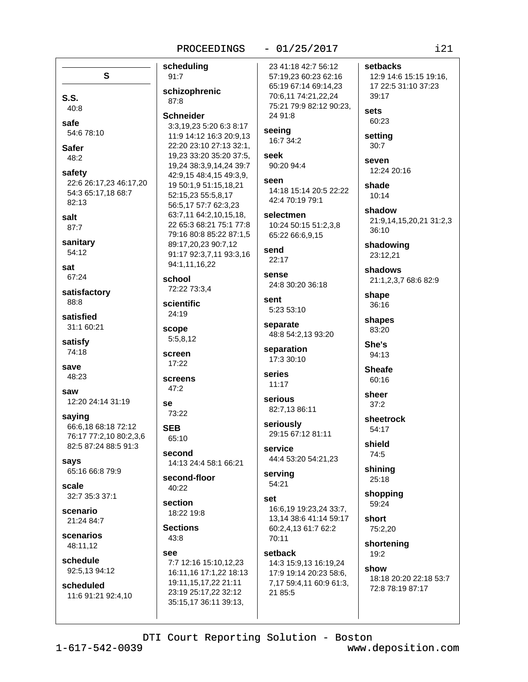#### scheduling  $91:7$

S

22:6 26:17,23 46:17,20

54:3 65:17,18 68:7

 $S.S.$ 

safe

**Safer** 

48:2

safety

82:13

salt

sat

87:7

sanitary

54:12

67:24

88:8

satisfied

satisfy

74:18

48:23

saying

says

scale

scenario

21:24 84:7

scenarios

48:11,12

schedule

scheduled

92:5.13 94:12

12:20 24:14 31:19

66:6,18 68:18 72:12

82:5 87:24 88:5 91:3

65:16 66:8 79:9

32:7 35:3 37:1

76:17 77:2,10 80:2,3,6

save

saw

satisfactory

31:1 60:21

 $40:8$ 

54:6 78:10

schizophrenic 87:8

#### **Schneider**

3:3,19,23 5:20 6:3 8:17 11:9 14:12 16:3 20:9.13 22:20 23:10 27:13 32:1. 19,23 33:20 35:20 37:5, 19,24 38:3,9,14,24 39:7 42:9,15 48:4,15 49:3,9, 19 50:1,9 51:15,18,21 52:15,23 55:5,8,17 56:5,17 57:7 62:3,23 63:7,11 64:2,10,15,18, 22 65:3 68:21 75:1 77:8 79:16 80:8 85:22 87:1.5 89:17,20,23 90:7,12 91:17 92:3,7,11 93:3,16 94:1,11,16,22

school 72:22 73:3,4

scientific 24:19

scope 5:5.8.12

screen  $17:22$ 

screens  $47:2$ 

SA 73:22

**SEB** 65:10

second 14:13 24:4 58:1 66:21

second-floor 40:22

section

18:22 19:8

**Sections**  $43:8$ 

992 7:7 12:16 15:10,12,23 16:11,16 17:1,22 18:13 19:11,15,17,22 21:11

23:19 25:17,22 32:12

35:15,17 36:11 39:13,

#### $-01/25/2017$

23 41:18 42:7 56:12 57:19,23 60:23 62:16 65:19 67:14 69:14,23 70:6,11 74:21,22,24 75:21 79:9 82:12 90:23. 24 91:8

seeing 16:7 34:2

seek 90:20 94:4

seen 14:18 15:14 20:5 22:22 42:4 70:19 79:1

selectmen 10:24 50:15 51:2.3.8 65:22 66:6,9,15

send  $22:17$ 

sense 24:8 30:20 36:18

sent 5:23 53:10

separate 48:8 54:2,13 93:20

separation 17:3 30:10

```
series
 11:17
```
serious 82:7.13 86:11

seriously 29:15 67:12 81:11

service 44:4 53:20 54:21,23

serving 54:21

set 16:6.19 19:23.24 33:7. 13.14 38:6 41:14 59:17 60:2,4,13 61:7 62:2 70:11

setback 14:3 15:9,13 16:19,24 17:9 19:14 20:23 58:6, 7,17 59:4,11 60:9 61:3, 21 85:5

setbacks 12:9 14:6 15:15 19:16, 17 22:5 31:10 37:23 39:17 sets 60:23 setting  $30:7$ 

seven 12:24 20:16

shade  $10:14$ 

shadow 21:9,14,15,20,21 31:2,3  $36:10$ 

shadowing 23:12,21

shadows 21:1,2,3,7 68:6 82:9

shape 36:16

shapes 83:20

She's 94:13

**Sheafe** 60:16

sheer  $37:2$ 

sheetrock 54:17

> shield 74:5

shining 25:18

shopping 59:24

short 75:2,20

shortening 19:2 show

> 18:18 20:20 22:18 53:7 72:8 78:19 87:17

DTI Court Reporting Solution - Boston

 $1 - 617 - 542 - 0039$ 

11:6 91:21 92:4,10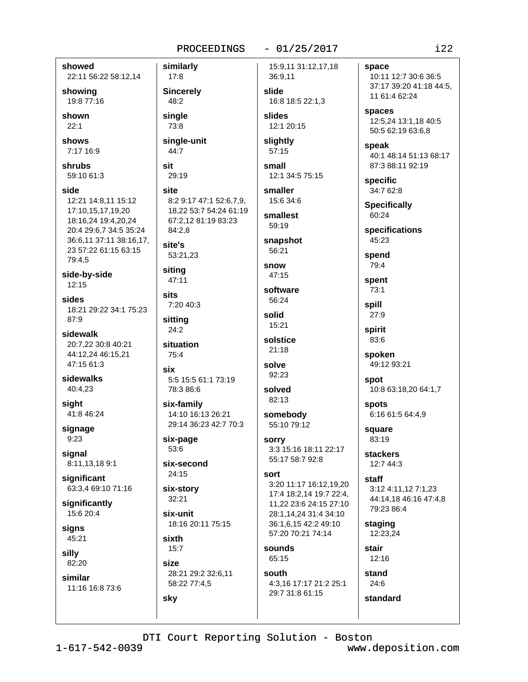showed 22:11 56:22 58:12,14

showing 19:8 77:16

shown  $22:1$ 

shows 7:17 16:9

shrubs 59:10 61:3

side 12:21 14:8.11 15:12 17:10,15,17,19,20 18:16,24 19:4,20,24 20:4 29:6.7 34:5 35:24 36:6,11 37:11 38:16,17, 23 57:22 61:15 63:15 79:4,5

side-by-side  $12:15$ 

sides 18:21 29:22 34:1 75:23  $87:9$ 

sidewalk 20:7,22 30:8 40:21 44:12,24 46:15,21 47:15 61:3

sidewalks 40:4,23

siaht 41:8 46:24

signage  $9:23$ 

signal 8:11,13,189:1

significant 63:3,4 69:10 71:16

significantly 15:6 20:4

signs 45:21

silly 82:20

similar

11:16 16:8 73:6

similarly  $17:8$ **Sincerely** 48:2 sinale 73:8

single-unit

44:7 sit

29:19

site 8:2 9:17 47:1 52:6.7.9. 18,22 53:7 54:24 61:19 67:2,12 81:19 83:23 84:2.8

site's 53:21.23

siting 47:11

**cits** 7:20 40:3

sitting  $24:2$ 

situation 75:4

six 5:5 15:5 61:1 73:19 78:3 86:6

six-family 14:10 16:13 26:21 29:14 36:23 42:7 70:3

six-page 53:6

six-second  $24:15$ 

six-story  $32:21$ 

six-unit 18:16 20:11 75:15

sixth  $15:7$ 

sky

size 28:21 29:2 32:6,11 58:22 77:4,5

# $-01/25/2017$

15:9,11 31:12,17,18 36:9,11 slide

16:8 18:5 22:1.3 slides

12:1 20:15 slightly

 $57:15$ 

small 12:1 34:5 75:15

smaller 15:6 34:6

smallest 59:19

snapshot 56:21

snow

47:15

software 56:24

solid 15:21 solstice

 $21:18$ 

solve 92:23

solved  $82:13$ 

somebody 55:10 79:12

sorry 3:3 15:16 18:11 22:17 55:17 58:7 92:8

#### sort

3:20 11:17 16:12,19,20 17:4 18:2,14 19:7 22:4, 11.22 23:6 24:15 27:10 28:1.14.24 31:4 34:10 36:1,6,15 42:2 49:10 57:20 70:21 74:14

sounds 65:15

south 4:3,16 17:17 21:2 25:1 29:7 31:8 61:15

space 10:11 12:7 30:6 36:5 37:17 39:20 41:18 44:5, 11 61:4 62:24

spaces 12:5,24 13:1,18 40:5 50:5 62:19 63:6,8

speak 40:1 48:14 51:13 68:17 87:3 88:11 92:19

specific 34:7 62:8

**Specifically** 60:24

specifications  $45.23$ 

spend 79:4

spent  $73:1$ 

spill  $27:9$ 

spirit 83:6

spoken 49:12 93:21

spot

10:8 63:18,20 64:1,7

spots 6:16 61:5 64:4,9

square 83:19

**stackers** 12:7 44:3

> staff 3:12 4:11,12 7:1,23 44:14,18 46:16 47:4,8 79:23 86:4

staging 12:23,24

stair  $12:16$ 

stand 24:6 standard

DTI Court Reporting Solution - Boston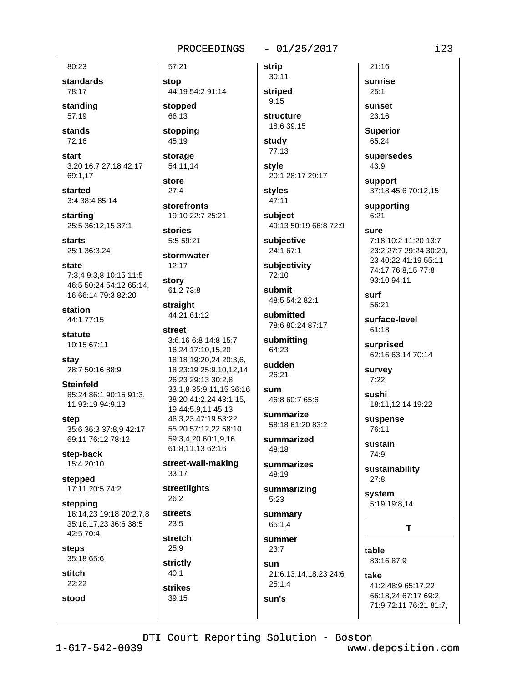#### $-01/25/2017$

80:23

standards 78:17

standing  $57:19$ 

stands 72:16

start 3:20 16:7 27:18 42:17 69:1,17

started 3:4 38:4 85:14

starting 25:5 36:12,15 37:1

**starts** 25:1 36:3.24

state 7:3.4 9:3.8 10:15 11:5 46:5 50:24 54:12 65:14, 16 66:14 79:3 82:20

station 44:1 77:15

statute 10:15 67:11

stay 28:7 50:16 88:9

**Steinfeld** 85:24 86:1 90:15 91:3, 11 93:19 94:9,13

step 35:6 36:3 37:8,9 42:17 69:11 76:12 78:12

step-back 15:4 20:10

stepped 17:11 20:5 74:2

stepping 16:14.23 19:18 20:2.7.8 35:16,17,23 36:6 38:5 42:5 70:4

steps 35:18 65:6

stitch 22:22

stood

stop 44:19 54:2 91:14 stopped 66:13

57:21

stopping 45:19

storage 54:11.14

store  $27:4$ 

storefronts 19:10 22:7 25:21

stories 5:5 59:21

stormwater  $12:17$ 

story

61:2 73:8 straight

44:21 61:12 street

3:6,16 6:8 14:8 15:7 16:24 17:10,15,20 18:18 19:20,24 20:3,6, 18 23:19 25:9,10,12,14 26:23 29:13 30:2,8 33:1,8 35:9,11,15 36:16 38:20 41:2,24 43:1,15, 19 44:5.9.11 45:13 46:3,23 47:19 53:22 55:20 57:12,22 58:10 59:3,4,20 60:1,9,16 61:8,11,13 62:16

street-wall-making  $33:17$ 

streetlights  $26:2$ 

**streets**  $23:5$ 

stretch  $25:9$ 

strictly

 $40:1$ **strikes** 39:15

striped  $9:15$ structure

**strip**  $30:11$ 

18:6 39:15

study 77:13

style 20:1 28:17 29:17

**styles**  $47:11$ 

subject 49:13 50:19 66:8 72:9

subjective 24:1 67:1

subjectivity 72:10

submit 48:5 54:2 82:1

submitted 78:6 80:24 87:17

submitting 64:23

sudden 26:21

sum 46:8 60:7 65:6

summarize 58:18 61:20 83:2

summarized  $48.18$ 

summarizes 48:19

summarizing  $5:23$ 

summary  $65:1,4$ 

summer 23:7 sun 21:6,13,14,18,23 24:6

 $25:1,4$ sun's

sunrise  $25:1$ sunset

 $21:16$ 

 $23:16$ 

**Superior** 65:24

supersedes  $43:9$ 

support 37:18 45:6 70:12.15

supporting  $6:21$ 

sure 7:18 10:2 11:20 13:7 23:2 27:7 29:24 30:20. 23 40:22 41:19 55:11 74:17 76:8,15 77:8 93:10 94:11

surf 56:21

surface-level 61:18

surprised 62:16 63:14 70:14

survey  $7:22$ 

sushi 18:11,12,14 19:22

suspense 76:11

sustain 74:9

sustainability  $27:8$ 

system 5:19 19:8,14

 $\mathbf T$ 

table 83:16 87:9

take 41:2 48:9 65:17,22 66:18,24 67:17 69:2 71:9 72:11 76:21 81:7,

DTI Court Reporting Solution - Boston

 $1 - 617 - 542 - 0039$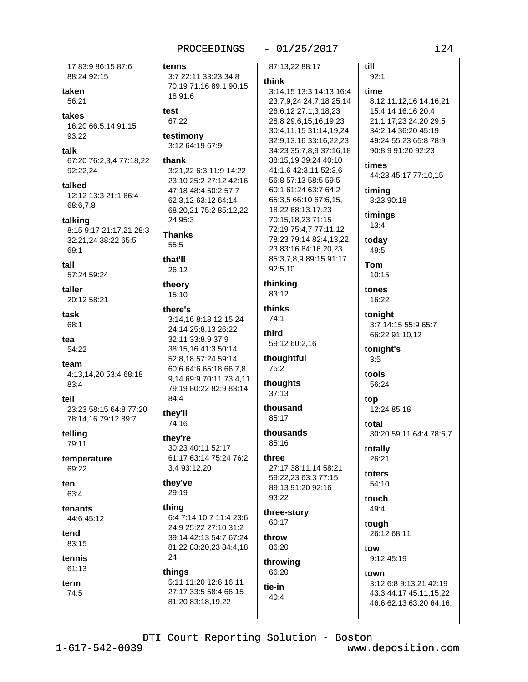terms

test

67:22

thank

55:5

that'll

26:12

15:10

84:4

they'll

74:16

29:19

thing

24

things

#### $-01/25/2017$

till

 $92:1$ 

8:12 11:12,16 14:16,21

21:1,17,23 24:20 29:5

49:24 55:23 65:8 78:9

44:23 45:17 77:10,15

34:2,14 36:20 45:19

90:8,9 91:20 92:23

15:4,14 16:16 20:4

time

times

timing

timings

 $13:4$ 

today

49:5

10:15

16:22

tonight

tonight's

 $3:5$ 

tools

top

56:24

tones

**Tom** 

8:23 90:18

17 83:9 86:15 87:6 88:24 92:15

taken 56:21

takes 16:20 66:5,14 91:15 93:22

talk 67:20 76:2,3,4 77:18,22 92:22,24

talked 12:12 13:3 21:1 66:4 68:6.7.8

talking 8:15 9:17 21:17,21 28:3 32:21,24 38:22 65:5 69:1

tall 57:24 59:24

taller 20:12 58:21

task 68:1

tea 54:22

team 4:13,14,20 53:4 68:18 83:4

tell 23:23 58:15 64:8 77:20 78:14,16 79:12 89:7

telling 79:11

temperature 69:22

ten 63:4

tenants 44:6 45:12

tend 83:15

tennis 61:13

term 74:5

87:13.22 88:17 3:7 22:11 33:23 34:8 think 70:19 71:16 89:1 90:15, 18 91:6 testimony 3:12 64:19 67:9 3:21,22 6:3 11:9 14:22 23:10 25:2 27:12 42:16 47:18 48:4 50:2 57:7 62:3,12 63:12 64:14 68:20,21 75:2 85:12,22, 24 95:3 **Thanks** 92:5,10 thinking theory 83:12 thinks there's 3:14,16 8:18 12:15,24 74:1 24:14 25:8,13 26:22 third 32:11 33:8,9 37:9 38:15,16 41:3 50:14 thoughtful 52:8,18 57:24 59:14 60:6 64:6 65:18 66:7,8, 75:2 9,14 69:9 70:11 73:4,11 thoughts 79:19 80:22 82:9 83:14  $37:13$ thousand 85:17 thousands they're  $85:16$ 30:23 40:11 52:17 61:17 63:14 75:24 76:2, three 3,4 93:12,20 they've 93:22 three-story 6:4 7:14 10:7 11:4 23:6

24:9 25:22 27:10 31:2 39:14 42:13 54:7 67:24 throw 81:22 83:20,23 84:4,18,

60:17

86:20

throwing 66:20

5:11 11:20 12:6 16:11 27:17 33:5 58:4 66:15 81:20 83:18,19,22

3:14,15 13:3 14:13 16:4 23:7,9,24 24:7,18 25:14 26:6,12 27:1,3,18,23 28:8 29:6,15,16,19,23 30:4,11,15 31:14,19,24 32:9,13,16 33:16,22,23 34:23 35:7,8,9 37:16,18 38:15,19 39:24 40:10 41:1,6 42:3,11 52:3,6 56:8 57:13 58:5 59:5 60:1 61:24 63:7 64:2 65:3,5 66:10 67:6,15, 18,22 68:13,17,23 70:15,18,23 71:15 72:19 75:4,7 77:11,12 78:23 79:14 82:4.13.22. 23 83:16 84:16,20,23 85:3,7,8,9 89:15 91:17

59:12 60:2,16

```
27:17 38:11,14 58:21
59:22.23 63:3 77:15
89:13 91:20 92:16
```
tie-in 40:4

3:7 14:15 55:9 65:7

66:22 91:10.12

12:24 85:18

total 30:20 59:11 64:4 78:6,7

totally 26:21

toters 54:10

> touch 49:4

> > tough 26:12 68:11

tow 9:12 45:19

town

3:12 6:8 9:13,21 42:19 43:3 44:17 45:11,15,22 46:6 62:13 63:20 64:16,

DTI Court Reporting Solution - Boston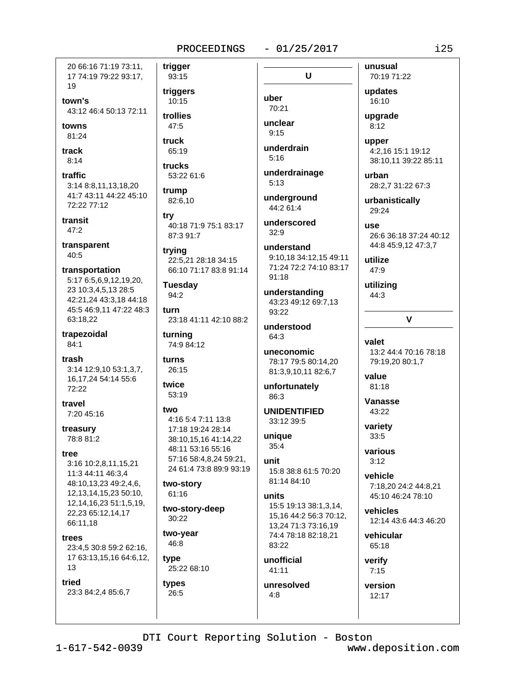$-01/25/2017$ 

 $\mathbf U$ 

20 66:16 71:19 73:11. 17 74:19 79:22 93:17, 19

town's 43:12 46:4 50:13 72:11

towns 81:24

track  $8:14$ 

traffic 3:14 8:8,11,13,18,20 41:7 43:11 44:22 45:10 72:22 77:12

transit  $47:2$ 

transparent  $40:5$ 

transportation 5:17 6:5,6,9,12,19,20, 23 10:3,4,5,13 28:5 42:21,24 43:3,18 44:18 45:5 46:9,11 47:22 48:3 63:18.22

trapezoidal 84:1

trash 3:14 12:9,10 53:1,3,7, 16,17,24 54:14 55:6 72:22

travel 7:20 45:16

treasury 78:8 81:2

tree

3:16 10:2,8,11,15,21 11:3 44:11 46:3.4 48:10,13,23 49:2,4,6, 12, 13, 14, 15, 23 50: 10, 12, 14, 16, 23 51: 1, 5, 19, 22,23 65:12,14,17 66:11.18

trees

23:4,5 30:8 59:2 62:16, 17 63:13,15,16 64:6,12, 13

tried 23:3 84:2,4 85:6,7

93:15 triggers 10:15

trigger

trollies 47:5

truck

65:19 trucks 53:22 61:6

trump 82:6.10

trv

40:18 71:9 75:1 83:17 87:3 91:7

trying 22:5,21 28:18 34:15 66:10 71:17 83:8 91:14

**Tuesday** 94:2

turn 23:18 41:11 42:10 88:2

turning 74:9 84:12

turns 26:15

twice 53:19

#### two 4:16 5:4 7:11 13:8 17:18 19:24 28:14

38:10.15.16 41:14.22 48:11 53:16 55:16 57:16 58:4,8,24 59:21, 24 61:4 73:8 89:9 93:19

two-story 61:16

two-story-deep  $30:22$ 

two-year 46:8

type 25:22 68:10

types 26:5

uber 70:21

unclear  $9.15$ 

underdrain  $5:16$ 

underdrainage  $5:13$ 

underground 44:2 61:4

underscored  $32:9$ 

understand 9:10.18 34:12.15 49:11 71:24 72:2 74:10 83:17  $91:18$ 

understanding 43:23 49:12 69:7,13 93:22

understood 64:3

uneconomic 78:17 79:5 80:14.20 81:3,9,10,11 82:6,7

unfortunately  $86.3$ 

**UNIDENTIFIED** 33:12 39:5

unique  $35:4$ 

unit 15:8 38:8 61:5 70:20 81:14 84:10

#### units

15:5 19:13 38:1,3,14, 15,16 44:2 56:3 70:12, 13.24 71:3 73:16.19 74:4 78:18 82:18,21 83:22

unofficial  $41:11$ 

unresolved  $4:8$ 

70:19 71:22 updates 16:10

unusual

uparade  $8:12$ 

upper 4:2,16 15:1 19:12 38:10,11 39:22 85:11

urban 28:2,7 31:22 67:3

urbanistically 29:24

use 26:6 36:18 37:24 40:12 44:8 45:9,12 47:3,7

utilize

47:9

utilizing 44:3

## $\mathbf v$

valet 13:2 44:4 70:16 78:18 79:19,20 80:1,7

value 81:18

Vanasse 43:22

variety 33:5

various  $3:12$ 

vehicle 7:18.20 24:2 44:8.21 45:10 46:24 78:10

vehicles 12:14 43:6 44:3 46:20

vehicular 65:18

verify  $7:15$ 

version 12:17

DTI Court Reporting Solution - Boston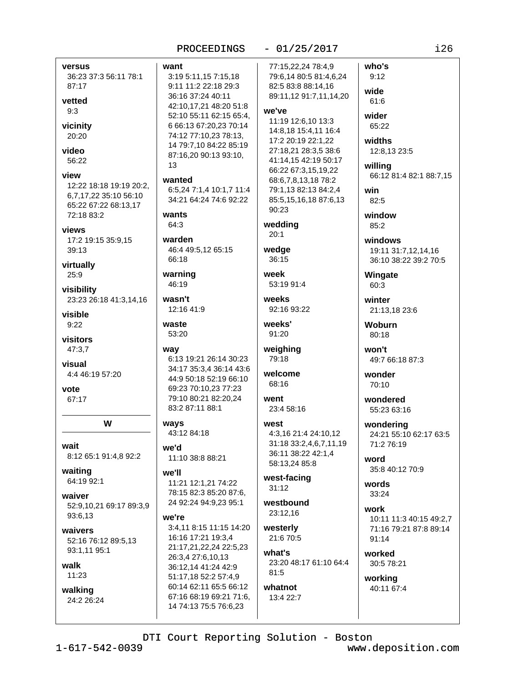|                                                                                                         | PROCEEDINGS                                                                                                                                                                                                                                |  |
|---------------------------------------------------------------------------------------------------------|--------------------------------------------------------------------------------------------------------------------------------------------------------------------------------------------------------------------------------------------|--|
| versus<br>36:23 37:3 56:11 78:1<br>87:17<br>vetted<br>9:3<br>vicinity<br>20:20<br>video<br>56:22        | want<br>3:19 5:11,15 7:15,18<br>9:11 11:2 22:18 29:3<br>36:16 37:24 40:11<br>42:10,17,21 48:20 51:8<br>52:10 55:11 62:15 65:4,<br>6 66:13 67:20,23 70:14<br>74:12 77:10,23 78:13,<br>14 79:7,10 84:22 85:19<br>87:16,20 90:13 93:10,<br>13 |  |
| view<br>12:22 18:18 19:19 20:2,<br>6,7,17,22 35:10 56:10<br>65:22 67:22 68:13,17<br>72:18 83:2<br>views | wanted<br>6:5,24 7:1,4 10:1,7 11:4<br>34:21 64:24 74:6 92:22<br>wants<br>64:3                                                                                                                                                              |  |
| 17:2 19:15 35:9,15<br>39:13<br>virtually                                                                | warden<br>46:4 49:5,12 65:15<br>66:18                                                                                                                                                                                                      |  |
| 25:9<br>visibility<br>23:23 26:18 41:3,14,16<br>visible<br>9:22                                         | warning<br>46:19<br>wasn't<br>12:16 41:9<br>waste<br>53:20                                                                                                                                                                                 |  |
| visitors<br>47:3,7<br>visual<br>4:4 46:19 57:20<br>vote<br>67:17                                        | way<br>6:13 19:21 26:14 30:23<br>34:17 35:3,4 36:14 43:6<br>44:9 50:18 52:19 66:10<br>69:23 70:10,23 77:23<br>79:10 80:21 82:20,24<br>83:2 87:11 88:1                                                                                      |  |
| w                                                                                                       | ways<br>43:12 84:18                                                                                                                                                                                                                        |  |
| wait<br>8:12 65:1 91:4,8 92:2                                                                           | we'd<br>11:10 38:8 88:21                                                                                                                                                                                                                   |  |
| waiting<br>64:19 92:1<br>waiver<br>52:9,10,21 69:17 89:3,9<br>93:6,13                                   | we'll<br>11:21 12:1,21 74:22<br>78:15 82:3 85:20 87:6,<br>24 92:24 94:9,23 95:1<br>we're                                                                                                                                                   |  |
| waivers<br>52:16 76:12 89:5,13<br>93:1,11 95:1<br>walk                                                  | 3:4,11 8:15 11:15 14:20<br>16:16 17:21 19:3,4<br>21:17,21,22,24 22:5,23<br>26:3,4 27:6,10,13<br>36:12,14 41:24 42:9                                                                                                                        |  |
| 11:23<br>walking<br>24:2 26:24                                                                          | 51:17,18 52:2 57:4,9<br>60:14 62:11 65:5 66:12<br>67:16 68:19 69:21 71:6,<br>14 74:13 75:5 76:6,23                                                                                                                                         |  |
|                                                                                                         |                                                                                                                                                                                                                                            |  |

## 95:11,157:15,18 1 11:2 22:18 29:3 16 37:24 40:11 10,17,21 48:20 51:8 10 55:11 62:15 65:4, 6:13 67:20.23 70:14 12 77:10,23 78:13, 79:7,10 84:22 85:19 16,20 90:13 93:10, ted ,24 7:1,4 10:1,7 11:4 21 64:24 74:6 92:22 ıts 3 den 4 49:5,12 65:15 18 ning 19 n't 16 41:9 te 20 3 19:21 26:14 30:23 17 35:3.4 36:14 43:6 9 50:18 52:19 66:10 23 70:10,23 77:23 10 80:21 82:20,24 2 87:11 88:1 **S** 12 84:18 4 10 38:8 88:21 L 21 12:1,21 74:22 15 82:3 85:20 87:6, 92:24 94:9,23 95:1 ъe .11 8:15 11:15 14:20 16 17:21 19:3.4 17,21,22,24 22:5,23 3.4 27:6.10.13 12,14 41:24 42:9 17,18 52:2 57:4,9 14 62:11 65:5 66:12

### $-01/25/2017$

77:15,22,24 78:4,9 79:6,14 80:5 81:4,6,24 82:5 83:8 88:14,16 89:11,12 91:7,11,14,20

#### we've

11:19 12:6,10 13:3 14:8,18 15:4,11 16:4 17:2 20:19 22:1,22 27:18,21 28:3,5 38:6 41:14,15 42:19 50:17 66:22 67:3,15,19,22 68:6,7,8,13,18 78:2 79:1,13 82:13 84:2,4 85:5,15,16,18 87:6,13 90:23

#### wedding  $20:1$

wedge 36:15

week 53:19 91:4

weeks 92:16 93:22

weeks' 91:20

weighing 79:18

welcome 68:16

went 23:4 58:16

#### west 4:3,16 21:4 24:10,12 31:18 33:2,4,6,7,11,19 36:11 38:22 42:1,4

west-facing  $31:12$ 

58:13,24 85:8

westbound 23:12,16

westerly 21:6 70:5

what's 23:20 48:17 61:10 64:4  $81:5$ 

whatnot 13:4 22:7

 $80:18$ won't 49:7 66:18 87:3 wonder

21:13,18 23:6

wondered 55:23 63:16

70:10

wondering 24:21 55:10 62:17 63:5 71:2 76:19

word 35:8 40:12 70:9

words 33:24

work 10:11 11:3 40:15 49:2.7 71:16 79:21 87:8 89:14 91:14

worked 30:5 78:21

working 40:11 67:4  $i26$ 

who's

 $9:12$ 

wide

61:6

wider

65:22

widths

willing

win

82:5

window

windows

Wingate

60:3

winter

**Woburn** 

 $85:2$ 

12:8,13 23:5

66:12 81:4 82:1 88:7,15

19:11 31:7,12,14,16

36:10 38:22 39:2 70:5

DTI Court Reporting Solution - Boston